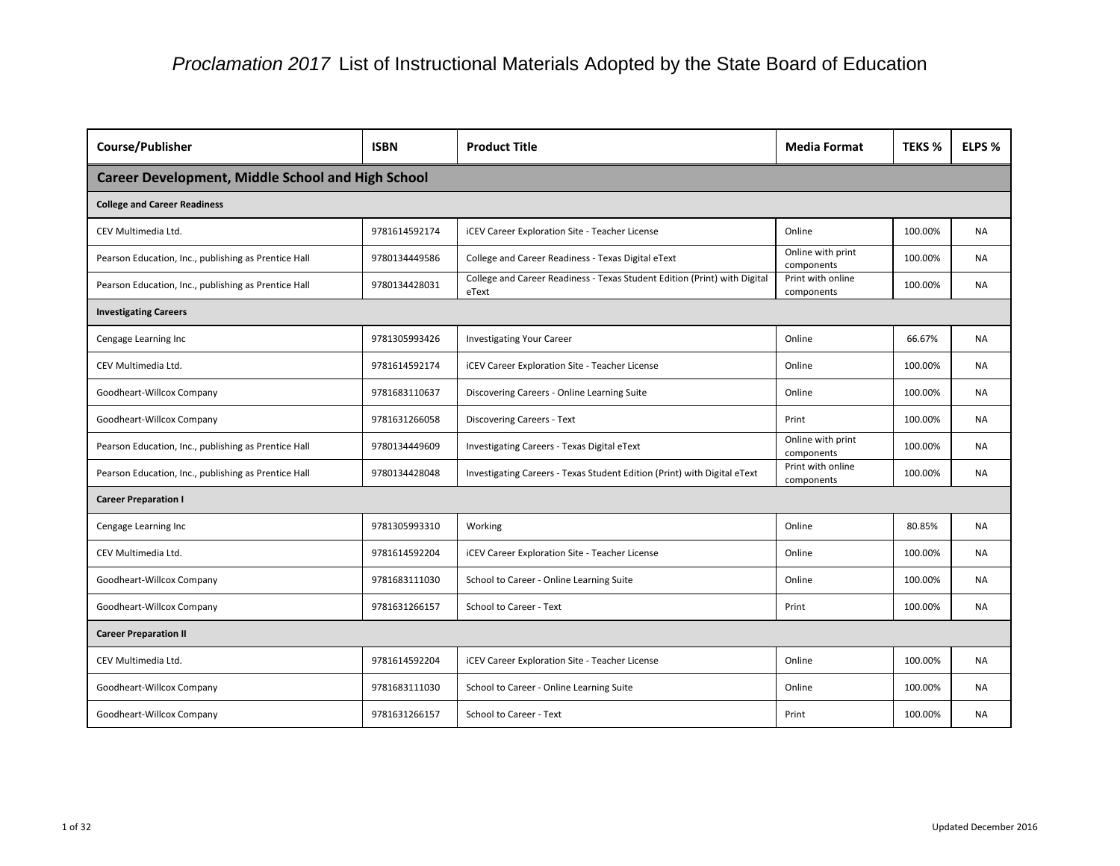| Course/Publisher                                         | <b>ISBN</b>   | <b>Product Title</b>                                                               | <b>Media Format</b>             | <b>TEKS %</b> | ELPS %    |
|----------------------------------------------------------|---------------|------------------------------------------------------------------------------------|---------------------------------|---------------|-----------|
| <b>Career Development, Middle School and High School</b> |               |                                                                                    |                                 |               |           |
| <b>College and Career Readiness</b>                      |               |                                                                                    |                                 |               |           |
| CEV Multimedia Ltd.                                      | 9781614592174 | iCEV Career Exploration Site - Teacher License                                     | Online                          | 100.00%       | <b>NA</b> |
| Pearson Education, Inc., publishing as Prentice Hall     | 9780134449586 | College and Career Readiness - Texas Digital eText                                 | Online with print<br>components | 100.00%       | <b>NA</b> |
| Pearson Education, Inc., publishing as Prentice Hall     | 9780134428031 | College and Career Readiness - Texas Student Edition (Print) with Digital<br>eText | Print with online<br>components | 100.00%       | <b>NA</b> |
| <b>Investigating Careers</b>                             |               |                                                                                    |                                 |               |           |
| Cengage Learning Inc                                     | 9781305993426 | <b>Investigating Your Career</b>                                                   | Online                          | 66.67%        | <b>NA</b> |
| CEV Multimedia Ltd.                                      | 9781614592174 | <b>iCEV Career Exploration Site - Teacher License</b>                              | Online                          | 100.00%       | <b>NA</b> |
| Goodheart-Willcox Company                                | 9781683110637 | Discovering Careers - Online Learning Suite                                        | Online                          | 100.00%       | <b>NA</b> |
| Goodheart-Willcox Company                                | 9781631266058 | <b>Discovering Careers - Text</b>                                                  | Print                           | 100.00%       | NA.       |
| Pearson Education, Inc., publishing as Prentice Hall     | 9780134449609 | Investigating Careers - Texas Digital eText                                        | Online with print<br>components | 100.00%       | <b>NA</b> |
| Pearson Education, Inc., publishing as Prentice Hall     | 9780134428048 | Investigating Careers - Texas Student Edition (Print) with Digital eText           | Print with online<br>components | 100.00%       | <b>NA</b> |
| <b>Career Preparation I</b>                              |               |                                                                                    |                                 |               |           |
| Cengage Learning Inc                                     | 9781305993310 | Working                                                                            | Online                          | 80.85%        | <b>NA</b> |
| CEV Multimedia Ltd.                                      | 9781614592204 | <b>iCEV Career Exploration Site - Teacher License</b>                              | Online                          | 100.00%       | <b>NA</b> |
| Goodheart-Willcox Company                                | 9781683111030 | School to Career - Online Learning Suite                                           | Online                          | 100.00%       | <b>NA</b> |
| Goodheart-Willcox Company                                | 9781631266157 | School to Career - Text                                                            | Print                           | 100.00%       | NA        |
| <b>Career Preparation II</b>                             |               |                                                                                    |                                 |               |           |
| CEV Multimedia Ltd.                                      | 9781614592204 | <b>iCEV Career Exploration Site - Teacher License</b>                              | Online                          | 100.00%       | <b>NA</b> |
| Goodheart-Willcox Company                                | 9781683111030 | School to Career - Online Learning Suite                                           | Online                          | 100.00%       | NA        |
| Goodheart-Willcox Company                                | 9781631266157 | School to Career - Text                                                            | Print                           | 100.00%       | <b>NA</b> |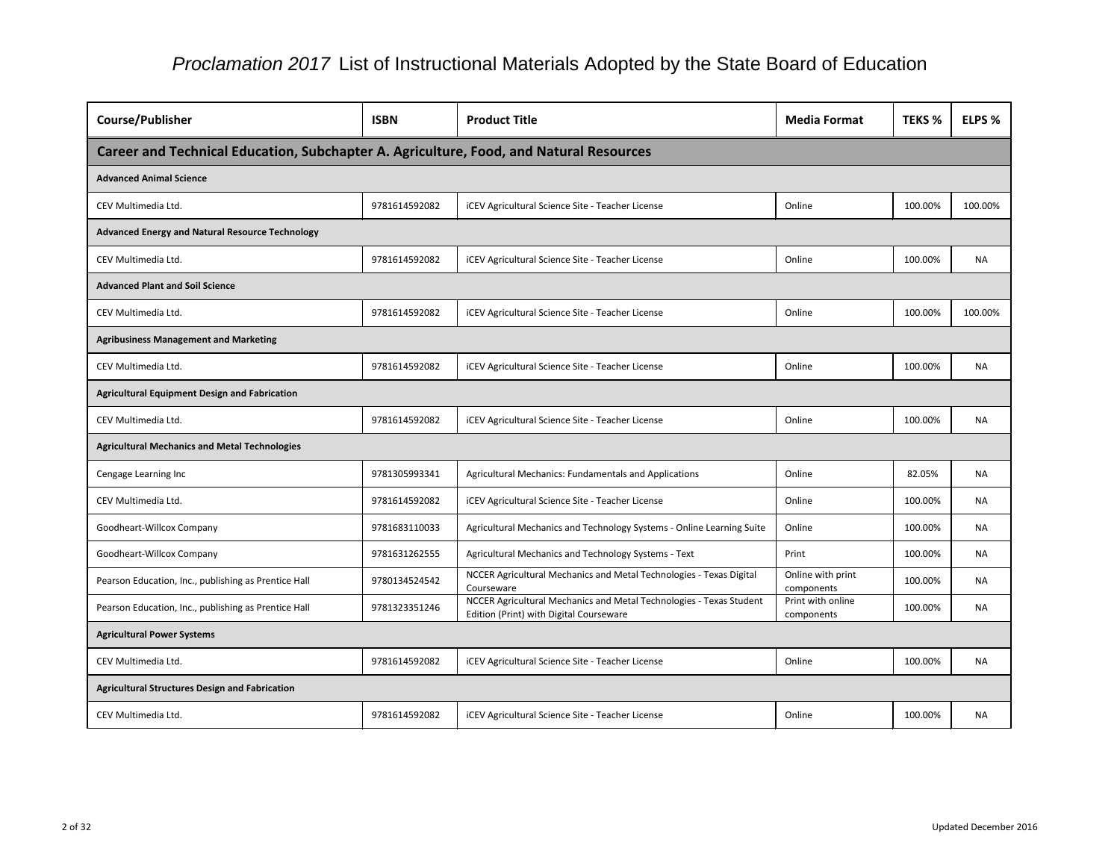| <b>Course/Publisher</b>                                                                | <b>ISBN</b>   | <b>Product Title</b>                                                                                           | <b>Media Format</b>             | <b>TEKS %</b> | ELPS %    |
|----------------------------------------------------------------------------------------|---------------|----------------------------------------------------------------------------------------------------------------|---------------------------------|---------------|-----------|
| Career and Technical Education, Subchapter A. Agriculture, Food, and Natural Resources |               |                                                                                                                |                                 |               |           |
| <b>Advanced Animal Science</b>                                                         |               |                                                                                                                |                                 |               |           |
| CEV Multimedia Ltd.                                                                    | 9781614592082 | <b>iCEV Agricultural Science Site - Teacher License</b>                                                        | Online                          | 100.00%       | 100.00%   |
| <b>Advanced Energy and Natural Resource Technology</b>                                 |               |                                                                                                                |                                 |               |           |
| CEV Multimedia Ltd.                                                                    | 9781614592082 | <b>iCEV Agricultural Science Site - Teacher License</b>                                                        | Online                          | 100.00%       | <b>NA</b> |
| <b>Advanced Plant and Soil Science</b>                                                 |               |                                                                                                                |                                 |               |           |
| CEV Multimedia Ltd.                                                                    | 9781614592082 | <b>iCEV Agricultural Science Site - Teacher License</b>                                                        | Online                          | 100.00%       | 100.00%   |
| <b>Agribusiness Management and Marketing</b>                                           |               |                                                                                                                |                                 |               |           |
| CEV Multimedia Ltd.                                                                    | 9781614592082 | <b>iCEV Agricultural Science Site - Teacher License</b>                                                        | Online                          | 100.00%       | <b>NA</b> |
| <b>Agricultural Equipment Design and Fabrication</b>                                   |               |                                                                                                                |                                 |               |           |
| CEV Multimedia Ltd.                                                                    | 9781614592082 | <b>iCEV Agricultural Science Site - Teacher License</b>                                                        | Online                          | 100.00%       | <b>NA</b> |
| <b>Agricultural Mechanics and Metal Technologies</b>                                   |               |                                                                                                                |                                 |               |           |
| Cengage Learning Inc                                                                   | 9781305993341 | Agricultural Mechanics: Fundamentals and Applications                                                          | Online                          | 82.05%        | <b>NA</b> |
| CEV Multimedia Ltd.                                                                    | 9781614592082 | <b>iCEV Agricultural Science Site - Teacher License</b>                                                        | Online                          | 100.00%       | <b>NA</b> |
| Goodheart-Willcox Company                                                              | 9781683110033 | Agricultural Mechanics and Technology Systems - Online Learning Suite                                          | Online                          | 100.00%       | <b>NA</b> |
| Goodheart-Willcox Company                                                              | 9781631262555 | Agricultural Mechanics and Technology Systems - Text                                                           | Print                           | 100.00%       | <b>NA</b> |
| Pearson Education, Inc., publishing as Prentice Hall                                   | 9780134524542 | NCCER Agricultural Mechanics and Metal Technologies - Texas Digital<br>Courseware                              | Online with print<br>components | 100.00%       | NA.       |
| Pearson Education, Inc., publishing as Prentice Hall                                   | 9781323351246 | NCCER Agricultural Mechanics and Metal Technologies - Texas Student<br>Edition (Print) with Digital Courseware | Print with online<br>components | 100.00%       | NA        |
| <b>Agricultural Power Systems</b>                                                      |               |                                                                                                                |                                 |               |           |
| CEV Multimedia Ltd.                                                                    | 9781614592082 | <b>iCEV Agricultural Science Site - Teacher License</b>                                                        | Online                          | 100.00%       | <b>NA</b> |
| <b>Agricultural Structures Design and Fabrication</b>                                  |               |                                                                                                                |                                 |               |           |
| CEV Multimedia Ltd.                                                                    | 9781614592082 | <b>iCEV Agricultural Science Site - Teacher License</b>                                                        | Online                          | 100.00%       | NA        |

| nat | <b>TEKS %</b> | ELPS %    |
|-----|---------------|-----------|
|     |               |           |
|     |               |           |
|     | 100.00%       | 100.00%   |
|     |               |           |
|     | 100.00%       | <b>NA</b> |
|     |               |           |
|     | 100.00%       | 100.00%   |
|     |               |           |
|     | 100.00%       | <b>NA</b> |
|     |               |           |
|     | 100.00%       | <b>NA</b> |
|     |               |           |
|     | 82.05%        | <b>NA</b> |
|     | 100.00%       | <b>NA</b> |
|     | 100.00%       | <b>NA</b> |
|     | 100.00%       | NA        |
| int | 100.00%       | NA        |
| ne  | 100.00%       | NA        |
|     |               |           |
|     | 100.00%       | <b>NA</b> |
|     |               |           |
|     | 100.00%       | <b>NA</b> |
|     |               |           |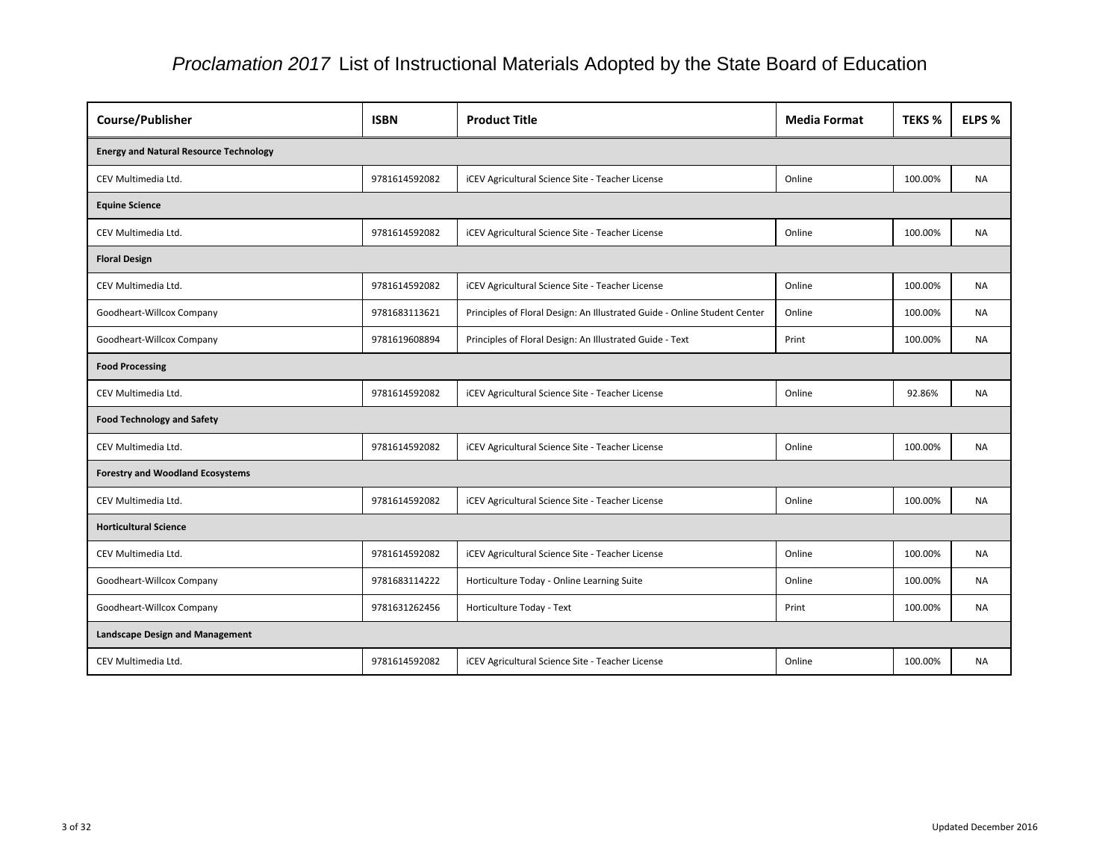| Course/Publisher                              | <b>ISBN</b>   | <b>Product Title</b>                                                      | <b>Media Format</b> | <b>TEKS %</b> | ELPS %    |
|-----------------------------------------------|---------------|---------------------------------------------------------------------------|---------------------|---------------|-----------|
| <b>Energy and Natural Resource Technology</b> |               |                                                                           |                     |               |           |
| CEV Multimedia Ltd.                           | 9781614592082 | <b>iCEV Agricultural Science Site - Teacher License</b>                   | Online              | 100.00%       | <b>NA</b> |
| <b>Equine Science</b>                         |               |                                                                           |                     |               |           |
| CEV Multimedia Ltd.                           | 9781614592082 | <b>iCEV Agricultural Science Site - Teacher License</b>                   | Online              | 100.00%       | <b>NA</b> |
| <b>Floral Design</b>                          |               |                                                                           |                     |               |           |
| CEV Multimedia Ltd.                           | 9781614592082 | <b>iCEV Agricultural Science Site - Teacher License</b>                   | Online              | 100.00%       | <b>NA</b> |
| Goodheart-Willcox Company                     | 9781683113621 | Principles of Floral Design: An Illustrated Guide - Online Student Center | Online              | 100.00%       | <b>NA</b> |
| Goodheart-Willcox Company                     | 9781619608894 | Principles of Floral Design: An Illustrated Guide - Text                  | Print               | 100.00%       | <b>NA</b> |
| <b>Food Processing</b>                        |               |                                                                           |                     |               |           |
| CEV Multimedia Ltd.                           | 9781614592082 | <b>iCEV Agricultural Science Site - Teacher License</b>                   | Online              | 92.86%        | <b>NA</b> |
| <b>Food Technology and Safety</b>             |               |                                                                           |                     |               |           |
| CEV Multimedia Ltd.                           | 9781614592082 | iCEV Agricultural Science Site - Teacher License                          | Online              | 100.00%       | <b>NA</b> |
| <b>Forestry and Woodland Ecosystems</b>       |               |                                                                           |                     |               |           |
| CEV Multimedia Ltd.                           | 9781614592082 | <b>iCEV Agricultural Science Site - Teacher License</b>                   | Online              | 100.00%       | <b>NA</b> |
| <b>Horticultural Science</b>                  |               |                                                                           |                     |               |           |
| CEV Multimedia Ltd.                           | 9781614592082 | <b>iCEV Agricultural Science Site - Teacher License</b>                   | Online              | 100.00%       | <b>NA</b> |
| Goodheart-Willcox Company                     | 9781683114222 | Horticulture Today - Online Learning Suite                                | Online              | 100.00%       | <b>NA</b> |
| Goodheart-Willcox Company                     | 9781631262456 | Horticulture Today - Text                                                 | Print               | 100.00%       | <b>NA</b> |
| <b>Landscape Design and Management</b>        |               |                                                                           |                     |               |           |
| CEV Multimedia Ltd.                           | 9781614592082 | <b>iCEV Agricultural Science Site - Teacher License</b>                   | Online              | 100.00%       | <b>NA</b> |

| at | <b>TEKS %</b> | ELPS %    |
|----|---------------|-----------|
|    |               |           |
|    | 100.00%       | <b>NA</b> |
|    |               |           |
|    | 100.00%       | <b>NA</b> |
|    |               |           |
|    | 100.00%       | <b>NA</b> |
|    | 100.00%       | <b>NA</b> |
|    | 100.00%       | ΝA        |
|    |               |           |
|    | 92.86%        | <b>NA</b> |
|    |               |           |
|    | 100.00%       | <b>NA</b> |
|    |               |           |
|    | 100.00%       | <b>NA</b> |
|    |               |           |
|    | 100.00%       | <b>NA</b> |
|    | 100.00%       | <b>NA</b> |
|    | 100.00%       | ΝA        |
|    |               |           |
|    | 100.00%       | <b>NA</b> |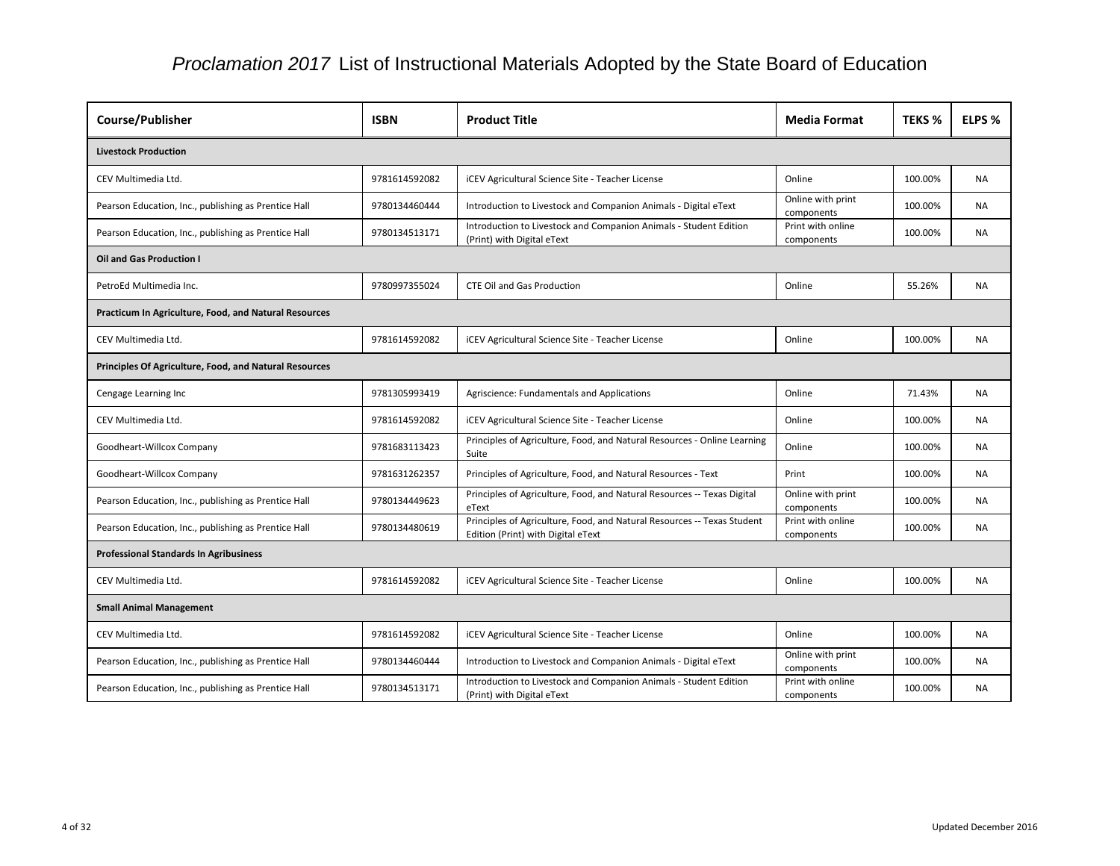| <b>Course/Publisher</b>                                       | <b>ISBN</b>   | <b>Product Title</b>                                                                                          | <b>Media Format</b>             | <b>TEKS %</b> | ELPS %    |
|---------------------------------------------------------------|---------------|---------------------------------------------------------------------------------------------------------------|---------------------------------|---------------|-----------|
| <b>Livestock Production</b>                                   |               |                                                                                                               |                                 |               |           |
| CEV Multimedia Ltd.                                           | 9781614592082 | iCEV Agricultural Science Site - Teacher License                                                              | Online                          | 100.00%       | <b>NA</b> |
| Pearson Education, Inc., publishing as Prentice Hall          | 9780134460444 | Introduction to Livestock and Companion Animals - Digital eText                                               | Online with print<br>components | 100.00%       | <b>NA</b> |
| Pearson Education, Inc., publishing as Prentice Hall          | 9780134513171 | Introduction to Livestock and Companion Animals - Student Edition<br>(Print) with Digital eText               | Print with online<br>components | 100.00%       | <b>NA</b> |
| <b>Oil and Gas Production I</b>                               |               |                                                                                                               |                                 |               |           |
| PetroEd Multimedia Inc.                                       | 9780997355024 | <b>CTE Oil and Gas Production</b>                                                                             | Online                          | 55.26%        | <b>NA</b> |
| Practicum In Agriculture, Food, and Natural Resources         |               |                                                                                                               |                                 |               |           |
| CEV Multimedia Ltd.                                           | 9781614592082 | iCEV Agricultural Science Site - Teacher License                                                              | Online                          | 100.00%       | <b>NA</b> |
| <b>Principles Of Agriculture, Food, and Natural Resources</b> |               |                                                                                                               |                                 |               |           |
| Cengage Learning Inc                                          | 9781305993419 | Agriscience: Fundamentals and Applications                                                                    | Online                          | 71.43%        | <b>NA</b> |
| CEV Multimedia Ltd.                                           | 9781614592082 | <b>iCEV Agricultural Science Site - Teacher License</b>                                                       | Online                          | 100.00%       | <b>NA</b> |
| Goodheart-Willcox Company                                     | 9781683113423 | Principles of Agriculture, Food, and Natural Resources - Online Learning<br>Suite                             | Online                          | 100.00%       | <b>NA</b> |
| Goodheart-Willcox Company                                     | 9781631262357 | Principles of Agriculture, Food, and Natural Resources - Text                                                 | Print                           | 100.00%       | <b>NA</b> |
| Pearson Education, Inc., publishing as Prentice Hall          | 9780134449623 | Principles of Agriculture, Food, and Natural Resources -- Texas Digital<br>eText                              | Online with print<br>components | 100.00%       | <b>NA</b> |
| Pearson Education, Inc., publishing as Prentice Hall          | 9780134480619 | Principles of Agriculture, Food, and Natural Resources -- Texas Student<br>Edition (Print) with Digital eText | Print with online<br>components | 100.00%       | <b>NA</b> |
| <b>Professional Standards In Agribusiness</b>                 |               |                                                                                                               |                                 |               |           |
| CEV Multimedia Ltd.                                           | 9781614592082 | <b>iCEV Agricultural Science Site - Teacher License</b>                                                       | Online                          | 100.00%       | <b>NA</b> |
| <b>Small Animal Management</b>                                |               |                                                                                                               |                                 |               |           |
| CEV Multimedia Ltd.                                           | 9781614592082 | iCEV Agricultural Science Site - Teacher License                                                              | Online                          | 100.00%       | <b>NA</b> |
| Pearson Education, Inc., publishing as Prentice Hall          | 9780134460444 | Introduction to Livestock and Companion Animals - Digital eText                                               | Online with print<br>components | 100.00%       | <b>NA</b> |
| Pearson Education, Inc., publishing as Prentice Hall          | 9780134513171 | Introduction to Livestock and Companion Animals - Student Edition<br>(Print) with Digital eText               | Print with online<br>components | 100.00%       | NA        |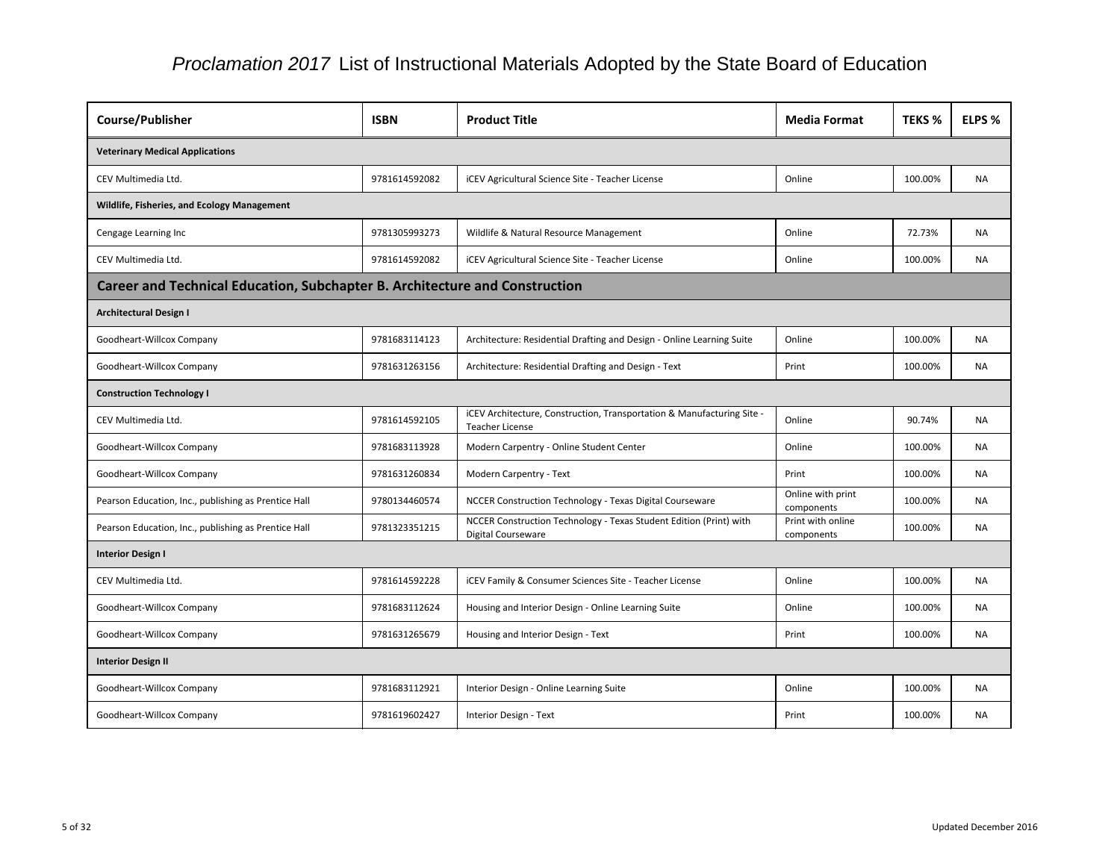| <b>Course/Publisher</b>                                                     | <b>ISBN</b>   | <b>Product Title</b>                                                                             | <b>Media Format</b>             | <b>TEKS %</b> | ELPS %    |
|-----------------------------------------------------------------------------|---------------|--------------------------------------------------------------------------------------------------|---------------------------------|---------------|-----------|
| <b>Veterinary Medical Applications</b>                                      |               |                                                                                                  |                                 |               |           |
| CEV Multimedia Ltd.                                                         | 9781614592082 | <b>iCEV Agricultural Science Site - Teacher License</b>                                          | Online                          | 100.00%       | <b>NA</b> |
| Wildlife, Fisheries, and Ecology Management                                 |               |                                                                                                  |                                 |               |           |
| Cengage Learning Inc                                                        | 9781305993273 | Wildlife & Natural Resource Management                                                           | Online                          | 72.73%        | NA.       |
| CEV Multimedia Ltd.                                                         | 9781614592082 | <b>iCEV Agricultural Science Site - Teacher License</b>                                          | Online                          | 100.00%       | <b>NA</b> |
| Career and Technical Education, Subchapter B. Architecture and Construction |               |                                                                                                  |                                 |               |           |
| <b>Architectural Design I</b>                                               |               |                                                                                                  |                                 |               |           |
| Goodheart-Willcox Company                                                   | 9781683114123 | Architecture: Residential Drafting and Design - Online Learning Suite                            | Online                          | 100.00%       | <b>NA</b> |
| Goodheart-Willcox Company                                                   | 9781631263156 | Architecture: Residential Drafting and Design - Text                                             | Print                           | 100.00%       | <b>NA</b> |
| <b>Construction Technology I</b>                                            |               |                                                                                                  |                                 |               |           |
| CEV Multimedia Ltd.                                                         | 9781614592105 | iCEV Architecture, Construction, Transportation & Manufacturing Site -<br><b>Teacher License</b> | Online                          | 90.74%        | <b>NA</b> |
| Goodheart-Willcox Company                                                   | 9781683113928 | Modern Carpentry - Online Student Center                                                         | Online                          | 100.00%       | <b>NA</b> |
| Goodheart-Willcox Company                                                   | 9781631260834 | Modern Carpentry - Text                                                                          | Print                           | 100.00%       | <b>NA</b> |
| Pearson Education, Inc., publishing as Prentice Hall                        | 9780134460574 | NCCER Construction Technology - Texas Digital Courseware                                         | Online with print<br>components | 100.00%       | <b>NA</b> |
| Pearson Education, Inc., publishing as Prentice Hall                        | 9781323351215 | NCCER Construction Technology - Texas Student Edition (Print) with<br><b>Digital Courseware</b>  | Print with online<br>components | 100.00%       | <b>NA</b> |
| <b>Interior Design I</b>                                                    |               |                                                                                                  |                                 |               |           |
| CEV Multimedia Ltd.                                                         | 9781614592228 | iCEV Family & Consumer Sciences Site - Teacher License                                           | Online                          | 100.00%       | <b>NA</b> |
| Goodheart-Willcox Company                                                   | 9781683112624 | Housing and Interior Design - Online Learning Suite                                              | Online                          | 100.00%       | <b>NA</b> |
| Goodheart-Willcox Company                                                   | 9781631265679 | Housing and Interior Design - Text                                                               | Print                           | 100.00%       | <b>NA</b> |
| <b>Interior Design II</b>                                                   |               |                                                                                                  |                                 |               |           |
| Goodheart-Willcox Company                                                   | 9781683112921 | Interior Design - Online Learning Suite                                                          | Online                          | 100.00%       | <b>NA</b> |
| Goodheart-Willcox Company                                                   | 9781619602427 | Interior Design - Text                                                                           | Print                           | 100.00%       | NA        |

| at | <b>TEKS %</b> | ELPS %    |
|----|---------------|-----------|
|    |               |           |
|    | 100.00%       | NА        |
|    |               |           |
|    | 72.73%        | <b>NA</b> |
|    | 100.00%       | NА        |
|    |               |           |
|    |               |           |
|    | 100.00%       | NA        |
|    | 100.00%       | ΝA        |
|    |               |           |
|    | 90.74%        | <b>NA</b> |
|    | 100.00%       | <b>NA</b> |
|    | 100.00%       | ΝA        |
| t  | 100.00%       | <b>NA</b> |
| ₿  | 100.00%       | <b>NA</b> |
|    |               |           |
|    | 100.00%       | <b>NA</b> |
|    | 100.00%       | ΝA        |
|    | 100.00%       | ΝA        |
|    |               |           |
|    | 100.00%       | ΝA        |
|    | 100.00%       | ΝA        |
|    |               |           |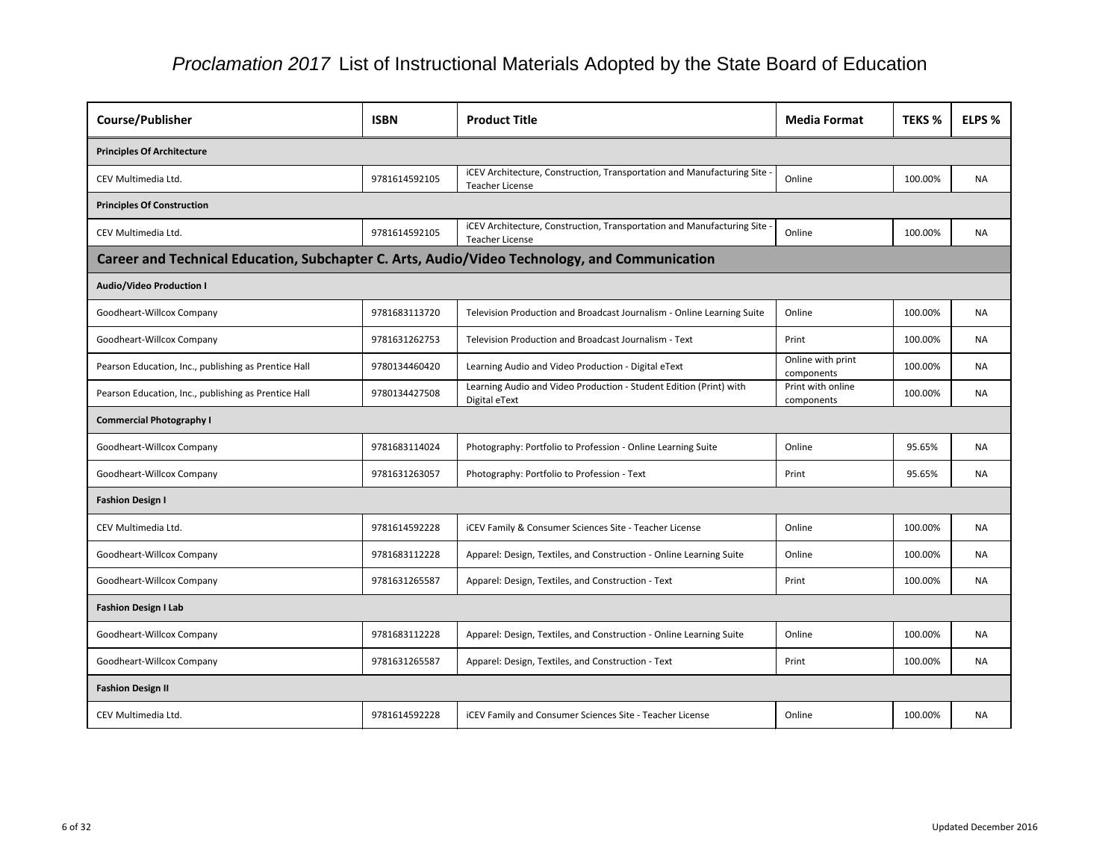| Course/Publisher                                     | <b>ISBN</b>                                                                                   | <b>Product Title</b>                                                                               | <b>Media Format</b>             | <b>TEKS %</b> | ELPS %    |  |
|------------------------------------------------------|-----------------------------------------------------------------------------------------------|----------------------------------------------------------------------------------------------------|---------------------------------|---------------|-----------|--|
| <b>Principles Of Architecture</b>                    |                                                                                               |                                                                                                    |                                 |               |           |  |
| CEV Multimedia Ltd.                                  | 9781614592105                                                                                 | iCEV Architecture, Construction, Transportation and Manufacturing Site -<br><b>Teacher License</b> | Online                          | 100.00%       | <b>NA</b> |  |
| <b>Principles Of Construction</b>                    |                                                                                               |                                                                                                    |                                 |               |           |  |
| CEV Multimedia Ltd.                                  | 9781614592105                                                                                 | iCEV Architecture, Construction, Transportation and Manufacturing Site<br><b>Teacher License</b>   | Online                          | 100.00%       | <b>NA</b> |  |
|                                                      | Career and Technical Education, Subchapter C. Arts, Audio/Video Technology, and Communication |                                                                                                    |                                 |               |           |  |
| <b>Audio/Video Production I</b>                      |                                                                                               |                                                                                                    |                                 |               |           |  |
| Goodheart-Willcox Company                            | 9781683113720                                                                                 | Television Production and Broadcast Journalism - Online Learning Suite                             | Online                          | 100.00%       | <b>NA</b> |  |
| Goodheart-Willcox Company                            | 9781631262753                                                                                 | Television Production and Broadcast Journalism - Text                                              | Print                           | 100.00%       | <b>NA</b> |  |
| Pearson Education, Inc., publishing as Prentice Hall | 9780134460420                                                                                 | Learning Audio and Video Production - Digital eText                                                | Online with print<br>components | 100.00%       | <b>NA</b> |  |
| Pearson Education, Inc., publishing as Prentice Hall | 9780134427508                                                                                 | Learning Audio and Video Production - Student Edition (Print) with<br>Digital eText                | Print with online<br>components | 100.00%       | <b>NA</b> |  |
| <b>Commercial Photography I</b>                      |                                                                                               |                                                                                                    |                                 |               |           |  |
| Goodheart-Willcox Company                            | 9781683114024                                                                                 | Photography: Portfolio to Profession - Online Learning Suite                                       | Online                          | 95.65%        | <b>NA</b> |  |
| Goodheart-Willcox Company                            | 9781631263057                                                                                 | Photography: Portfolio to Profession - Text                                                        | Print                           | 95.65%        | <b>NA</b> |  |
| <b>Fashion Design I</b>                              |                                                                                               |                                                                                                    |                                 |               |           |  |
| CEV Multimedia Ltd.                                  | 9781614592228                                                                                 | iCEV Family & Consumer Sciences Site - Teacher License                                             | Online                          | 100.00%       | <b>NA</b> |  |
| Goodheart-Willcox Company                            | 9781683112228                                                                                 | Apparel: Design, Textiles, and Construction - Online Learning Suite                                | Online                          | 100.00%       | <b>NA</b> |  |
| Goodheart-Willcox Company                            | 9781631265587                                                                                 | Apparel: Design, Textiles, and Construction - Text                                                 | Print                           | 100.00%       | NA        |  |
| <b>Fashion Design I Lab</b>                          |                                                                                               |                                                                                                    |                                 |               |           |  |
| Goodheart-Willcox Company                            | 9781683112228                                                                                 | Apparel: Design, Textiles, and Construction - Online Learning Suite                                | Online                          | 100.00%       | <b>NA</b> |  |
| Goodheart-Willcox Company                            | 9781631265587                                                                                 | Apparel: Design, Textiles, and Construction - Text                                                 | Print                           | 100.00%       | NA        |  |
| <b>Fashion Design II</b>                             |                                                                                               |                                                                                                    |                                 |               |           |  |
| CEV Multimedia Ltd.                                  | 9781614592228                                                                                 | iCEV Family and Consumer Sciences Site - Teacher License                                           | Online                          | 100.00%       | NA        |  |
|                                                      |                                                                                               |                                                                                                    |                                 |               |           |  |

| <b>TEKS %</b> | ELPS %    |
|---------------|-----------|
|               |           |
| 100.00%       | <b>NA</b> |
|               |           |
| 100.00%       | <b>NA</b> |
|               |           |
|               |           |
| 100.00%       | <b>NA</b> |
| 100.00%       | <b>NA</b> |
| 100.00%       | <b>NA</b> |
| 100.00%       | <b>NA</b> |
|               |           |
| 95.65%        | <b>NA</b> |
| 95.65%        | <b>NA</b> |
|               |           |
| 100.00%       | ΝA        |
| 100.00%       | ΝA        |
| 100.00%       | <b>NA</b> |
|               |           |
| 100.00%       | ΝA        |
| 100.00%       | <b>NA</b> |
|               |           |
| 100.00%       | <b>NA</b> |
|               |           |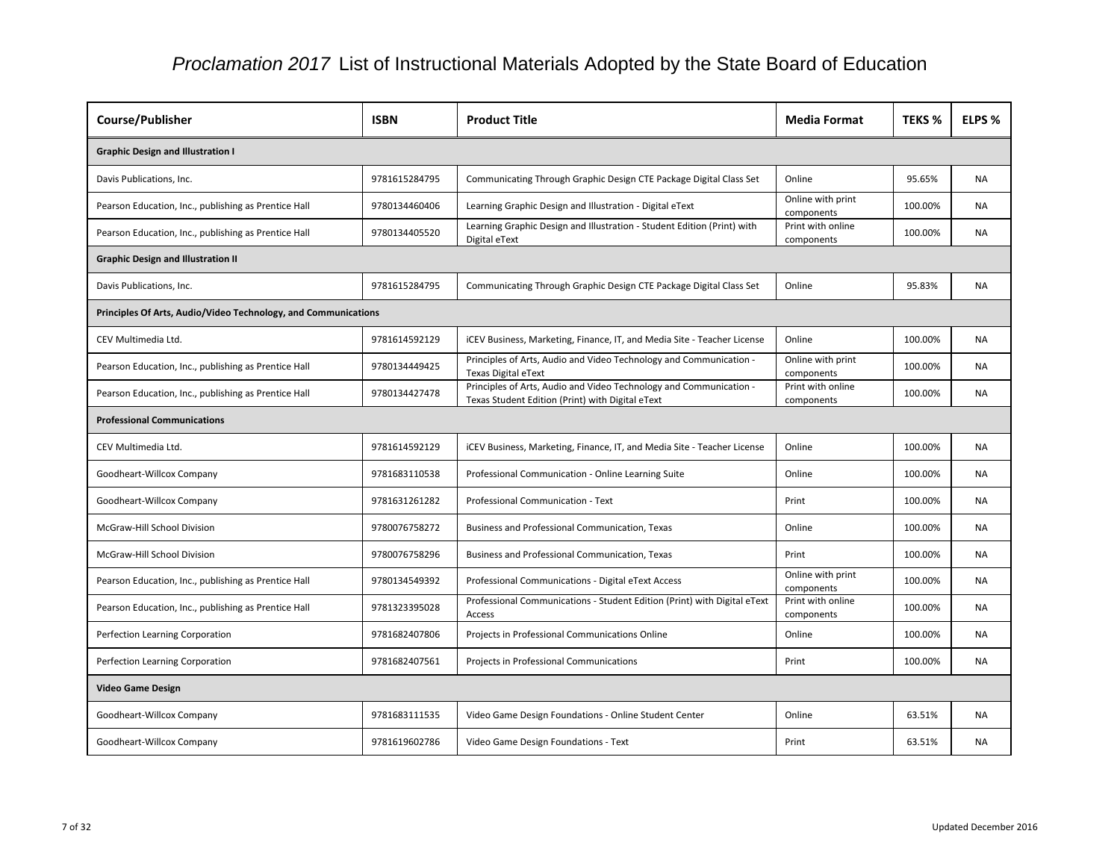| <b>Course/Publisher</b>                                        | <b>ISBN</b>   | <b>Product Title</b>                                                                                                   | <b>Media Format</b>             | <b>TEKS %</b> | ELPS %    |
|----------------------------------------------------------------|---------------|------------------------------------------------------------------------------------------------------------------------|---------------------------------|---------------|-----------|
| <b>Graphic Design and Illustration I</b>                       |               |                                                                                                                        |                                 |               |           |
| Davis Publications, Inc.                                       | 9781615284795 | Communicating Through Graphic Design CTE Package Digital Class Set                                                     | Online                          | 95.65%        | <b>NA</b> |
| Pearson Education, Inc., publishing as Prentice Hall           | 9780134460406 | Learning Graphic Design and Illustration - Digital eText                                                               | Online with print<br>components | 100.00%       | <b>NA</b> |
| Pearson Education, Inc., publishing as Prentice Hall           | 9780134405520 | Learning Graphic Design and Illustration - Student Edition (Print) with<br>Digital eText                               | Print with online<br>components | 100.00%       | <b>NA</b> |
| <b>Graphic Design and Illustration II</b>                      |               |                                                                                                                        |                                 |               |           |
| Davis Publications, Inc.                                       | 9781615284795 | Communicating Through Graphic Design CTE Package Digital Class Set                                                     | Online                          | 95.83%        | <b>NA</b> |
| Principles Of Arts, Audio/Video Technology, and Communications |               |                                                                                                                        |                                 |               |           |
| CEV Multimedia Ltd.                                            | 9781614592129 | iCEV Business, Marketing, Finance, IT, and Media Site - Teacher License                                                | Online                          | 100.00%       | <b>NA</b> |
| Pearson Education, Inc., publishing as Prentice Hall           | 9780134449425 | Principles of Arts, Audio and Video Technology and Communication -<br><b>Texas Digital eText</b>                       | Online with print<br>components | 100.00%       | <b>NA</b> |
| Pearson Education, Inc., publishing as Prentice Hall           | 9780134427478 | Principles of Arts, Audio and Video Technology and Communication -<br>Texas Student Edition (Print) with Digital eText | Print with online<br>components | 100.00%       | <b>NA</b> |
| <b>Professional Communications</b>                             |               |                                                                                                                        |                                 |               |           |
| CEV Multimedia Ltd.                                            | 9781614592129 | iCEV Business, Marketing, Finance, IT, and Media Site - Teacher License                                                | Online                          | 100.00%       | <b>NA</b> |
| Goodheart-Willcox Company                                      | 9781683110538 | Professional Communication - Online Learning Suite                                                                     | Online                          | 100.00%       | <b>NA</b> |
| Goodheart-Willcox Company                                      | 9781631261282 | Professional Communication - Text                                                                                      | Print                           | 100.00%       | <b>NA</b> |
| McGraw-Hill School Division                                    | 9780076758272 | <b>Business and Professional Communication, Texas</b>                                                                  | Online                          | 100.00%       | <b>NA</b> |
| McGraw-Hill School Division                                    | 9780076758296 | <b>Business and Professional Communication, Texas</b>                                                                  | Print                           | 100.00%       | <b>NA</b> |
| Pearson Education, Inc., publishing as Prentice Hall           | 9780134549392 | Professional Communications - Digital eText Access                                                                     | Online with print<br>components | 100.00%       | <b>NA</b> |
| Pearson Education, Inc., publishing as Prentice Hall           | 9781323395028 | Professional Communications - Student Edition (Print) with Digital eText<br>Access                                     | Print with online<br>components | 100.00%       | <b>NA</b> |
| Perfection Learning Corporation                                | 9781682407806 | Projects in Professional Communications Online                                                                         | Online                          | 100.00%       | <b>NA</b> |
| Perfection Learning Corporation                                | 9781682407561 | Projects in Professional Communications                                                                                | Print                           | 100.00%       | <b>NA</b> |
| <b>Video Game Design</b>                                       |               |                                                                                                                        |                                 |               |           |
| Goodheart-Willcox Company                                      | 9781683111535 | Video Game Design Foundations - Online Student Center                                                                  | Online                          | 63.51%        | <b>NA</b> |
| Goodheart-Willcox Company                                      | 9781619602786 | Video Game Design Foundations - Text                                                                                   | Print                           | 63.51%        | <b>NA</b> |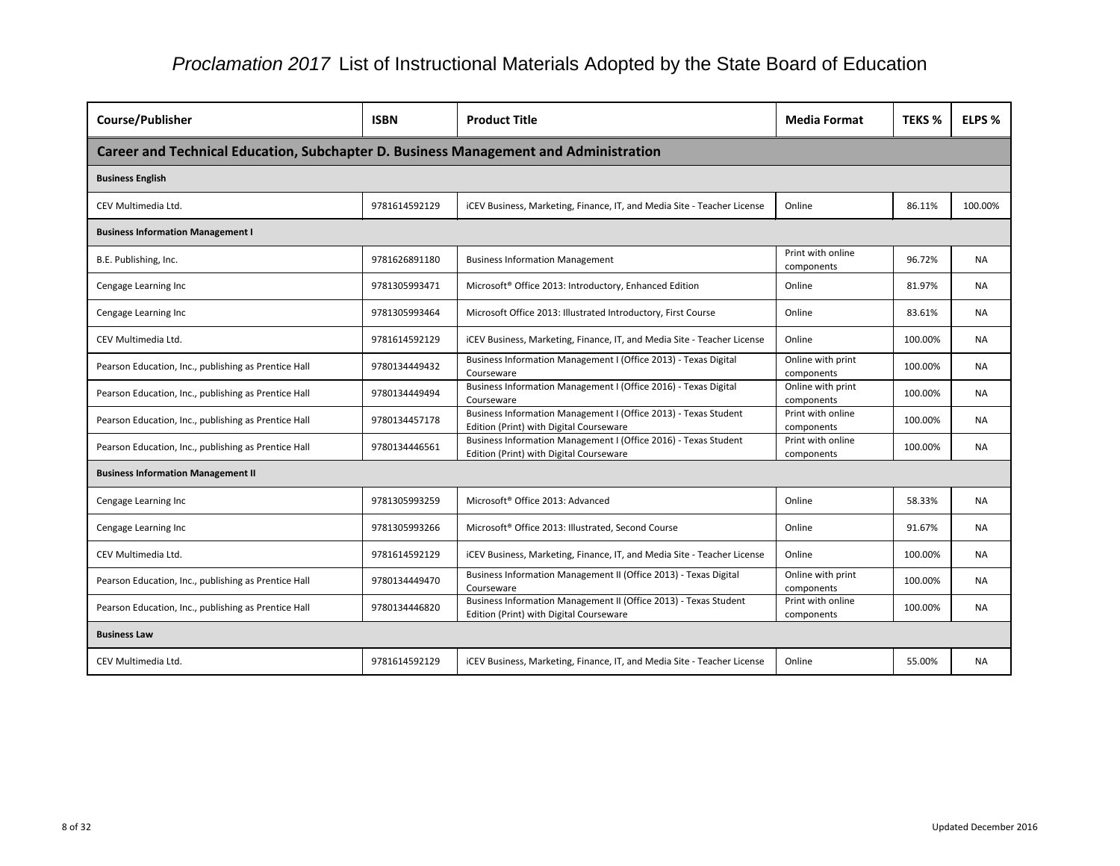| Course/Publisher                                                                     | <b>ISBN</b>   | <b>Product Title</b>                                                                                        | <b>Media Format</b>             | <b>TEKS %</b> | ELPS %    |
|--------------------------------------------------------------------------------------|---------------|-------------------------------------------------------------------------------------------------------------|---------------------------------|---------------|-----------|
| Career and Technical Education, Subchapter D. Business Management and Administration |               |                                                                                                             |                                 |               |           |
| <b>Business English</b>                                                              |               |                                                                                                             |                                 |               |           |
| CEV Multimedia Ltd.                                                                  | 9781614592129 | ICEV Business, Marketing, Finance, IT, and Media Site - Teacher License                                     | Online                          | 86.11%        | 100.00%   |
| <b>Business Information Management I</b>                                             |               |                                                                                                             |                                 |               |           |
| B.E. Publishing, Inc.                                                                | 9781626891180 | <b>Business Information Management</b>                                                                      | Print with online<br>components | 96.72%        | <b>NA</b> |
| Cengage Learning Inc                                                                 | 9781305993471 | Microsoft <sup>®</sup> Office 2013: Introductory, Enhanced Edition                                          | Online                          | 81.97%        | NA.       |
| Cengage Learning Inc                                                                 | 9781305993464 | Microsoft Office 2013: Illustrated Introductory, First Course                                               | Online                          | 83.61%        | NA        |
| CEV Multimedia Ltd.                                                                  | 9781614592129 | ICEV Business, Marketing, Finance, IT, and Media Site - Teacher License                                     | Online                          | 100.00%       | <b>NA</b> |
| Pearson Education, Inc., publishing as Prentice Hall                                 | 9780134449432 | Business Information Management I (Office 2013) - Texas Digital<br>Courseware                               | Online with print<br>components | 100.00%       | <b>NA</b> |
| Pearson Education, Inc., publishing as Prentice Hall                                 | 9780134449494 | Business Information Management I (Office 2016) - Texas Digital<br>Courseware                               | Online with print<br>components | 100.00%       | NA.       |
| Pearson Education, Inc., publishing as Prentice Hall                                 | 9780134457178 | Business Information Management I (Office 2013) - Texas Student<br>Edition (Print) with Digital Courseware  | Print with online<br>components | 100.00%       | <b>NA</b> |
| Pearson Education, Inc., publishing as Prentice Hall                                 | 9780134446561 | Business Information Management I (Office 2016) - Texas Student<br>Edition (Print) with Digital Courseware  | Print with online<br>components | 100.00%       | <b>NA</b> |
| <b>Business Information Management II</b>                                            |               |                                                                                                             |                                 |               |           |
| Cengage Learning Inc                                                                 | 9781305993259 | Microsoft <sup>®</sup> Office 2013: Advanced                                                                | Online                          | 58.33%        | <b>NA</b> |
| Cengage Learning Inc                                                                 | 9781305993266 | Microsoft <sup>®</sup> Office 2013: Illustrated, Second Course                                              | Online                          | 91.67%        | <b>NA</b> |
| CEV Multimedia Ltd.                                                                  | 9781614592129 | ICEV Business, Marketing, Finance, IT, and Media Site - Teacher License                                     | Online                          | 100.00%       | <b>NA</b> |
| Pearson Education, Inc., publishing as Prentice Hall                                 | 9780134449470 | Business Information Management II (Office 2013) - Texas Digital<br>Courseware                              | Online with print<br>components | 100.00%       | NA.       |
| Pearson Education, Inc., publishing as Prentice Hall                                 | 9780134446820 | Business Information Management II (Office 2013) - Texas Student<br>Edition (Print) with Digital Courseware | Print with online<br>components | 100.00%       | <b>NA</b> |
| <b>Business Law</b>                                                                  |               |                                                                                                             |                                 |               |           |
| CEV Multimedia Ltd.                                                                  | 9781614592129 | iCEV Business, Marketing, Finance, IT, and Media Site - Teacher License                                     | Online                          | 55.00%        | <b>NA</b> |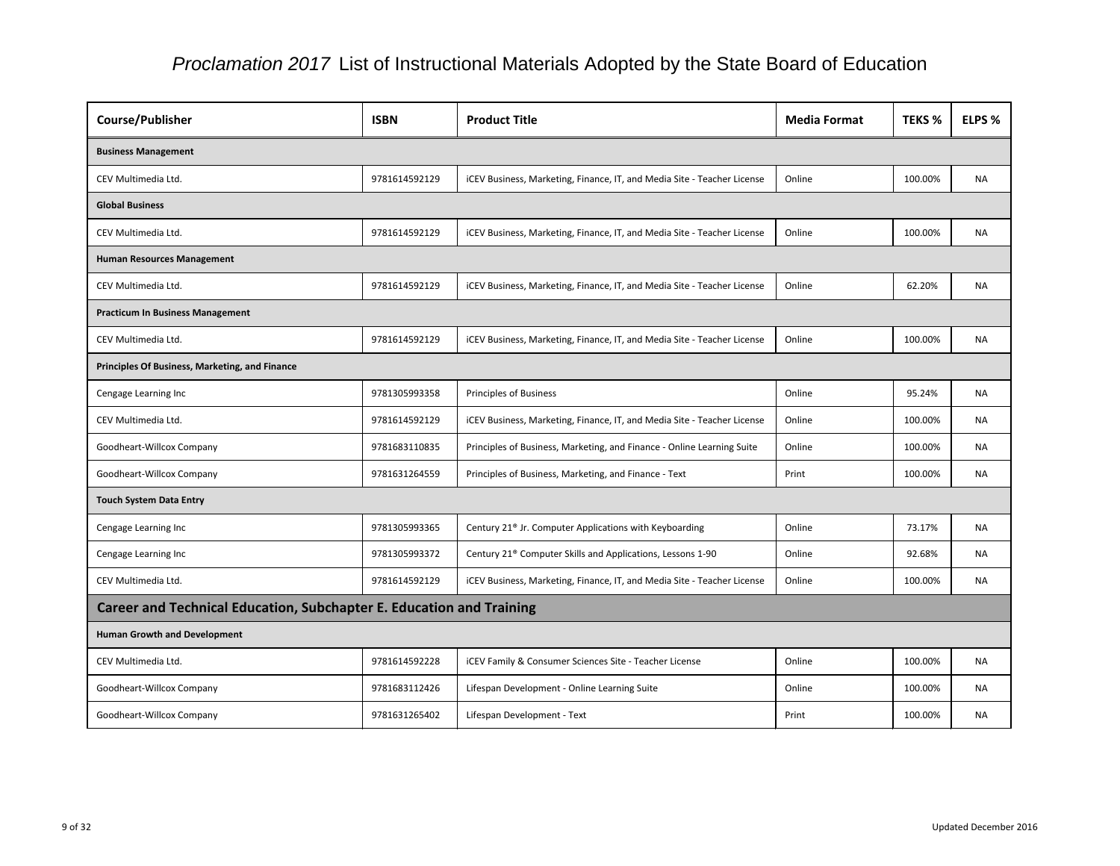| Course/Publisher                                                            | <b>ISBN</b>   | <b>Product Title</b>                                                    | <b>Media Format</b> | <b>TEKS %</b> | ELPS %    |  |  |
|-----------------------------------------------------------------------------|---------------|-------------------------------------------------------------------------|---------------------|---------------|-----------|--|--|
| <b>Business Management</b>                                                  |               |                                                                         |                     |               |           |  |  |
| CEV Multimedia Ltd.                                                         | 9781614592129 | ICEV Business, Marketing, Finance, IT, and Media Site - Teacher License | Online              | 100.00%       | <b>NA</b> |  |  |
| <b>Global Business</b>                                                      |               |                                                                         |                     |               |           |  |  |
| CEV Multimedia Ltd.                                                         | 9781614592129 | iCEV Business, Marketing, Finance, IT, and Media Site - Teacher License | Online              | 100.00%       | <b>NA</b> |  |  |
| <b>Human Resources Management</b>                                           |               |                                                                         |                     |               |           |  |  |
| CEV Multimedia Ltd.                                                         | 9781614592129 | ICEV Business, Marketing, Finance, IT, and Media Site - Teacher License | Online              | 62.20%        | <b>NA</b> |  |  |
| <b>Practicum In Business Management</b>                                     |               |                                                                         |                     |               |           |  |  |
| CEV Multimedia Ltd.                                                         | 9781614592129 | iCEV Business, Marketing, Finance, IT, and Media Site - Teacher License | Online              | 100.00%       | <b>NA</b> |  |  |
| <b>Principles Of Business, Marketing, and Finance</b>                       |               |                                                                         |                     |               |           |  |  |
| Cengage Learning Inc                                                        | 9781305993358 | Principles of Business                                                  | Online              | 95.24%        | <b>NA</b> |  |  |
| CEV Multimedia Ltd.                                                         | 9781614592129 | iCEV Business, Marketing, Finance, IT, and Media Site - Teacher License | Online              | 100.00%       | <b>NA</b> |  |  |
| Goodheart-Willcox Company                                                   | 9781683110835 | Principles of Business, Marketing, and Finance - Online Learning Suite  | Online              | 100.00%       | <b>NA</b> |  |  |
| Goodheart-Willcox Company                                                   | 9781631264559 | Principles of Business, Marketing, and Finance - Text                   | Print               | 100.00%       | <b>NA</b> |  |  |
| <b>Touch System Data Entry</b>                                              |               |                                                                         |                     |               |           |  |  |
| Cengage Learning Inc                                                        | 9781305993365 | Century 21 <sup>®</sup> Jr. Computer Applications with Keyboarding      | Online              | 73.17%        | <b>NA</b> |  |  |
| Cengage Learning Inc                                                        | 9781305993372 | Century 21 <sup>®</sup> Computer Skills and Applications, Lessons 1-90  | Online              | 92.68%        | <b>NA</b> |  |  |
| CEV Multimedia Ltd.                                                         | 9781614592129 | iCEV Business, Marketing, Finance, IT, and Media Site - Teacher License | Online              | 100.00%       | NA.       |  |  |
| <b>Career and Technical Education, Subchapter E. Education and Training</b> |               |                                                                         |                     |               |           |  |  |
| <b>Human Growth and Development</b>                                         |               |                                                                         |                     |               |           |  |  |
| CEV Multimedia Ltd.                                                         | 9781614592228 | iCEV Family & Consumer Sciences Site - Teacher License                  | Online              | 100.00%       | <b>NA</b> |  |  |
| Goodheart-Willcox Company                                                   | 9781683112426 | Lifespan Development - Online Learning Suite                            | Online              | 100.00%       | NA        |  |  |
| Goodheart-Willcox Company                                                   | 9781631265402 | Lifespan Development - Text                                             | Print               | 100.00%       | NA        |  |  |

| at | <b>TEKS %</b> | ELPS %    |
|----|---------------|-----------|
|    |               |           |
|    | 100.00%       | <b>NA</b> |
|    |               |           |
|    | 100.00%       | ΝA        |
|    |               |           |
|    | 62.20%        | <b>NA</b> |
|    |               |           |
|    | 100.00%       | NA        |
|    |               |           |
|    | 95.24%        | <b>NA</b> |
|    | 100.00%       | NA        |
|    | 100.00%       | NA        |
|    | 100.00%       | <b>NA</b> |
|    |               |           |
|    | 73.17%        | <b>NA</b> |
|    | 92.68%        | <b>NA</b> |
|    | 100.00%       | <b>NA</b> |
|    |               |           |
|    |               |           |
|    | 100.00%       | ΝA        |
|    | 100.00%       | <b>NA</b> |
|    | 100.00%       | <b>NA</b> |
|    |               |           |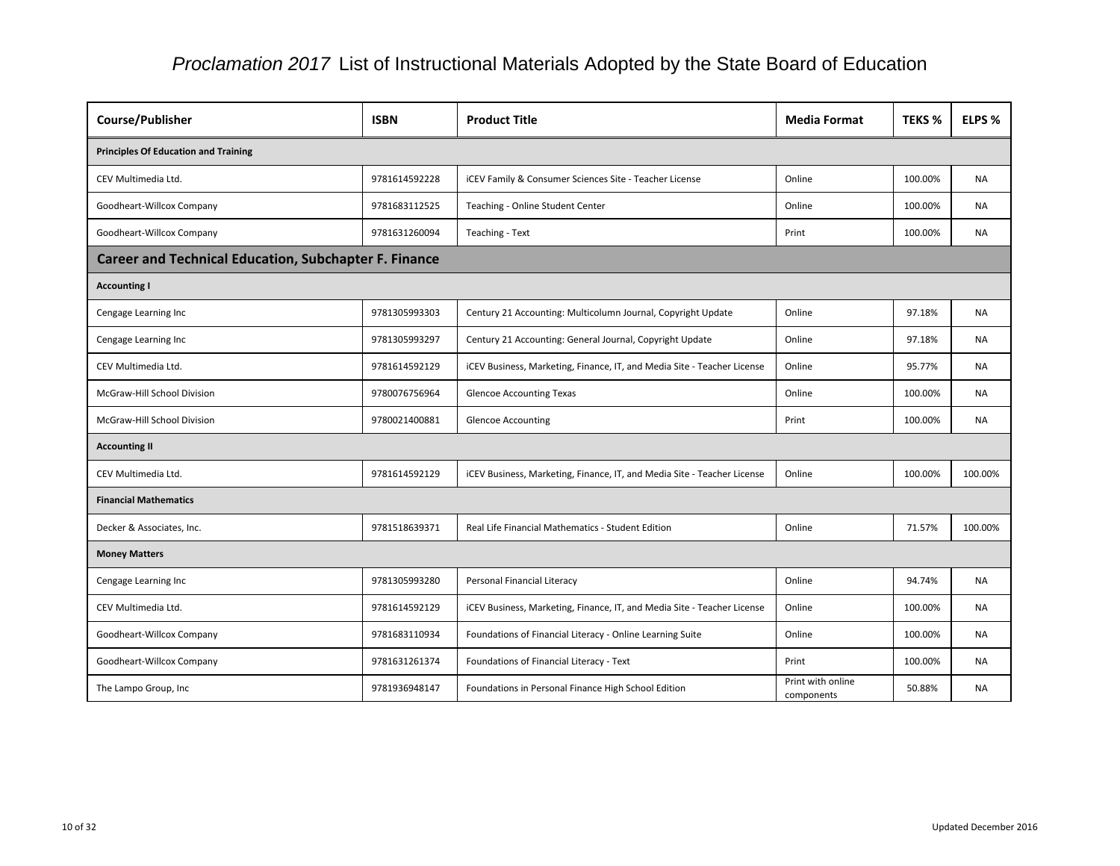| Course/Publisher                                             | <b>ISBN</b>   | <b>Product Title</b>                                                    | <b>Media Format</b>             | <b>TEKS %</b> | ELPS %    |  |  |
|--------------------------------------------------------------|---------------|-------------------------------------------------------------------------|---------------------------------|---------------|-----------|--|--|
| <b>Principles Of Education and Training</b>                  |               |                                                                         |                                 |               |           |  |  |
| CEV Multimedia Ltd.                                          | 9781614592228 | iCEV Family & Consumer Sciences Site - Teacher License                  | Online                          | 100.00%       | <b>NA</b> |  |  |
| Goodheart-Willcox Company                                    | 9781683112525 | Teaching - Online Student Center                                        | Online                          | 100.00%       | <b>NA</b> |  |  |
| Goodheart-Willcox Company                                    | 9781631260094 | Teaching - Text                                                         | Print                           | 100.00%       | <b>NA</b> |  |  |
| <b>Career and Technical Education, Subchapter F. Finance</b> |               |                                                                         |                                 |               |           |  |  |
| <b>Accounting I</b>                                          |               |                                                                         |                                 |               |           |  |  |
| Cengage Learning Inc                                         | 9781305993303 | Century 21 Accounting: Multicolumn Journal, Copyright Update            | Online                          | 97.18%        | <b>NA</b> |  |  |
| Cengage Learning Inc                                         | 9781305993297 | Century 21 Accounting: General Journal, Copyright Update                | Online                          | 97.18%        | <b>NA</b> |  |  |
| CEV Multimedia Ltd.                                          | 9781614592129 | iCEV Business, Marketing, Finance, IT, and Media Site - Teacher License | Online                          | 95.77%        | <b>NA</b> |  |  |
| McGraw-Hill School Division                                  | 9780076756964 | <b>Glencoe Accounting Texas</b>                                         | Online                          | 100.00%       | <b>NA</b> |  |  |
| McGraw-Hill School Division                                  | 9780021400881 | <b>Glencoe Accounting</b>                                               | Print                           | 100.00%       | <b>NA</b> |  |  |
| <b>Accounting II</b>                                         |               |                                                                         |                                 |               |           |  |  |
| CEV Multimedia Ltd.                                          | 9781614592129 | iCEV Business, Marketing, Finance, IT, and Media Site - Teacher License | Online                          | 100.00%       | 100.00%   |  |  |
| <b>Financial Mathematics</b>                                 |               |                                                                         |                                 |               |           |  |  |
| Decker & Associates, Inc.                                    | 9781518639371 | Real Life Financial Mathematics - Student Edition                       | Online                          | 71.57%        | 100.00%   |  |  |
| <b>Money Matters</b>                                         |               |                                                                         |                                 |               |           |  |  |
| Cengage Learning Inc                                         | 9781305993280 | Personal Financial Literacy                                             | Online                          | 94.74%        | <b>NA</b> |  |  |
| CEV Multimedia Ltd.                                          | 9781614592129 | ICEV Business, Marketing, Finance, IT, and Media Site - Teacher License | Online                          | 100.00%       | NA        |  |  |
| Goodheart-Willcox Company                                    | 9781683110934 | Foundations of Financial Literacy - Online Learning Suite               | Online                          | 100.00%       | <b>NA</b> |  |  |
| Goodheart-Willcox Company                                    | 9781631261374 | Foundations of Financial Literacy - Text                                | Print                           | 100.00%       | <b>NA</b> |  |  |
| The Lampo Group, Inc                                         | 9781936948147 | Foundations in Personal Finance High School Edition                     | Print with online<br>components | 50.88%        | NA        |  |  |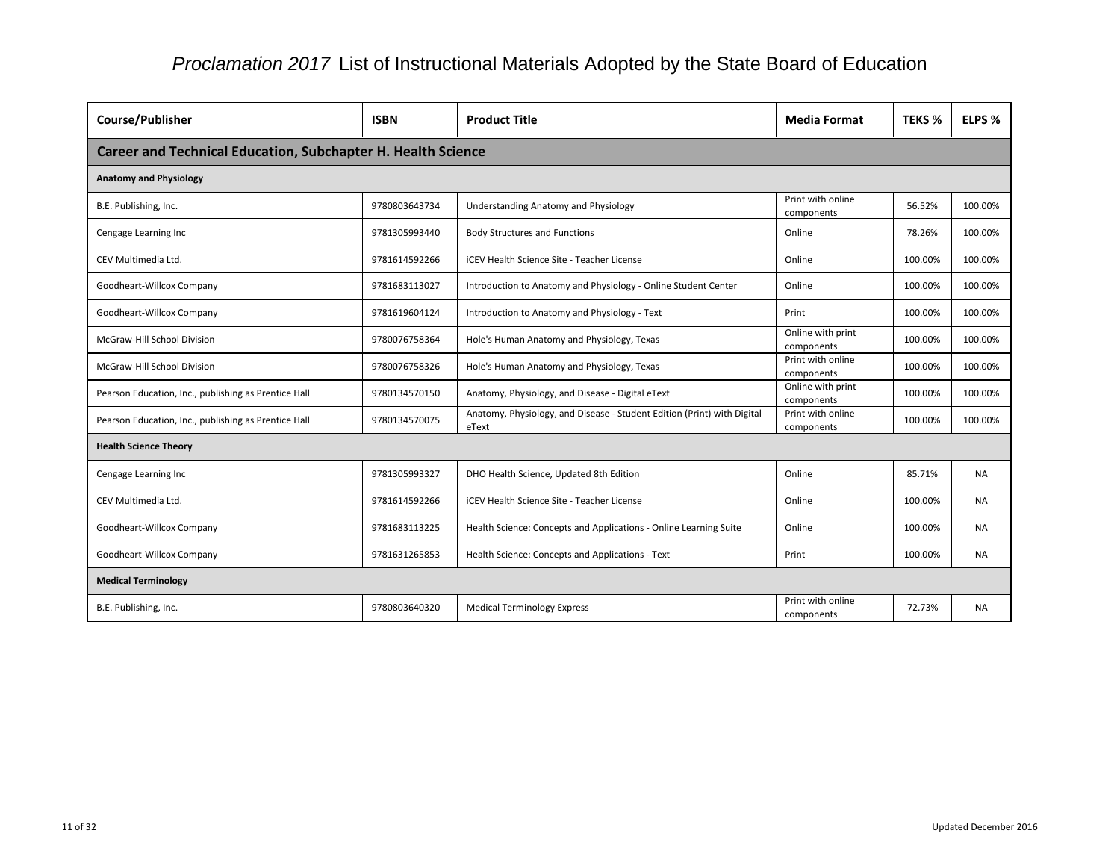| Course/Publisher                                                    | <b>ISBN</b>   | <b>Product Title</b>                                                             | <b>Media Format</b>             | <b>TEKS %</b> | ELPS %    |  |  |  |
|---------------------------------------------------------------------|---------------|----------------------------------------------------------------------------------|---------------------------------|---------------|-----------|--|--|--|
| <b>Career and Technical Education, Subchapter H. Health Science</b> |               |                                                                                  |                                 |               |           |  |  |  |
| <b>Anatomy and Physiology</b>                                       |               |                                                                                  |                                 |               |           |  |  |  |
| B.E. Publishing, Inc.                                               | 9780803643734 | Understanding Anatomy and Physiology                                             | Print with online<br>components | 56.52%        | 100.00%   |  |  |  |
| Cengage Learning Inc                                                | 9781305993440 | <b>Body Structures and Functions</b>                                             | Online                          | 78.26%        | 100.00%   |  |  |  |
| CEV Multimedia Ltd.                                                 | 9781614592266 | <b>iCEV Health Science Site - Teacher License</b>                                | Online                          | 100.00%       | 100.00%   |  |  |  |
| Goodheart-Willcox Company                                           | 9781683113027 | Introduction to Anatomy and Physiology - Online Student Center                   | Online                          | 100.00%       | 100.00%   |  |  |  |
| Goodheart-Willcox Company                                           | 9781619604124 | Introduction to Anatomy and Physiology - Text                                    | Print                           | 100.00%       | 100.00%   |  |  |  |
| McGraw-Hill School Division                                         | 9780076758364 | Hole's Human Anatomy and Physiology, Texas                                       | Online with print<br>components | 100.00%       | 100.00%   |  |  |  |
| McGraw-Hill School Division                                         | 9780076758326 | Hole's Human Anatomy and Physiology, Texas                                       | Print with online<br>components | 100.00%       | 100.00%   |  |  |  |
| Pearson Education, Inc., publishing as Prentice Hall                | 9780134570150 | Anatomy, Physiology, and Disease - Digital eText                                 | Online with print<br>components | 100.00%       | 100.00%   |  |  |  |
| Pearson Education, Inc., publishing as Prentice Hall                | 9780134570075 | Anatomy, Physiology, and Disease - Student Edition (Print) with Digital<br>eText | Print with online<br>components | 100.00%       | 100.00%   |  |  |  |
| <b>Health Science Theory</b>                                        |               |                                                                                  |                                 |               |           |  |  |  |
| Cengage Learning Inc                                                | 9781305993327 | DHO Health Science, Updated 8th Edition                                          | Online                          | 85.71%        | <b>NA</b> |  |  |  |
| CEV Multimedia Ltd.                                                 | 9781614592266 | <b>iCEV Health Science Site - Teacher License</b>                                | Online                          | 100.00%       | NA.       |  |  |  |
| Goodheart-Willcox Company                                           | 9781683113225 | Health Science: Concepts and Applications - Online Learning Suite                | Online                          | 100.00%       | <b>NA</b> |  |  |  |
| Goodheart-Willcox Company                                           | 9781631265853 | Health Science: Concepts and Applications - Text                                 | Print                           | 100.00%       | <b>NA</b> |  |  |  |
| <b>Medical Terminology</b>                                          |               |                                                                                  |                                 |               |           |  |  |  |
| B.E. Publishing, Inc.                                               | 9780803640320 | <b>Medical Terminology Express</b>                                               | Print with online<br>components | 72.73%        | <b>NA</b> |  |  |  |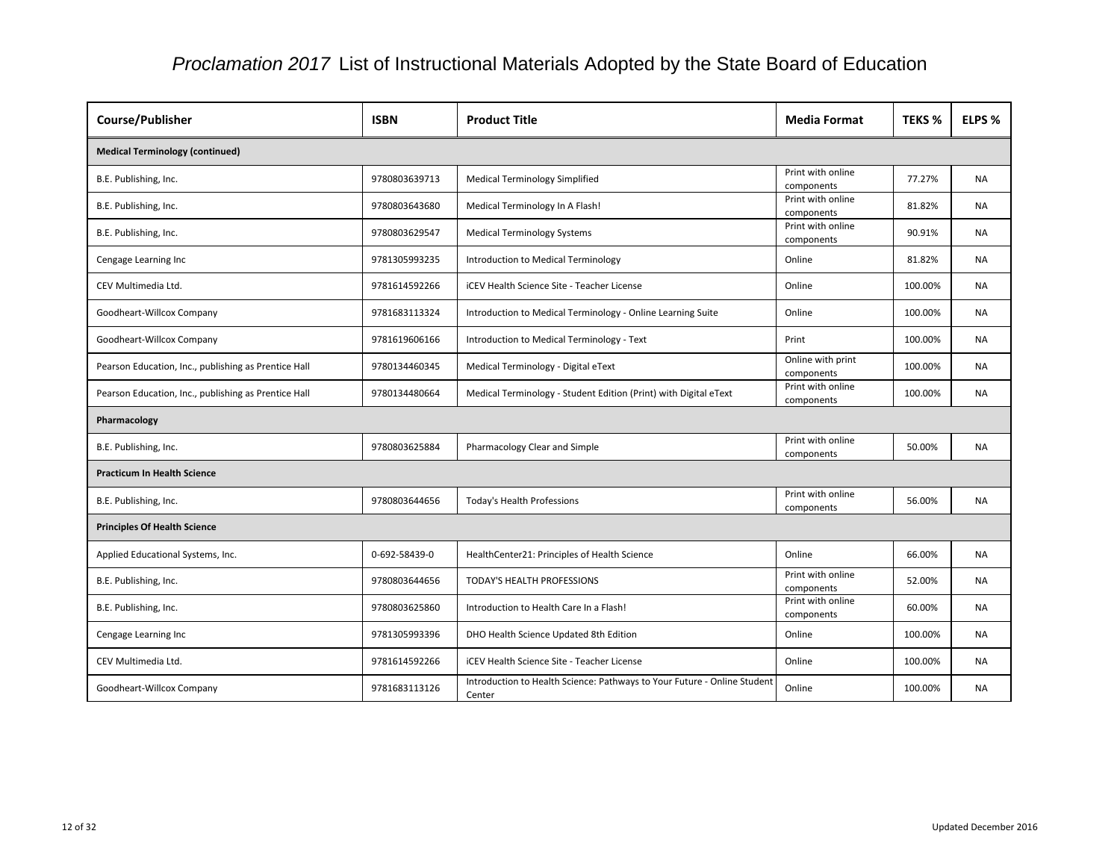| Course/Publisher                                     | <b>ISBN</b>   | <b>Product Title</b>                                                               | <b>Media Format</b>             | <b>TEKS %</b> | ELPS %    |  |  |
|------------------------------------------------------|---------------|------------------------------------------------------------------------------------|---------------------------------|---------------|-----------|--|--|
| <b>Medical Terminology (continued)</b>               |               |                                                                                    |                                 |               |           |  |  |
| B.E. Publishing, Inc.                                | 9780803639713 | <b>Medical Terminology Simplified</b>                                              | Print with online<br>components | 77.27%        | <b>NA</b> |  |  |
| B.E. Publishing, Inc.                                | 9780803643680 | Medical Terminology In A Flash!                                                    | Print with online<br>components | 81.82%        | NA        |  |  |
| B.E. Publishing, Inc.                                | 9780803629547 | <b>Medical Terminology Systems</b>                                                 | Print with online<br>components | 90.91%        | <b>NA</b> |  |  |
| Cengage Learning Inc                                 | 9781305993235 | Introduction to Medical Terminology                                                | Online                          | 81.82%        | <b>NA</b> |  |  |
| CEV Multimedia Ltd.                                  | 9781614592266 | <b>iCEV Health Science Site - Teacher License</b>                                  | Online                          | 100.00%       | <b>NA</b> |  |  |
| Goodheart-Willcox Company                            | 9781683113324 | Introduction to Medical Terminology - Online Learning Suite                        | Online                          | 100.00%       | NA        |  |  |
| Goodheart-Willcox Company                            | 9781619606166 | Introduction to Medical Terminology - Text                                         | Print                           | 100.00%       | <b>NA</b> |  |  |
| Pearson Education, Inc., publishing as Prentice Hall | 9780134460345 | Medical Terminology - Digital eText                                                | Online with print<br>components | 100.00%       | <b>NA</b> |  |  |
| Pearson Education, Inc., publishing as Prentice Hall | 9780134480664 | Medical Terminology - Student Edition (Print) with Digital eText                   | Print with online<br>components | 100.00%       | <b>NA</b> |  |  |
| Pharmacology                                         |               |                                                                                    |                                 |               |           |  |  |
| B.E. Publishing, Inc.                                | 9780803625884 | Pharmacology Clear and Simple                                                      | Print with online<br>components | 50.00%        | <b>NA</b> |  |  |
| <b>Practicum In Health Science</b>                   |               |                                                                                    |                                 |               |           |  |  |
| B.E. Publishing, Inc.                                | 9780803644656 | <b>Today's Health Professions</b>                                                  | Print with online<br>components | 56.00%        | NA        |  |  |
| <b>Principles Of Health Science</b>                  |               |                                                                                    |                                 |               |           |  |  |
| Applied Educational Systems, Inc.                    | 0-692-58439-0 | HealthCenter21: Principles of Health Science                                       | Online                          | 66.00%        | <b>NA</b> |  |  |
| B.E. Publishing, Inc.                                | 9780803644656 | TODAY'S HEALTH PROFESSIONS                                                         | Print with online<br>components | 52.00%        | <b>NA</b> |  |  |
| B.E. Publishing, Inc.                                | 9780803625860 | Introduction to Health Care In a Flash!                                            | Print with online<br>components | 60.00%        | <b>NA</b> |  |  |
| Cengage Learning Inc                                 | 9781305993396 | DHO Health Science Updated 8th Edition                                             | Online                          | 100.00%       | <b>NA</b> |  |  |
| CEV Multimedia Ltd.                                  | 9781614592266 | <b>iCEV Health Science Site - Teacher License</b>                                  | Online                          | 100.00%       | <b>NA</b> |  |  |
| Goodheart-Willcox Company                            | 9781683113126 | Introduction to Health Science: Pathways to Your Future - Online Student<br>Center | Online                          | 100.00%       | <b>NA</b> |  |  |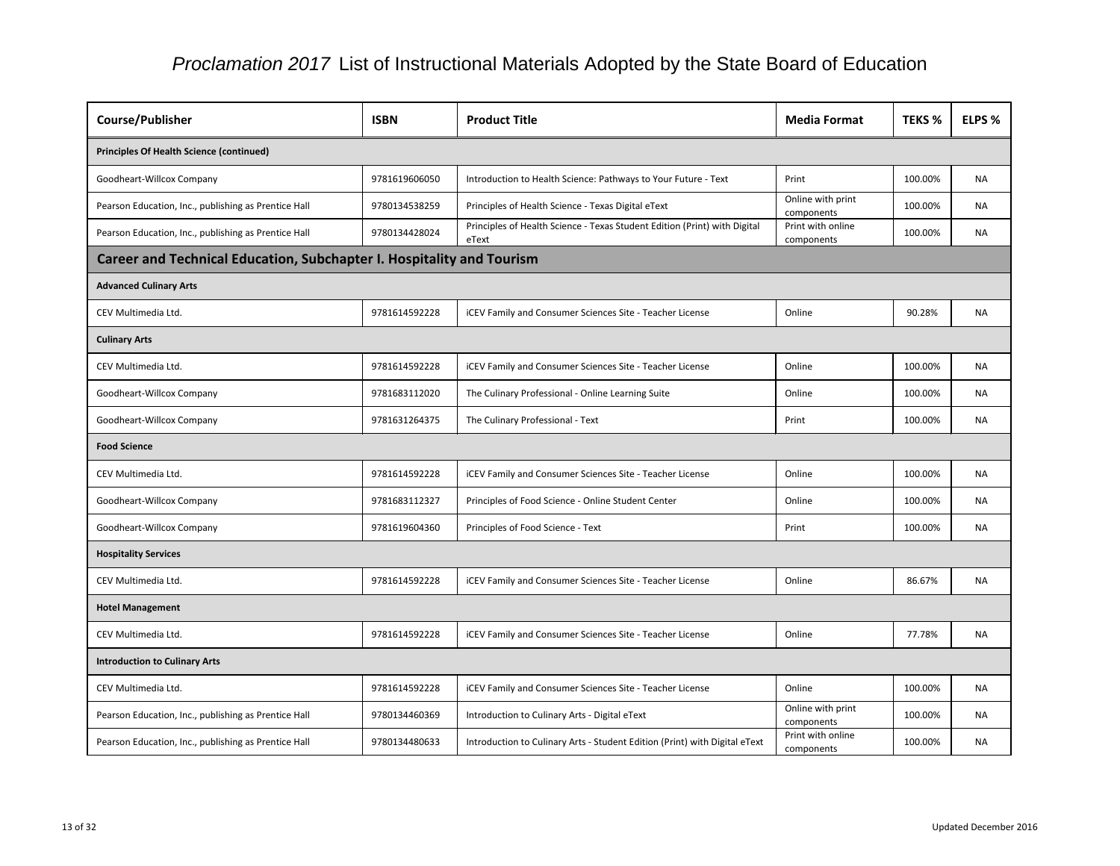| <b>Course/Publisher</b>                                                      | <b>ISBN</b>   | <b>Product Title</b>                                                               | <b>Media Format</b>             | <b>TEKS %</b> | ELPS %    |  |  |
|------------------------------------------------------------------------------|---------------|------------------------------------------------------------------------------------|---------------------------------|---------------|-----------|--|--|
| <b>Principles Of Health Science (continued)</b>                              |               |                                                                                    |                                 |               |           |  |  |
| Goodheart-Willcox Company                                                    | 9781619606050 | Introduction to Health Science: Pathways to Your Future - Text                     | Print                           | 100.00%       | <b>NA</b> |  |  |
| Pearson Education, Inc., publishing as Prentice Hall                         | 9780134538259 | Principles of Health Science - Texas Digital eText                                 | Online with print<br>components | 100.00%       | <b>NA</b> |  |  |
| Pearson Education, Inc., publishing as Prentice Hall                         | 9780134428024 | Principles of Health Science - Texas Student Edition (Print) with Digital<br>eText | Print with online<br>components | 100.00%       | <b>NA</b> |  |  |
| <b>Career and Technical Education, Subchapter I. Hospitality and Tourism</b> |               |                                                                                    |                                 |               |           |  |  |
| <b>Advanced Culinary Arts</b>                                                |               |                                                                                    |                                 |               |           |  |  |
| CEV Multimedia Ltd.                                                          | 9781614592228 | iCEV Family and Consumer Sciences Site - Teacher License                           | Online                          | 90.28%        | NA.       |  |  |
| <b>Culinary Arts</b>                                                         |               |                                                                                    |                                 |               |           |  |  |
| CEV Multimedia Ltd.                                                          | 9781614592228 | iCEV Family and Consumer Sciences Site - Teacher License                           | Online                          | 100.00%       | <b>NA</b> |  |  |
| Goodheart-Willcox Company                                                    | 9781683112020 | The Culinary Professional - Online Learning Suite                                  | Online                          | 100.00%       | <b>NA</b> |  |  |
| Goodheart-Willcox Company                                                    | 9781631264375 | The Culinary Professional - Text                                                   | Print                           | 100.00%       | NA.       |  |  |
| <b>Food Science</b>                                                          |               |                                                                                    |                                 |               |           |  |  |
| CEV Multimedia Ltd.                                                          | 9781614592228 | iCEV Family and Consumer Sciences Site - Teacher License                           | Online                          | 100.00%       | <b>NA</b> |  |  |
| Goodheart-Willcox Company                                                    | 9781683112327 | Principles of Food Science - Online Student Center                                 | Online                          | 100.00%       | NA        |  |  |
| Goodheart-Willcox Company                                                    | 9781619604360 | Principles of Food Science - Text                                                  | Print                           | 100.00%       | <b>NA</b> |  |  |
| <b>Hospitality Services</b>                                                  |               |                                                                                    |                                 |               |           |  |  |
| CEV Multimedia Ltd.                                                          | 9781614592228 | iCEV Family and Consumer Sciences Site - Teacher License                           | Online                          | 86.67%        | <b>NA</b> |  |  |
| <b>Hotel Management</b>                                                      |               |                                                                                    |                                 |               |           |  |  |
| CEV Multimedia Ltd.                                                          | 9781614592228 | iCEV Family and Consumer Sciences Site - Teacher License                           | Online                          | 77.78%        | <b>NA</b> |  |  |
| <b>Introduction to Culinary Arts</b>                                         |               |                                                                                    |                                 |               |           |  |  |
| CEV Multimedia Ltd.                                                          | 9781614592228 | iCEV Family and Consumer Sciences Site - Teacher License                           | Online                          | 100.00%       | <b>NA</b> |  |  |
| Pearson Education, Inc., publishing as Prentice Hall                         | 9780134460369 | Introduction to Culinary Arts - Digital eText                                      | Online with print<br>components | 100.00%       | <b>NA</b> |  |  |
| Pearson Education, Inc., publishing as Prentice Hall                         | 9780134480633 | Introduction to Culinary Arts - Student Edition (Print) with Digital eText         | Print with online<br>components | 100.00%       | <b>NA</b> |  |  |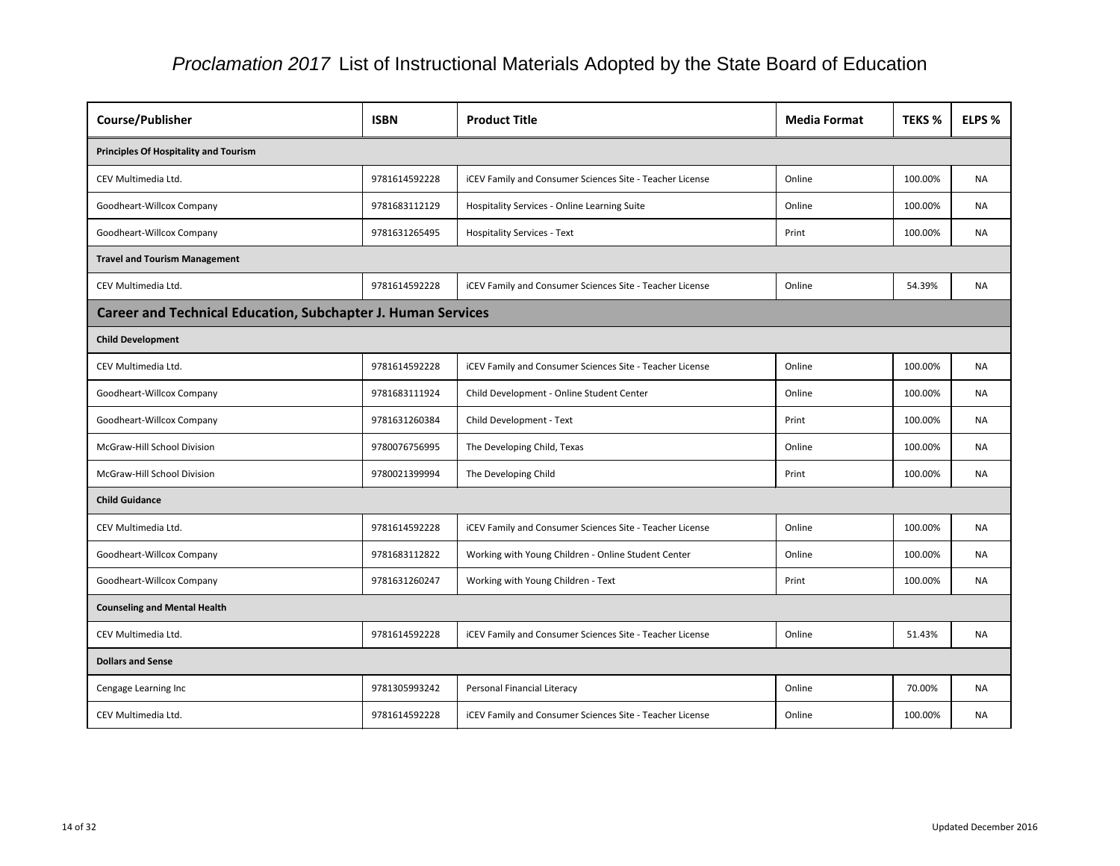| Course/Publisher                                                    | <b>ISBN</b>   | <b>Product Title</b>                                     | <b>Media Format</b> | <b>TEKS %</b> | ELPS %    |  |  |  |
|---------------------------------------------------------------------|---------------|----------------------------------------------------------|---------------------|---------------|-----------|--|--|--|
| <b>Principles Of Hospitality and Tourism</b>                        |               |                                                          |                     |               |           |  |  |  |
| CEV Multimedia Ltd.                                                 | 9781614592228 | iCEV Family and Consumer Sciences Site - Teacher License | Online              | 100.00%       | <b>NA</b> |  |  |  |
| Goodheart-Willcox Company                                           | 9781683112129 | <b>Hospitality Services - Online Learning Suite</b>      | Online              | 100.00%       | <b>NA</b> |  |  |  |
| Goodheart-Willcox Company                                           | 9781631265495 | <b>Hospitality Services - Text</b>                       | Print               | 100.00%       | <b>NA</b> |  |  |  |
| <b>Travel and Tourism Management</b>                                |               |                                                          |                     |               |           |  |  |  |
| CEV Multimedia Ltd.                                                 | 9781614592228 | iCEV Family and Consumer Sciences Site - Teacher License | Online              | 54.39%        | <b>NA</b> |  |  |  |
| <b>Career and Technical Education, Subchapter J. Human Services</b> |               |                                                          |                     |               |           |  |  |  |
| <b>Child Development</b>                                            |               |                                                          |                     |               |           |  |  |  |
| CEV Multimedia Ltd.                                                 | 9781614592228 | iCEV Family and Consumer Sciences Site - Teacher License | Online              | 100.00%       | <b>NA</b> |  |  |  |
| Goodheart-Willcox Company                                           | 9781683111924 | Child Development - Online Student Center                | Online              | 100.00%       | <b>NA</b> |  |  |  |
| Goodheart-Willcox Company                                           | 9781631260384 | Child Development - Text                                 | Print               | 100.00%       | NA.       |  |  |  |
| McGraw-Hill School Division                                         | 9780076756995 | The Developing Child, Texas                              | Online              | 100.00%       | <b>NA</b> |  |  |  |
| McGraw-Hill School Division                                         | 9780021399994 | The Developing Child                                     | Print               | 100.00%       | <b>NA</b> |  |  |  |
| <b>Child Guidance</b>                                               |               |                                                          |                     |               |           |  |  |  |
| CEV Multimedia Ltd.                                                 | 9781614592228 | iCEV Family and Consumer Sciences Site - Teacher License | Online              | 100.00%       | <b>NA</b> |  |  |  |
| Goodheart-Willcox Company                                           | 9781683112822 | Working with Young Children - Online Student Center      | Online              | 100.00%       | <b>NA</b> |  |  |  |
| Goodheart-Willcox Company                                           | 9781631260247 | Working with Young Children - Text                       | Print               | 100.00%       | <b>NA</b> |  |  |  |
| <b>Counseling and Mental Health</b>                                 |               |                                                          |                     |               |           |  |  |  |
| CEV Multimedia Ltd.                                                 | 9781614592228 | iCEV Family and Consumer Sciences Site - Teacher License | Online              | 51.43%        | <b>NA</b> |  |  |  |
| <b>Dollars and Sense</b>                                            |               |                                                          |                     |               |           |  |  |  |
| Cengage Learning Inc                                                | 9781305993242 | Personal Financial Literacy                              | Online              | 70.00%        | <b>NA</b> |  |  |  |
| CEV Multimedia Ltd.                                                 | 9781614592228 | iCEV Family and Consumer Sciences Site - Teacher License | Online              | 100.00%       | NA        |  |  |  |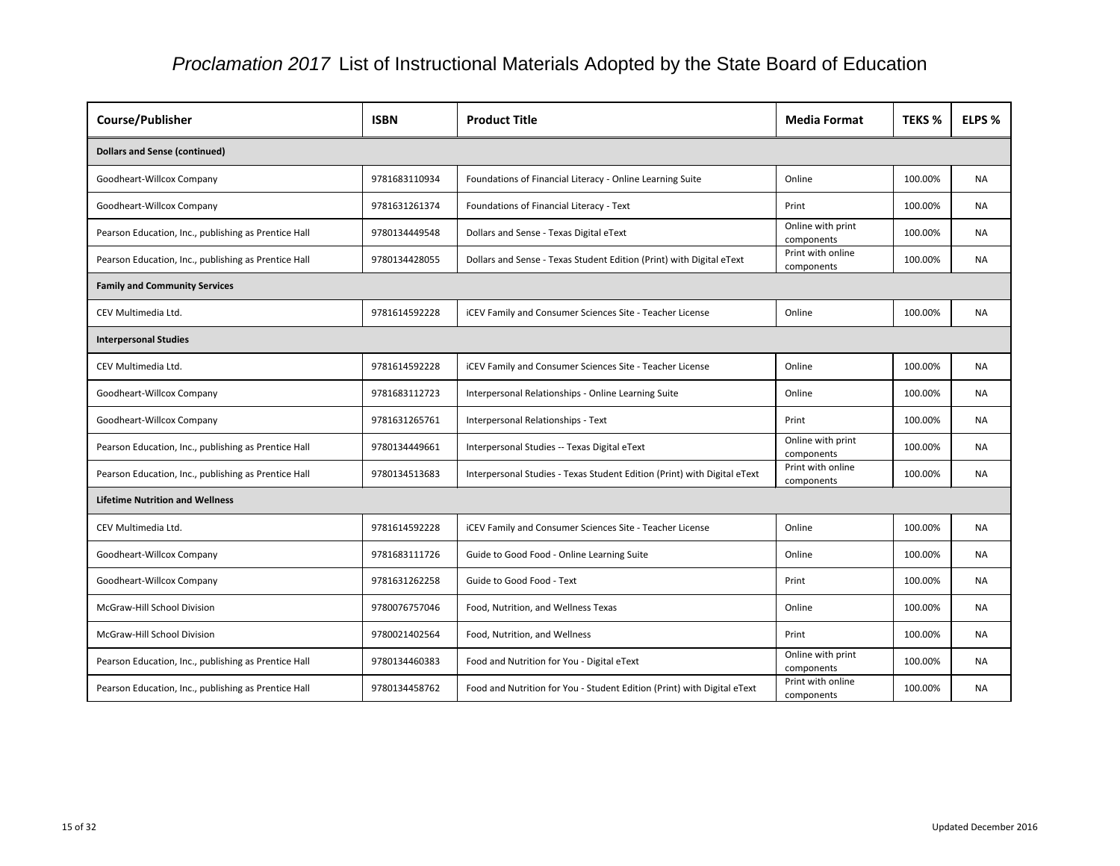| Course/Publisher                                     | <b>ISBN</b>   | <b>Product Title</b>                                                     | <b>Media Format</b>             | <b>TEKS %</b> | ELPS %    |  |  |
|------------------------------------------------------|---------------|--------------------------------------------------------------------------|---------------------------------|---------------|-----------|--|--|
| <b>Dollars and Sense (continued)</b>                 |               |                                                                          |                                 |               |           |  |  |
| Goodheart-Willcox Company                            | 9781683110934 | Foundations of Financial Literacy - Online Learning Suite                | Online                          | 100.00%       | <b>NA</b> |  |  |
| Goodheart-Willcox Company                            | 9781631261374 | Foundations of Financial Literacy - Text                                 | Print                           | 100.00%       | <b>NA</b> |  |  |
| Pearson Education, Inc., publishing as Prentice Hall | 9780134449548 | Dollars and Sense - Texas Digital eText                                  | Online with print<br>components | 100.00%       | NA        |  |  |
| Pearson Education, Inc., publishing as Prentice Hall | 9780134428055 | Dollars and Sense - Texas Student Edition (Print) with Digital eText     | Print with online<br>components | 100.00%       | <b>NA</b> |  |  |
| <b>Family and Community Services</b>                 |               |                                                                          |                                 |               |           |  |  |
| CEV Multimedia Ltd.                                  | 9781614592228 | iCEV Family and Consumer Sciences Site - Teacher License                 | Online                          | 100.00%       | <b>NA</b> |  |  |
| <b>Interpersonal Studies</b>                         |               |                                                                          |                                 |               |           |  |  |
| CEV Multimedia Ltd.                                  | 9781614592228 | iCEV Family and Consumer Sciences Site - Teacher License                 | Online                          | 100.00%       | <b>NA</b> |  |  |
| Goodheart-Willcox Company                            | 9781683112723 | Interpersonal Relationships - Online Learning Suite                      | Online                          | 100.00%       | <b>NA</b> |  |  |
| Goodheart-Willcox Company                            | 9781631265761 | Interpersonal Relationships - Text                                       | Print                           | 100.00%       | <b>NA</b> |  |  |
| Pearson Education, Inc., publishing as Prentice Hall | 9780134449661 | Interpersonal Studies -- Texas Digital eText                             | Online with print<br>components | 100.00%       | <b>NA</b> |  |  |
| Pearson Education, Inc., publishing as Prentice Hall | 9780134513683 | Interpersonal Studies - Texas Student Edition (Print) with Digital eText | Print with online<br>components | 100.00%       | <b>NA</b> |  |  |
| <b>Lifetime Nutrition and Wellness</b>               |               |                                                                          |                                 |               |           |  |  |
| CEV Multimedia Ltd.                                  | 9781614592228 | iCEV Family and Consumer Sciences Site - Teacher License                 | Online                          | 100.00%       | <b>NA</b> |  |  |
| Goodheart-Willcox Company                            | 9781683111726 | Guide to Good Food - Online Learning Suite                               | Online                          | 100.00%       | <b>NA</b> |  |  |
| Goodheart-Willcox Company                            | 9781631262258 | Guide to Good Food - Text                                                | Print                           | 100.00%       | <b>NA</b> |  |  |
| McGraw-Hill School Division                          | 9780076757046 | Food, Nutrition, and Wellness Texas                                      | Online                          | 100.00%       | <b>NA</b> |  |  |
| McGraw-Hill School Division                          | 9780021402564 | Food, Nutrition, and Wellness                                            | Print                           | 100.00%       | <b>NA</b> |  |  |
| Pearson Education, Inc., publishing as Prentice Hall | 9780134460383 | Food and Nutrition for You - Digital eText                               | Online with print<br>components | 100.00%       | <b>NA</b> |  |  |
| Pearson Education, Inc., publishing as Prentice Hall | 9780134458762 | Food and Nutrition for You - Student Edition (Print) with Digital eText  | Print with online<br>components | 100.00%       | <b>NA</b> |  |  |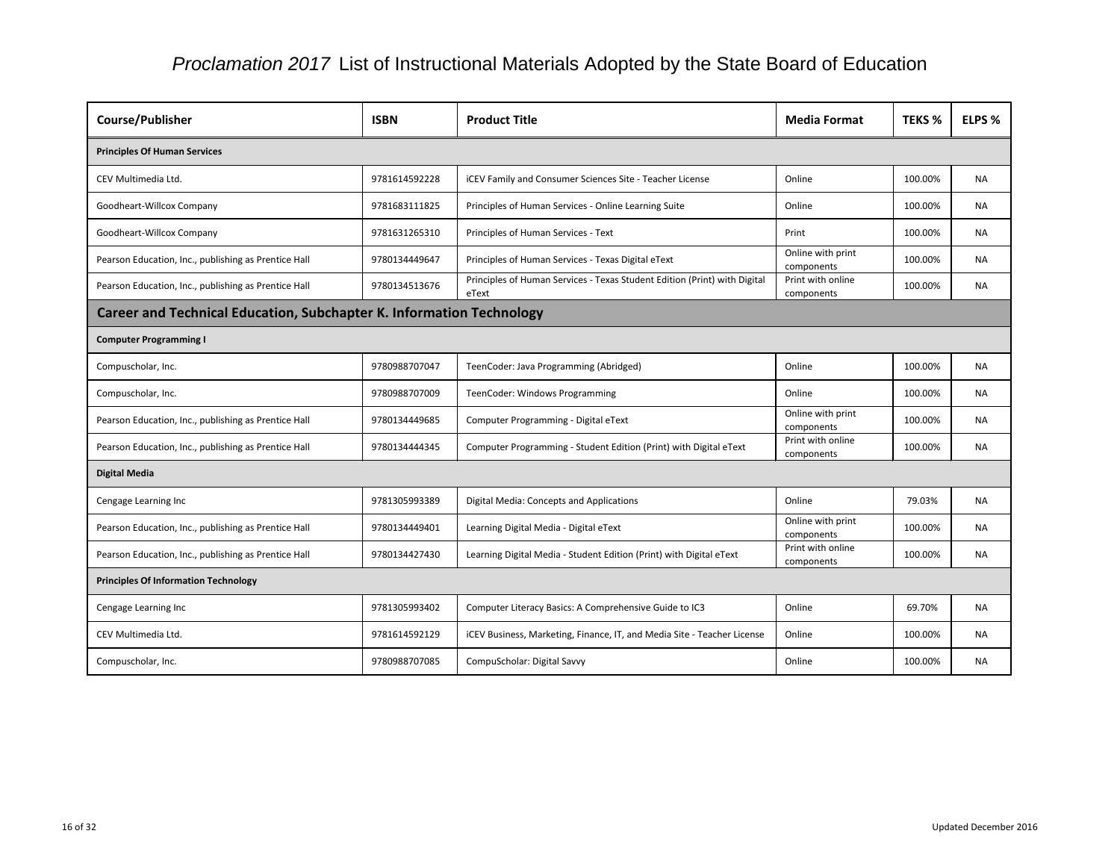| <b>Course/Publisher</b>                                                     | <b>ISBN</b>   | <b>Product Title</b>                                                               | <b>Media Format</b>             | <b>TEKS %</b> | ELPS %    |  |  |
|-----------------------------------------------------------------------------|---------------|------------------------------------------------------------------------------------|---------------------------------|---------------|-----------|--|--|
| <b>Principles Of Human Services</b>                                         |               |                                                                                    |                                 |               |           |  |  |
| CEV Multimedia Ltd.                                                         | 9781614592228 | iCEV Family and Consumer Sciences Site - Teacher License                           | Online                          | 100.00%       | <b>NA</b> |  |  |
| Goodheart-Willcox Company                                                   | 9781683111825 | Principles of Human Services - Online Learning Suite                               | Online                          | 100.00%       | <b>NA</b> |  |  |
| Goodheart-Willcox Company                                                   | 9781631265310 | Principles of Human Services - Text                                                | Print                           | 100.00%       | NA.       |  |  |
| Pearson Education, Inc., publishing as Prentice Hall                        | 9780134449647 | Principles of Human Services - Texas Digital eText                                 | Online with print<br>components | 100.00%       | <b>NA</b> |  |  |
| Pearson Education, Inc., publishing as Prentice Hall                        | 9780134513676 | Principles of Human Services - Texas Student Edition (Print) with Digital<br>eText | Print with online<br>components | 100.00%       | <b>NA</b> |  |  |
| <b>Career and Technical Education, Subchapter K. Information Technology</b> |               |                                                                                    |                                 |               |           |  |  |
| <b>Computer Programming I</b>                                               |               |                                                                                    |                                 |               |           |  |  |
| Compuscholar, Inc.                                                          | 9780988707047 | TeenCoder: Java Programming (Abridged)                                             | Online                          | 100.00%       | <b>NA</b> |  |  |
| Compuscholar, Inc.                                                          | 9780988707009 | TeenCoder: Windows Programming                                                     | Online                          | 100.00%       | <b>NA</b> |  |  |
| Pearson Education, Inc., publishing as Prentice Hall                        | 9780134449685 | Computer Programming - Digital eText                                               | Online with print<br>components | 100.00%       | NA.       |  |  |
| Pearson Education, Inc., publishing as Prentice Hall                        | 9780134444345 | Computer Programming - Student Edition (Print) with Digital eText                  | Print with online<br>components | 100.00%       | <b>NA</b> |  |  |
| <b>Digital Media</b>                                                        |               |                                                                                    |                                 |               |           |  |  |
| Cengage Learning Inc                                                        | 9781305993389 | Digital Media: Concepts and Applications                                           | Online                          | 79.03%        | NA.       |  |  |
| Pearson Education, Inc., publishing as Prentice Hall                        | 9780134449401 | Learning Digital Media - Digital eText                                             | Online with print<br>components | 100.00%       | <b>NA</b> |  |  |
| Pearson Education, Inc., publishing as Prentice Hall                        | 9780134427430 | Learning Digital Media - Student Edition (Print) with Digital eText                | Print with online<br>components | 100.00%       | <b>NA</b> |  |  |
| <b>Principles Of Information Technology</b>                                 |               |                                                                                    |                                 |               |           |  |  |
| Cengage Learning Inc                                                        | 9781305993402 | Computer Literacy Basics: A Comprehensive Guide to IC3                             | Online                          | 69.70%        | NA.       |  |  |
| CEV Multimedia Ltd.                                                         | 9781614592129 | iCEV Business, Marketing, Finance, IT, and Media Site - Teacher License            | Online                          | 100.00%       | <b>NA</b> |  |  |
| Compuscholar, Inc.                                                          | 9780988707085 | CompuScholar: Digital Savvy                                                        | Online                          | 100.00%       | NA        |  |  |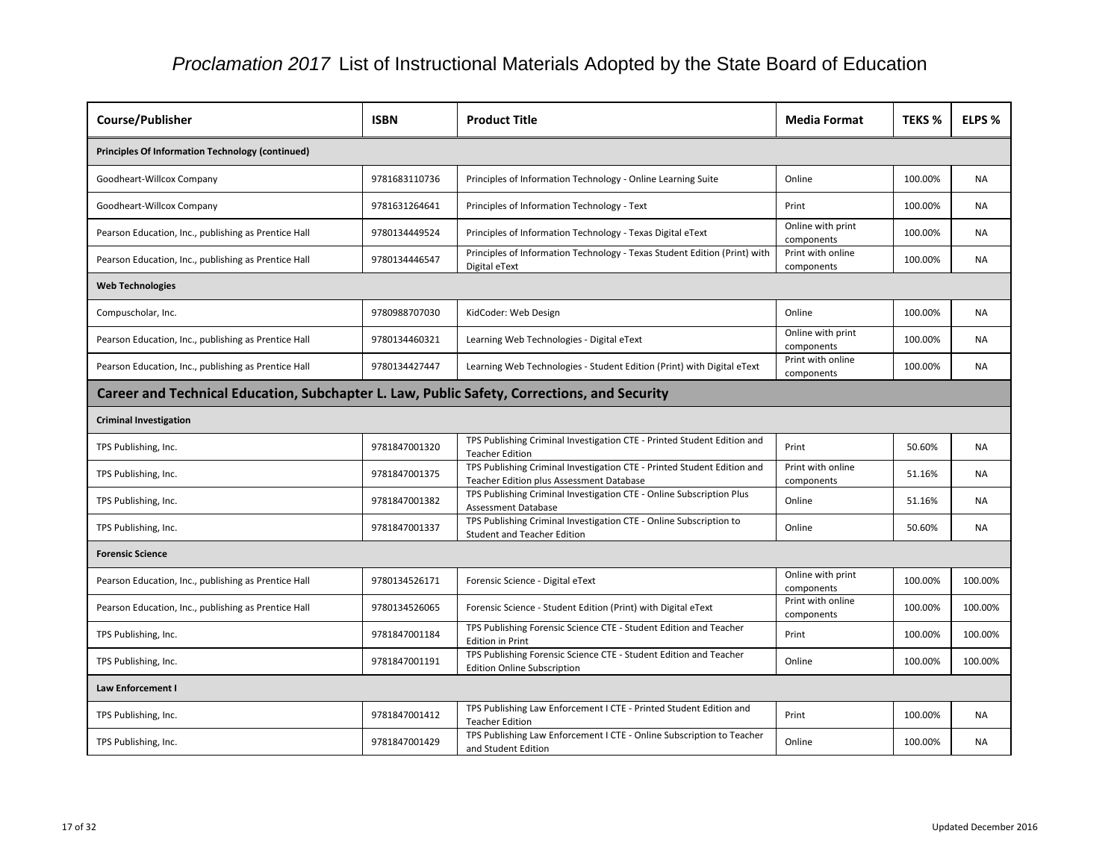| <b>Course/Publisher</b>                                                                     | <b>ISBN</b>   | <b>Product Title</b>                                                                                                | <b>Media Format</b>             | <b>TEKS %</b> | ELPS %    |  |  |  |
|---------------------------------------------------------------------------------------------|---------------|---------------------------------------------------------------------------------------------------------------------|---------------------------------|---------------|-----------|--|--|--|
| <b>Principles Of Information Technology (continued)</b>                                     |               |                                                                                                                     |                                 |               |           |  |  |  |
| Goodheart-Willcox Company                                                                   | 9781683110736 | Principles of Information Technology - Online Learning Suite                                                        | Online                          | 100.00%       | <b>NA</b> |  |  |  |
| Goodheart-Willcox Company                                                                   | 9781631264641 | Principles of Information Technology - Text                                                                         | Print                           | 100.00%       | <b>NA</b> |  |  |  |
| Pearson Education, Inc., publishing as Prentice Hall                                        | 9780134449524 | Principles of Information Technology - Texas Digital eText                                                          | Online with print<br>components | 100.00%       | <b>NA</b> |  |  |  |
| Pearson Education, Inc., publishing as Prentice Hall                                        | 9780134446547 | Principles of Information Technology - Texas Student Edition (Print) with<br>Digital eText                          | Print with online<br>components | 100.00%       | <b>NA</b> |  |  |  |
| <b>Web Technologies</b>                                                                     |               |                                                                                                                     |                                 |               |           |  |  |  |
| Compuscholar, Inc.                                                                          | 9780988707030 | KidCoder: Web Design                                                                                                | Online                          | 100.00%       | <b>NA</b> |  |  |  |
| Pearson Education, Inc., publishing as Prentice Hall                                        | 9780134460321 | Learning Web Technologies - Digital eText                                                                           | Online with print<br>components | 100.00%       | <b>NA</b> |  |  |  |
| Pearson Education, Inc., publishing as Prentice Hall                                        | 9780134427447 | Learning Web Technologies - Student Edition (Print) with Digital eText                                              | Print with online<br>components | 100.00%       | <b>NA</b> |  |  |  |
| Career and Technical Education, Subchapter L. Law, Public Safety, Corrections, and Security |               |                                                                                                                     |                                 |               |           |  |  |  |
| <b>Criminal Investigation</b>                                                               |               |                                                                                                                     |                                 |               |           |  |  |  |
| TPS Publishing, Inc.                                                                        | 9781847001320 | TPS Publishing Criminal Investigation CTE - Printed Student Edition and<br><b>Teacher Edition</b>                   | Print                           | 50.60%        | <b>NA</b> |  |  |  |
| TPS Publishing, Inc.                                                                        | 9781847001375 | TPS Publishing Criminal Investigation CTE - Printed Student Edition and<br>Teacher Edition plus Assessment Database | Print with online<br>components | 51.16%        | <b>NA</b> |  |  |  |
| TPS Publishing, Inc.                                                                        | 9781847001382 | TPS Publishing Criminal Investigation CTE - Online Subscription Plus<br>Assessment Database                         | Online                          | 51.16%        | <b>NA</b> |  |  |  |
| TPS Publishing, Inc.                                                                        | 9781847001337 | TPS Publishing Criminal Investigation CTE - Online Subscription to<br><b>Student and Teacher Edition</b>            | Online                          | 50.60%        | <b>NA</b> |  |  |  |
| <b>Forensic Science</b>                                                                     |               |                                                                                                                     |                                 |               |           |  |  |  |
| Pearson Education, Inc., publishing as Prentice Hall                                        | 9780134526171 | Forensic Science - Digital eText                                                                                    | Online with print<br>components | 100.00%       | 100.00%   |  |  |  |
| Pearson Education, Inc., publishing as Prentice Hall                                        | 9780134526065 | Forensic Science - Student Edition (Print) with Digital eText                                                       | Print with online<br>components | 100.00%       | 100.00%   |  |  |  |
| TPS Publishing, Inc.                                                                        | 9781847001184 | TPS Publishing Forensic Science CTE - Student Edition and Teacher<br><b>Edition in Print</b>                        | Print                           | 100.00%       | 100.00%   |  |  |  |
| TPS Publishing, Inc.                                                                        | 9781847001191 | TPS Publishing Forensic Science CTE - Student Edition and Teacher<br><b>Edition Online Subscription</b>             | Online                          | 100.00%       | 100.00%   |  |  |  |
| Law Enforcement I                                                                           |               |                                                                                                                     |                                 |               |           |  |  |  |
| TPS Publishing, Inc.                                                                        | 9781847001412 | TPS Publishing Law Enforcement I CTE - Printed Student Edition and<br><b>Teacher Edition</b>                        | Print                           | 100.00%       | <b>NA</b> |  |  |  |
| TPS Publishing, Inc.                                                                        | 9781847001429 | TPS Publishing Law Enforcement I CTE - Online Subscription to Teacher<br>and Student Edition                        | Online                          | 100.00%       | <b>NA</b> |  |  |  |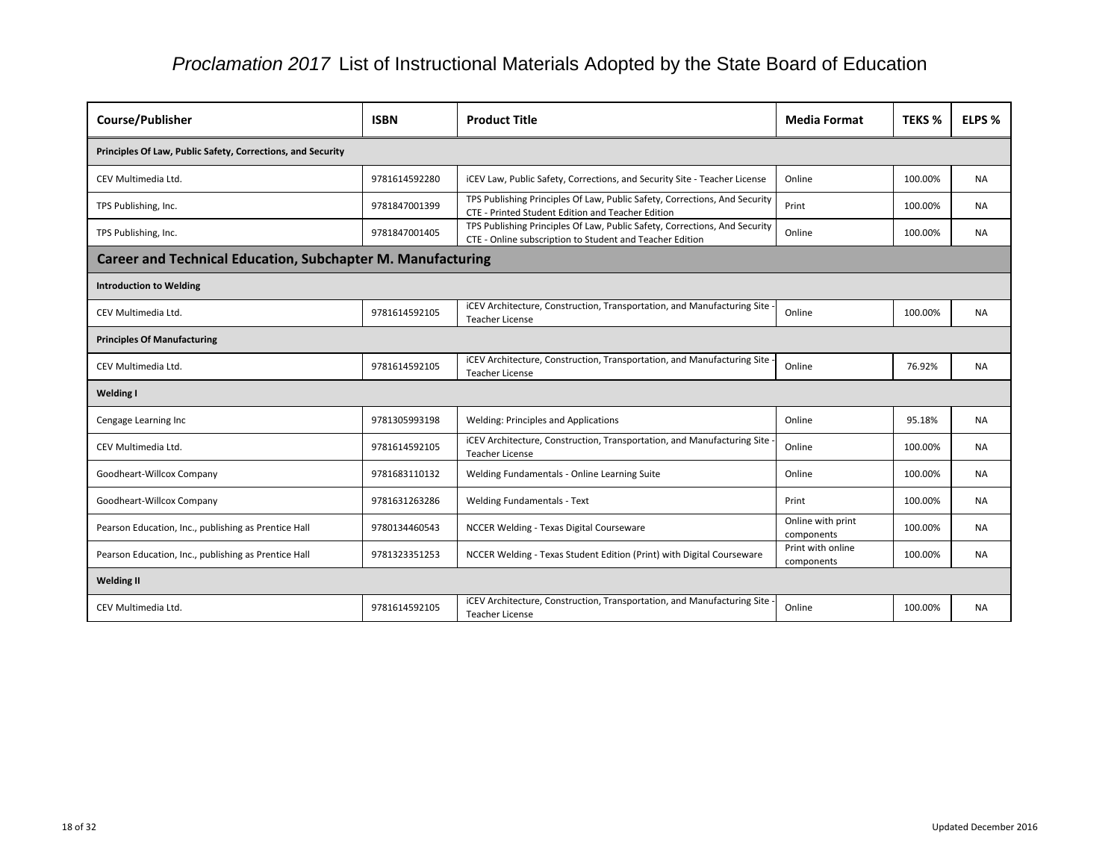| Course/Publisher                                                   | <b>ISBN</b>   | <b>Product Title</b>                                                                                                                   | <b>Media Format</b>             | <b>TEKS %</b> | ELPS %    |  |  |
|--------------------------------------------------------------------|---------------|----------------------------------------------------------------------------------------------------------------------------------------|---------------------------------|---------------|-----------|--|--|
| Principles Of Law, Public Safety, Corrections, and Security        |               |                                                                                                                                        |                                 |               |           |  |  |
| CEV Multimedia Ltd.                                                | 9781614592280 | iCEV Law, Public Safety, Corrections, and Security Site - Teacher License                                                              | Online                          | 100.00%       | NA.       |  |  |
| TPS Publishing, Inc.                                               | 9781847001399 | TPS Publishing Principles Of Law, Public Safety, Corrections, And Security<br><b>CTE - Printed Student Edition and Teacher Edition</b> | Print                           | 100.00%       | <b>NA</b> |  |  |
| TPS Publishing, Inc.                                               | 9781847001405 | TPS Publishing Principles Of Law, Public Safety, Corrections, And Security<br>CTE - Online subscription to Student and Teacher Edition | Online                          | 100.00%       | <b>NA</b> |  |  |
| <b>Career and Technical Education, Subchapter M. Manufacturing</b> |               |                                                                                                                                        |                                 |               |           |  |  |
| <b>Introduction to Welding</b>                                     |               |                                                                                                                                        |                                 |               |           |  |  |
| CEV Multimedia Ltd.                                                | 9781614592105 | iCEV Architecture, Construction, Transportation, and Manufacturing Site<br><b>Teacher License</b>                                      | Online                          | 100.00%       | NA.       |  |  |
| <b>Principles Of Manufacturing</b>                                 |               |                                                                                                                                        |                                 |               |           |  |  |
| CEV Multimedia Ltd.                                                | 9781614592105 | iCEV Architecture, Construction, Transportation, and Manufacturing Site<br><b>Teacher License</b>                                      | Online                          | 76.92%        | <b>NA</b> |  |  |
| <b>Welding I</b>                                                   |               |                                                                                                                                        |                                 |               |           |  |  |
| Cengage Learning Inc                                               | 9781305993198 | <b>Welding: Principles and Applications</b>                                                                                            | Online                          | 95.18%        | <b>NA</b> |  |  |
| CEV Multimedia Ltd.                                                | 9781614592105 | iCEV Architecture, Construction, Transportation, and Manufacturing Site<br><b>Teacher License</b>                                      | Online                          | 100.00%       | <b>NA</b> |  |  |
| Goodheart-Willcox Company                                          | 9781683110132 | Welding Fundamentals - Online Learning Suite                                                                                           | Online                          | 100.00%       | <b>NA</b> |  |  |
| Goodheart-Willcox Company                                          | 9781631263286 | <b>Welding Fundamentals - Text</b>                                                                                                     | Print                           | 100.00%       | <b>NA</b> |  |  |
| Pearson Education, Inc., publishing as Prentice Hall               | 9780134460543 | NCCER Welding - Texas Digital Courseware                                                                                               | Online with print<br>components | 100.00%       | <b>NA</b> |  |  |
| Pearson Education, Inc., publishing as Prentice Hall               | 9781323351253 | NCCER Welding - Texas Student Edition (Print) with Digital Courseware                                                                  | Print with online<br>components | 100.00%       | NA        |  |  |
| <b>Welding II</b>                                                  |               |                                                                                                                                        |                                 |               |           |  |  |
| CEV Multimedia Ltd.                                                | 9781614592105 | iCEV Architecture, Construction, Transportation, and Manufacturing Site<br><b>Teacher License</b>                                      | Online                          | 100.00%       | <b>NA</b> |  |  |

| at | <b>TEKS %</b> | <b>ELPS %</b> |
|----|---------------|---------------|
|    |               |               |
|    | 100.00%       | NA            |
|    | 100.00%       | <b>NA</b>     |
|    | 100.00%       | <b>NA</b>     |
|    |               |               |
|    |               |               |
|    | 100.00%       | <b>NA</b>     |
|    |               |               |
|    | 76.92%        | <b>NA</b>     |
|    |               |               |
|    | 95.18%        | ΝA            |
|    | 100.00%       | <b>NA</b>     |
|    | 100.00%       | NA            |
|    | 100.00%       | NΑ            |
| t  | 100.00%       | NΑ            |
| C  | 100.00%       | ΝA            |
|    |               |               |
|    | 100.00%       | <b>NA</b>     |
|    |               |               |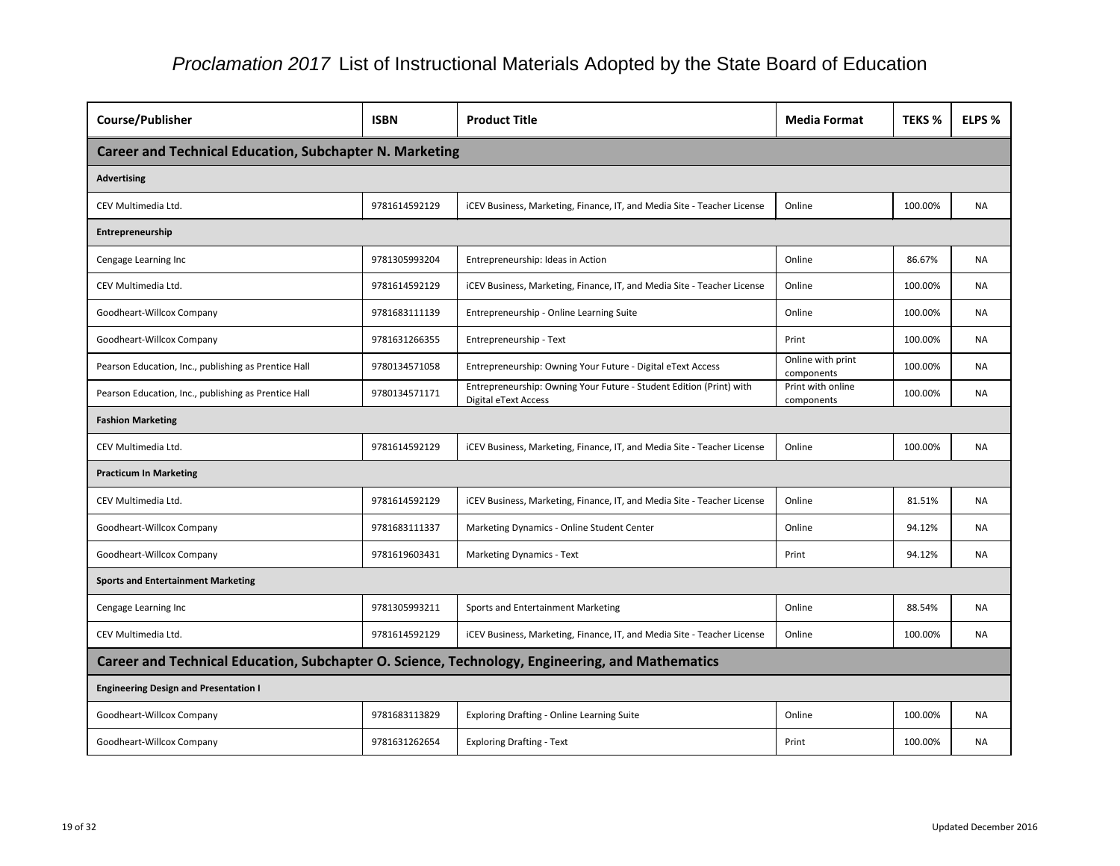| <b>TEKS %</b> | ELPS %    |
|---------------|-----------|
|               |           |
|               |           |
| 100.00%       | <b>NA</b> |
|               |           |
| 86.67%        | <b>NA</b> |
| 100.00%       | <b>NA</b> |
| 100.00%       | <b>NA</b> |
| 100.00%       | <b>NA</b> |
| 100.00%       | <b>NA</b> |
| 100.00%       | <b>NA</b> |
|               |           |
| 100.00%       | <b>NA</b> |
|               |           |
| 81.51%        | <b>NA</b> |
| 94.12%        | <b>NA</b> |
| 94.12%        | <b>NA</b> |
|               |           |
| 88.54%        | ΝA        |
| 100.00%       | <b>NA</b> |
|               |           |
|               |           |
| 100.00%       | <b>NA</b> |
| 100.00%       | <b>NA</b> |
|               |           |

| <b>Course/Publisher</b>                                                                         | <b>ISBN</b>   | <b>Product Title</b>                                                                               | <b>Media Format</b>             | <b>TEKS %</b> | ELPS %    |
|-------------------------------------------------------------------------------------------------|---------------|----------------------------------------------------------------------------------------------------|---------------------------------|---------------|-----------|
| <b>Career and Technical Education, Subchapter N. Marketing</b>                                  |               |                                                                                                    |                                 |               |           |
| <b>Advertising</b>                                                                              |               |                                                                                                    |                                 |               |           |
| CEV Multimedia Ltd.                                                                             | 9781614592129 | iCEV Business, Marketing, Finance, IT, and Media Site - Teacher License                            | Online                          | 100.00%       | <b>NA</b> |
| Entrepreneurship                                                                                |               |                                                                                                    |                                 |               |           |
| Cengage Learning Inc                                                                            | 9781305993204 | Entrepreneurship: Ideas in Action                                                                  | Online                          | 86.67%        | <b>NA</b> |
| CEV Multimedia Ltd.                                                                             | 9781614592129 | ICEV Business, Marketing, Finance, IT, and Media Site - Teacher License                            | Online                          | 100.00%       | <b>NA</b> |
| Goodheart-Willcox Company                                                                       | 9781683111139 | Entrepreneurship - Online Learning Suite                                                           | Online                          | 100.00%       | <b>NA</b> |
| Goodheart-Willcox Company                                                                       | 9781631266355 | Entrepreneurship - Text                                                                            | Print                           | 100.00%       | <b>NA</b> |
| Pearson Education, Inc., publishing as Prentice Hall                                            | 9780134571058 | Entrepreneurship: Owning Your Future - Digital eText Access                                        | Online with print<br>components | 100.00%       | <b>NA</b> |
| Pearson Education, Inc., publishing as Prentice Hall                                            | 9780134571171 | Entrepreneurship: Owning Your Future - Student Edition (Print) with<br><b>Digital eText Access</b> | Print with online<br>components | 100.00%       | NA.       |
| <b>Fashion Marketing</b>                                                                        |               |                                                                                                    |                                 |               |           |
| CEV Multimedia Ltd.                                                                             | 9781614592129 | iCEV Business, Marketing, Finance, IT, and Media Site - Teacher License                            | Online                          | 100.00%       | <b>NA</b> |
| <b>Practicum In Marketing</b>                                                                   |               |                                                                                                    |                                 |               |           |
| CEV Multimedia Ltd.                                                                             | 9781614592129 | ICEV Business, Marketing, Finance, IT, and Media Site - Teacher License                            | Online                          | 81.51%        | <b>NA</b> |
| Goodheart-Willcox Company                                                                       | 9781683111337 | Marketing Dynamics - Online Student Center                                                         | Online                          | 94.12%        | NA.       |
| Goodheart-Willcox Company                                                                       | 9781619603431 | <b>Marketing Dynamics - Text</b>                                                                   | Print                           | 94.12%        | <b>NA</b> |
| <b>Sports and Entertainment Marketing</b>                                                       |               |                                                                                                    |                                 |               |           |
| Cengage Learning Inc                                                                            | 9781305993211 | Sports and Entertainment Marketing                                                                 | Online                          | 88.54%        | NA.       |
| CEV Multimedia Ltd.                                                                             | 9781614592129 | iCEV Business, Marketing, Finance, IT, and Media Site - Teacher License                            | Online                          | 100.00%       | <b>NA</b> |
| Career and Technical Education, Subchapter O. Science, Technology, Engineering, and Mathematics |               |                                                                                                    |                                 |               |           |
| <b>Engineering Design and Presentation I</b>                                                    |               |                                                                                                    |                                 |               |           |
| Goodheart-Willcox Company                                                                       | 9781683113829 | <b>Exploring Drafting - Online Learning Suite</b>                                                  | Online                          | 100.00%       | NA.       |
| Goodheart-Willcox Company                                                                       | 9781631262654 | <b>Exploring Drafting - Text</b>                                                                   | Print                           | 100.00%       | <b>NA</b> |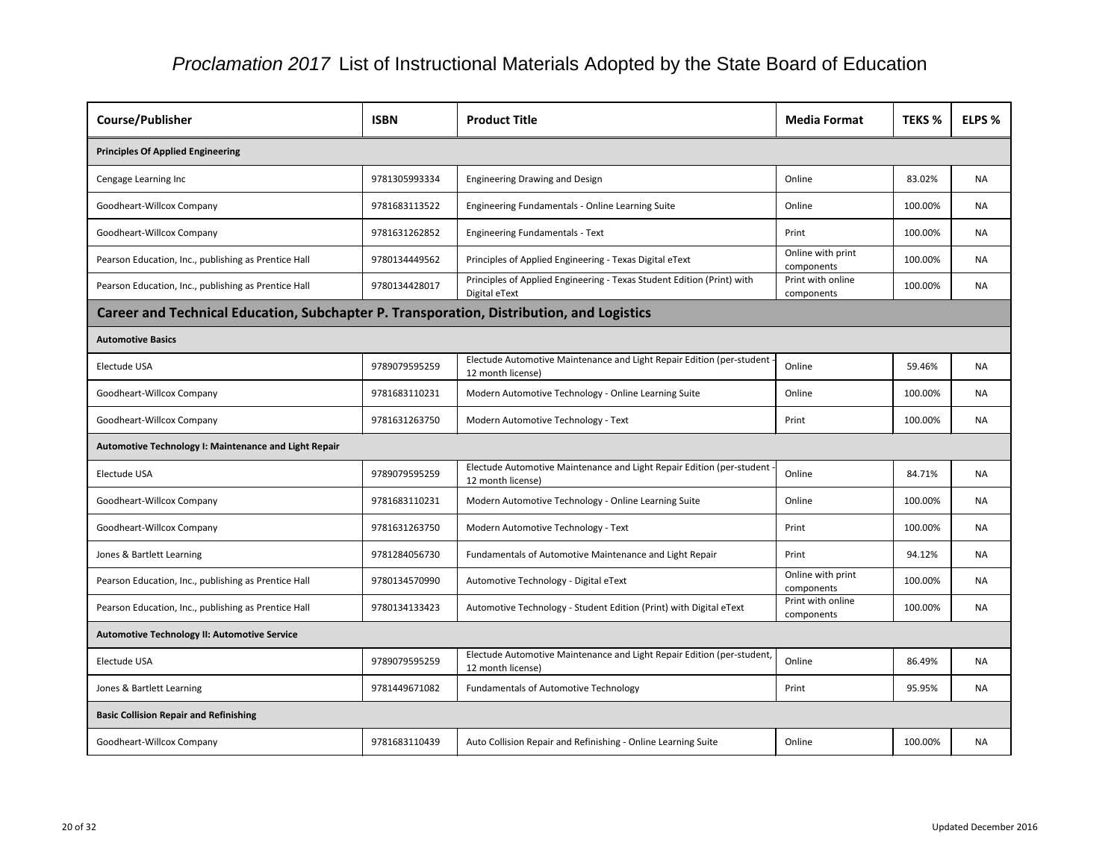| <b>Course/Publisher</b>                                                                  | <b>ISBN</b>   | <b>Product Title</b>                                                                         | <b>Media Format</b>             | <b>TEKS %</b> | <b>ELPS %</b> |
|------------------------------------------------------------------------------------------|---------------|----------------------------------------------------------------------------------------------|---------------------------------|---------------|---------------|
| <b>Principles Of Applied Engineering</b>                                                 |               |                                                                                              |                                 |               |               |
|                                                                                          |               |                                                                                              |                                 |               |               |
| Cengage Learning Inc                                                                     | 9781305993334 | Engineering Drawing and Design                                                               | Online                          | 83.02%        | <b>NA</b>     |
| Goodheart-Willcox Company                                                                | 9781683113522 | Engineering Fundamentals - Online Learning Suite                                             | Online                          | 100.00%       | <b>NA</b>     |
| Goodheart-Willcox Company                                                                | 9781631262852 | <b>Engineering Fundamentals - Text</b>                                                       | Print                           | 100.00%       | NA            |
| Pearson Education, Inc., publishing as Prentice Hall                                     | 9780134449562 | Principles of Applied Engineering - Texas Digital eText                                      | Online with print<br>components | 100.00%       | <b>NA</b>     |
| Pearson Education, Inc., publishing as Prentice Hall                                     | 9780134428017 | Principles of Applied Engineering - Texas Student Edition (Print) with<br>Digital eText      | Print with online<br>components | 100.00%       | <b>NA</b>     |
| Career and Technical Education, Subchapter P. Transporation, Distribution, and Logistics |               |                                                                                              |                                 |               |               |
| <b>Automotive Basics</b>                                                                 |               |                                                                                              |                                 |               |               |
| Electude USA                                                                             | 9789079595259 | Electude Automotive Maintenance and Light Repair Edition (per-student -<br>12 month license) | Online                          | 59.46%        | <b>NA</b>     |
| Goodheart-Willcox Company                                                                | 9781683110231 | Modern Automotive Technology - Online Learning Suite                                         | Online                          | 100.00%       | <b>NA</b>     |
| Goodheart-Willcox Company                                                                | 9781631263750 | Modern Automotive Technology - Text                                                          | Print                           | 100.00%       | <b>NA</b>     |
| Automotive Technology I: Maintenance and Light Repair                                    |               |                                                                                              |                                 |               |               |
| Electude USA                                                                             | 9789079595259 | Electude Automotive Maintenance and Light Repair Edition (per-student<br>12 month license)   | Online                          | 84.71%        | <b>NA</b>     |
| Goodheart-Willcox Company                                                                | 9781683110231 | Modern Automotive Technology - Online Learning Suite                                         | Online                          | 100.00%       | NA            |
| Goodheart-Willcox Company                                                                | 9781631263750 | Modern Automotive Technology - Text                                                          | Print                           | 100.00%       | <b>NA</b>     |
| Jones & Bartlett Learning                                                                | 9781284056730 | Fundamentals of Automotive Maintenance and Light Repair                                      | Print                           | 94.12%        | <b>NA</b>     |
| Pearson Education, Inc., publishing as Prentice Hall                                     | 9780134570990 | Automotive Technology - Digital eText                                                        | Online with print<br>components | 100.00%       | <b>NA</b>     |
| Pearson Education, Inc., publishing as Prentice Hall                                     | 9780134133423 | Automotive Technology - Student Edition (Print) with Digital eText                           | Print with online<br>components | 100.00%       | <b>NA</b>     |
| <b>Automotive Technology II: Automotive Service</b>                                      |               |                                                                                              |                                 |               |               |
| Electude USA                                                                             | 9789079595259 | Electude Automotive Maintenance and Light Repair Edition (per-student,<br>12 month license)  | Online                          | 86.49%        | <b>NA</b>     |
| Jones & Bartlett Learning                                                                | 9781449671082 | <b>Fundamentals of Automotive Technology</b>                                                 | Print                           | 95.95%        | NA            |
| <b>Basic Collision Repair and Refinishing</b>                                            |               |                                                                                              |                                 |               |               |
| Goodheart-Willcox Company                                                                | 9781683110439 | Auto Collision Repair and Refinishing - Online Learning Suite                                | Online                          | 100.00%       | <b>NA</b>     |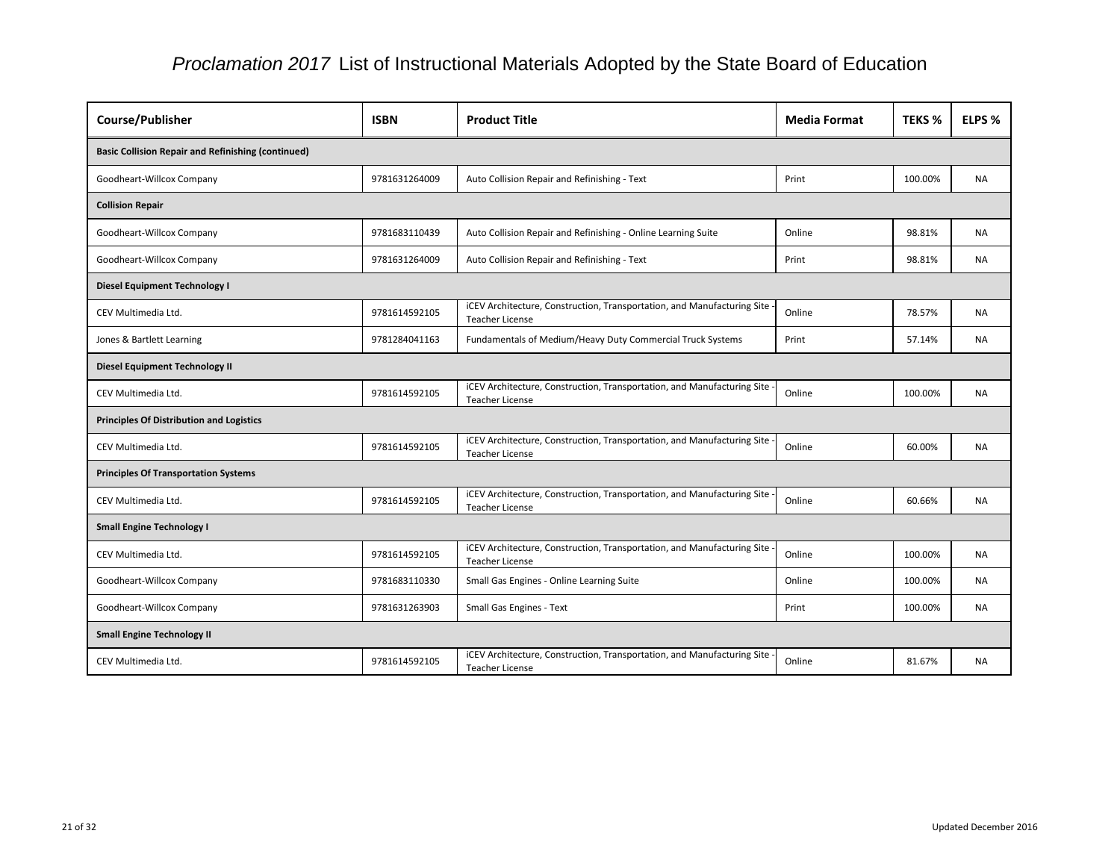| <b>Course/Publisher</b>                                   | <b>ISBN</b>   | <b>Product Title</b>                                                                                | <b>Media Format</b> | <b>TEKS %</b> | ELPS %    |  |  |
|-----------------------------------------------------------|---------------|-----------------------------------------------------------------------------------------------------|---------------------|---------------|-----------|--|--|
| <b>Basic Collision Repair and Refinishing (continued)</b> |               |                                                                                                     |                     |               |           |  |  |
| Goodheart-Willcox Company                                 | 9781631264009 | Auto Collision Repair and Refinishing - Text                                                        | Print               | 100.00%       | <b>NA</b> |  |  |
| <b>Collision Repair</b>                                   |               |                                                                                                     |                     |               |           |  |  |
| Goodheart-Willcox Company                                 | 9781683110439 | Auto Collision Repair and Refinishing - Online Learning Suite                                       | Online              | 98.81%        | <b>NA</b> |  |  |
| Goodheart-Willcox Company                                 | 9781631264009 | Auto Collision Repair and Refinishing - Text                                                        | Print               | 98.81%        | <b>NA</b> |  |  |
| <b>Diesel Equipment Technology I</b>                      |               |                                                                                                     |                     |               |           |  |  |
| CEV Multimedia Ltd.                                       | 9781614592105 | iCEV Architecture, Construction, Transportation, and Manufacturing Site<br><b>Teacher License</b>   | Online              | 78.57%        | <b>NA</b> |  |  |
| Jones & Bartlett Learning                                 | 9781284041163 | Fundamentals of Medium/Heavy Duty Commercial Truck Systems                                          | Print               | 57.14%        | <b>NA</b> |  |  |
| <b>Diesel Equipment Technology II</b>                     |               |                                                                                                     |                     |               |           |  |  |
| CEV Multimedia Ltd.                                       | 9781614592105 | iCEV Architecture, Construction, Transportation, and Manufacturing Site<br><b>Teacher License</b>   | Online              | 100.00%       | <b>NA</b> |  |  |
| <b>Principles Of Distribution and Logistics</b>           |               |                                                                                                     |                     |               |           |  |  |
| CEV Multimedia Ltd.                                       | 9781614592105 | iCEV Architecture, Construction, Transportation, and Manufacturing Site<br><b>Teacher License</b>   | Online              | 60.00%        | <b>NA</b> |  |  |
| <b>Principles Of Transportation Systems</b>               |               |                                                                                                     |                     |               |           |  |  |
| CEV Multimedia Ltd.                                       | 9781614592105 | iCEV Architecture, Construction, Transportation, and Manufacturing Site<br><b>Teacher License</b>   | Online              | 60.66%        | <b>NA</b> |  |  |
| <b>Small Engine Technology I</b>                          |               |                                                                                                     |                     |               |           |  |  |
| CEV Multimedia Ltd.                                       | 9781614592105 | iCEV Architecture, Construction, Transportation, and Manufacturing Site -<br><b>Teacher License</b> | Online              | 100.00%       | NA        |  |  |
| Goodheart-Willcox Company                                 | 9781683110330 | Small Gas Engines - Online Learning Suite                                                           | Online              | 100.00%       | <b>NA</b> |  |  |
| Goodheart-Willcox Company                                 | 9781631263903 | <b>Small Gas Engines - Text</b>                                                                     | Print               | 100.00%       | <b>NA</b> |  |  |
| <b>Small Engine Technology II</b>                         |               |                                                                                                     |                     |               |           |  |  |
| CEV Multimedia Ltd.                                       | 9781614592105 | iCEV Architecture, Construction, Transportation, and Manufacturing Site -<br><b>Teacher License</b> | Online              | 81.67%        | <b>NA</b> |  |  |

| at | <b>TEKS %</b> | ELPS %    |
|----|---------------|-----------|
|    |               |           |
|    | 100.00%       | <b>NA</b> |
|    |               |           |
|    | 98.81%        | <b>NA</b> |
|    | 98.81%        | ΝA        |
|    |               |           |
|    | 78.57%        | <b>NA</b> |
|    | 57.14%        | <b>NA</b> |
|    |               |           |
|    | 100.00%       | <b>NA</b> |
|    |               |           |
|    | 60.00%        | <b>NA</b> |
|    |               |           |
|    | 60.66%        | <b>NA</b> |
|    |               |           |
|    | 100.00%       | <b>NA</b> |
|    | 100.00%       | ΝA        |
|    | 100.00%       | ΝA        |
|    |               |           |
|    | 81.67%        | <b>NA</b> |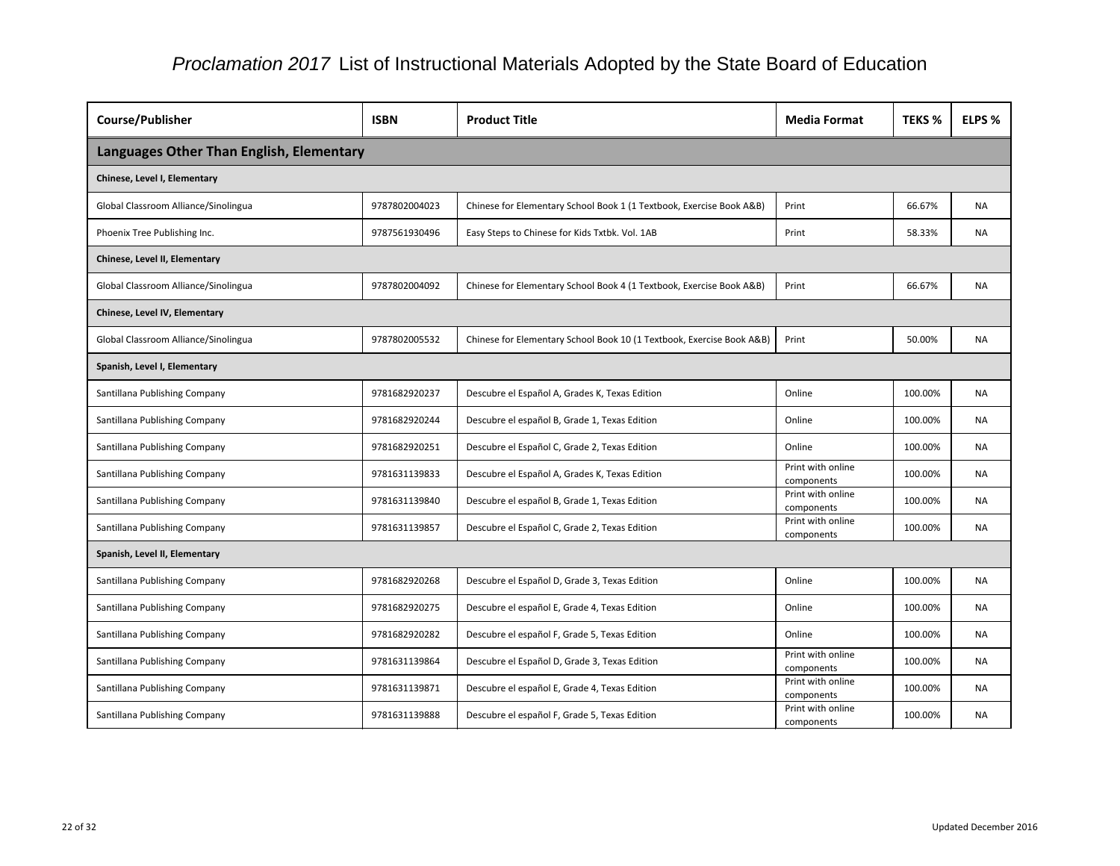| Course/Publisher                         | <b>ISBN</b>   | <b>Product Title</b>                                                  | <b>Media Format</b>             | <b>TEKS %</b> | ELPS %    |
|------------------------------------------|---------------|-----------------------------------------------------------------------|---------------------------------|---------------|-----------|
| Languages Other Than English, Elementary |               |                                                                       |                                 |               |           |
| Chinese, Level I, Elementary             |               |                                                                       |                                 |               |           |
| Global Classroom Alliance/Sinolingua     | 9787802004023 | Chinese for Elementary School Book 1 (1 Textbook, Exercise Book A&B)  | Print                           | 66.67%        | NA.       |
| Phoenix Tree Publishing Inc.             | 9787561930496 | Easy Steps to Chinese for Kids Txtbk. Vol. 1AB                        | Print                           | 58.33%        | <b>NA</b> |
| <b>Chinese, Level II, Elementary</b>     |               |                                                                       |                                 |               |           |
| Global Classroom Alliance/Sinolingua     | 9787802004092 | Chinese for Elementary School Book 4 (1 Textbook, Exercise Book A&B)  | Print                           | 66.67%        | <b>NA</b> |
| Chinese, Level IV, Elementary            |               |                                                                       |                                 |               |           |
| Global Classroom Alliance/Sinolingua     | 9787802005532 | Chinese for Elementary School Book 10 (1 Textbook, Exercise Book A&B) | Print                           | 50.00%        | <b>NA</b> |
| Spanish, Level I, Elementary             |               |                                                                       |                                 |               |           |
| Santillana Publishing Company            | 9781682920237 | Descubre el Español A, Grades K, Texas Edition                        | Online                          | 100.00%       | NA        |
| Santillana Publishing Company            | 9781682920244 | Descubre el español B, Grade 1, Texas Edition                         | Online                          | 100.00%       | <b>NA</b> |
| Santillana Publishing Company            | 9781682920251 | Descubre el Español C, Grade 2, Texas Edition                         | Online                          | 100.00%       | <b>NA</b> |
| Santillana Publishing Company            | 9781631139833 | Descubre el Español A, Grades K, Texas Edition                        | Print with online<br>components | 100.00%       | <b>NA</b> |
| Santillana Publishing Company            | 9781631139840 | Descubre el español B, Grade 1, Texas Edition                         | Print with online<br>components | 100.00%       | <b>NA</b> |
| Santillana Publishing Company            | 9781631139857 | Descubre el Español C, Grade 2, Texas Edition                         | Print with online<br>components | 100.00%       | <b>NA</b> |
| Spanish, Level II, Elementary            |               |                                                                       |                                 |               |           |
| Santillana Publishing Company            | 9781682920268 | Descubre el Español D, Grade 3, Texas Edition                         | Online                          | 100.00%       | <b>NA</b> |
| Santillana Publishing Company            | 9781682920275 | Descubre el español E, Grade 4, Texas Edition                         | Online                          | 100.00%       | <b>NA</b> |
| Santillana Publishing Company            | 9781682920282 | Descubre el español F, Grade 5, Texas Edition                         | Online                          | 100.00%       | <b>NA</b> |
| Santillana Publishing Company            | 9781631139864 | Descubre el Español D, Grade 3, Texas Edition                         | Print with online<br>components | 100.00%       | <b>NA</b> |
| Santillana Publishing Company            | 9781631139871 | Descubre el español E, Grade 4, Texas Edition                         | Print with online<br>components | 100.00%       | <b>NA</b> |
| Santillana Publishing Company            | 9781631139888 | Descubre el español F, Grade 5, Texas Edition                         | Print with online<br>components | 100.00%       | NA        |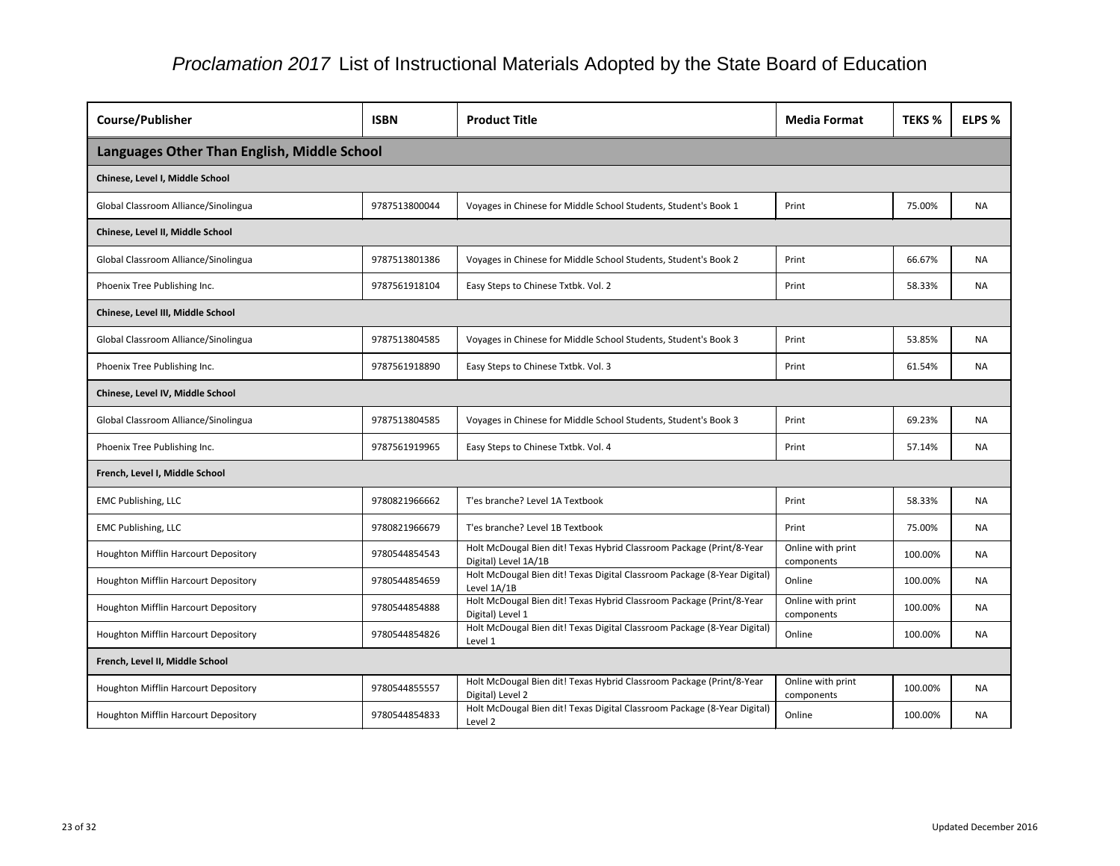| <b>Course/Publisher</b>                     | <b>ISBN</b>   | <b>Product Title</b>                                                                         | <b>Media Format</b>             | <b>TEKS %</b> | ELPS %    |
|---------------------------------------------|---------------|----------------------------------------------------------------------------------------------|---------------------------------|---------------|-----------|
| Languages Other Than English, Middle School |               |                                                                                              |                                 |               |           |
| Chinese, Level I, Middle School             |               |                                                                                              |                                 |               |           |
| Global Classroom Alliance/Sinolingua        | 9787513800044 | Voyages in Chinese for Middle School Students, Student's Book 1                              | Print                           | 75.00%        | <b>NA</b> |
| Chinese, Level II, Middle School            |               |                                                                                              |                                 |               |           |
| Global Classroom Alliance/Sinolingua        | 9787513801386 | Voyages in Chinese for Middle School Students, Student's Book 2                              | Print                           | 66.67%        | <b>NA</b> |
| Phoenix Tree Publishing Inc.                | 9787561918104 | Easy Steps to Chinese Txtbk. Vol. 2                                                          | Print                           | 58.33%        | <b>NA</b> |
| Chinese, Level III, Middle School           |               |                                                                                              |                                 |               |           |
| Global Classroom Alliance/Sinolingua        | 9787513804585 | Voyages in Chinese for Middle School Students, Student's Book 3                              | Print                           | 53.85%        | <b>NA</b> |
| Phoenix Tree Publishing Inc.                | 9787561918890 | Easy Steps to Chinese Txtbk. Vol. 3                                                          | Print                           | 61.54%        | <b>NA</b> |
| Chinese, Level IV, Middle School            |               |                                                                                              |                                 |               |           |
| Global Classroom Alliance/Sinolingua        | 9787513804585 | Voyages in Chinese for Middle School Students, Student's Book 3                              | Print                           | 69.23%        | <b>NA</b> |
| Phoenix Tree Publishing Inc.                | 9787561919965 | Easy Steps to Chinese Txtbk. Vol. 4                                                          | Print                           | 57.14%        | <b>NA</b> |
| French, Level I, Middle School              |               |                                                                                              |                                 |               |           |
| <b>EMC Publishing, LLC</b>                  | 9780821966662 | T'es branche? Level 1A Textbook                                                              | Print                           | 58.33%        | <b>NA</b> |
| <b>EMC Publishing, LLC</b>                  | 9780821966679 | T'es branche? Level 1B Textbook                                                              | Print                           | 75.00%        | NA        |
| Houghton Mifflin Harcourt Depository        | 9780544854543 | Holt McDougal Bien dit! Texas Hybrid Classroom Package (Print/8-Year<br>Digital) Level 1A/1B | Online with print<br>components | 100.00%       | <b>NA</b> |
| Houghton Mifflin Harcourt Depository        | 9780544854659 | Holt McDougal Bien dit! Texas Digital Classroom Package (8-Year Digital)<br>Level 1A/1B      | Online                          | 100.00%       | <b>NA</b> |
| Houghton Mifflin Harcourt Depository        | 9780544854888 | Holt McDougal Bien dit! Texas Hybrid Classroom Package (Print/8-Year<br>Digital) Level 1     | Online with print<br>components | 100.00%       | NA.       |
| Houghton Mifflin Harcourt Depository        | 9780544854826 | Holt McDougal Bien dit! Texas Digital Classroom Package (8-Year Digital)<br>Level 1          | Online                          | 100.00%       | NA        |
| French, Level II, Middle School             |               |                                                                                              |                                 |               |           |
| Houghton Mifflin Harcourt Depository        | 9780544855557 | Holt McDougal Bien dit! Texas Hybrid Classroom Package (Print/8-Year<br>Digital) Level 2     | Online with print<br>components | 100.00%       | <b>NA</b> |
| Houghton Mifflin Harcourt Depository        | 9780544854833 | Holt McDougal Bien dit! Texas Digital Classroom Package (8-Year Digital)<br>Level 2          | Online                          | 100.00%       | NA        |

| nat | <b>TEKS %</b> | <b>ELPS %</b> |
|-----|---------------|---------------|
|     |               |               |
|     |               |               |
|     | 75.00%        | <b>NA</b>     |
|     |               |               |
|     | 66.67%        | NA            |
|     | 58.33%        | ΝA            |
|     |               |               |
|     | 53.85%        | NA            |
|     | 61.54%        | <b>NA</b>     |
|     |               |               |
|     | 69.23%        | NA            |
|     | 57.14%        | <b>NA</b>     |
|     |               |               |
|     | 58.33%        | <b>NA</b>     |
|     | 75.00%        | NA            |
| int | 100.00%       | <b>NA</b>     |
|     | 100.00%       | NA            |
| int | 100.00%       | <b>NA</b>     |
|     | 100.00%       | ΝA            |
|     |               |               |
| int | 100.00%       | <b>NA</b>     |
|     | 100.00%       | <b>NA</b>     |
|     |               |               |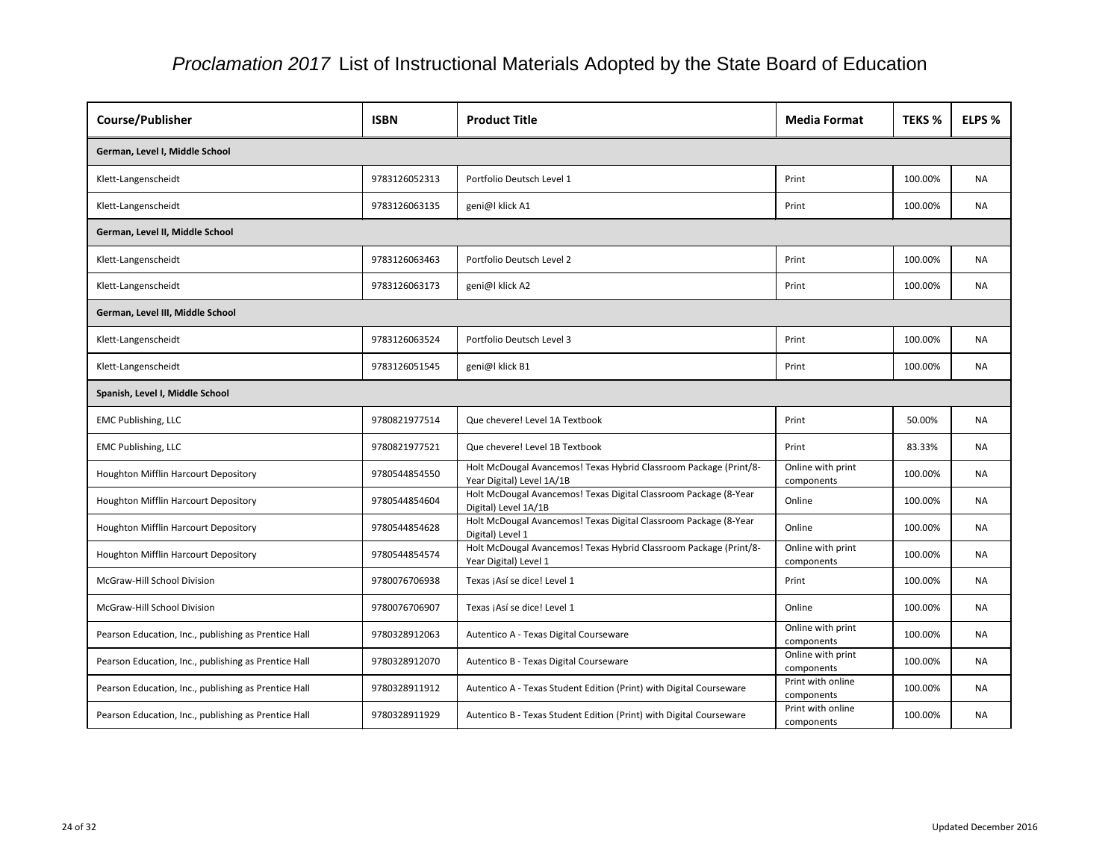| <b>Course/Publisher</b>                              | <b>ISBN</b>   | <b>Product Title</b>                                                                           | <b>Media Format</b>             | <b>TEKS %</b> | <b>ELPS %</b> |
|------------------------------------------------------|---------------|------------------------------------------------------------------------------------------------|---------------------------------|---------------|---------------|
| German, Level I, Middle School                       |               |                                                                                                |                                 |               |               |
| Klett-Langenscheidt                                  | 9783126052313 | Portfolio Deutsch Level 1                                                                      | Print                           | 100.00%       | <b>NA</b>     |
| Klett-Langenscheidt                                  | 9783126063135 | geni@l klick A1                                                                                | Print                           | 100.00%       | <b>NA</b>     |
| German, Level II, Middle School                      |               |                                                                                                |                                 |               |               |
| Klett-Langenscheidt                                  | 9783126063463 | Portfolio Deutsch Level 2                                                                      | Print                           | 100.00%       | <b>NA</b>     |
| Klett-Langenscheidt                                  | 9783126063173 | geni@l klick A2                                                                                | Print                           | 100.00%       | <b>NA</b>     |
| German, Level III, Middle School                     |               |                                                                                                |                                 |               |               |
| Klett-Langenscheidt                                  | 9783126063524 | Portfolio Deutsch Level 3                                                                      | Print                           | 100.00%       | <b>NA</b>     |
| Klett-Langenscheidt                                  | 9783126051545 | geni@l klick B1                                                                                | Print                           | 100.00%       | <b>NA</b>     |
| Spanish, Level I, Middle School                      |               |                                                                                                |                                 |               |               |
| <b>EMC Publishing, LLC</b>                           | 9780821977514 | Que chevere! Level 1A Textbook                                                                 | Print                           | 50.00%        | <b>NA</b>     |
| <b>EMC Publishing, LLC</b>                           | 9780821977521 | Que chevere! Level 1B Textbook                                                                 | Print                           | 83.33%        | <b>NA</b>     |
| <b>Houghton Mifflin Harcourt Depository</b>          | 9780544854550 | Holt McDougal Avancemos! Texas Hybrid Classroom Package (Print/8-<br>Year Digital) Level 1A/1B | Online with print<br>components | 100.00%       | <b>NA</b>     |
| Houghton Mifflin Harcourt Depository                 | 9780544854604 | Holt McDougal Avancemos! Texas Digital Classroom Package (8-Year<br>Digital) Level 1A/1B       | Online                          | 100.00%       | <b>NA</b>     |
| Houghton Mifflin Harcourt Depository                 | 9780544854628 | Holt McDougal Avancemos! Texas Digital Classroom Package (8-Year<br>Digital) Level 1           | Online                          | 100.00%       | <b>NA</b>     |
| Houghton Mifflin Harcourt Depository                 | 9780544854574 | Holt McDougal Avancemos! Texas Hybrid Classroom Package (Print/8-<br>Year Digital) Level 1     | Online with print<br>components | 100.00%       | <b>NA</b>     |
| McGraw-Hill School Division                          | 9780076706938 | Texas ¡Así se dice! Level 1                                                                    | Print                           | 100.00%       | <b>NA</b>     |
| McGraw-Hill School Division                          | 9780076706907 | Texas jAsí se dice! Level 1                                                                    | Online                          | 100.00%       | <b>NA</b>     |
| Pearson Education, Inc., publishing as Prentice Hall | 9780328912063 | Autentico A - Texas Digital Courseware                                                         | Online with print<br>components | 100.00%       | <b>NA</b>     |
| Pearson Education, Inc., publishing as Prentice Hall | 9780328912070 | Autentico B - Texas Digital Courseware                                                         | Online with print<br>components | 100.00%       | <b>NA</b>     |
| Pearson Education, Inc., publishing as Prentice Hall | 9780328911912 | Autentico A - Texas Student Edition (Print) with Digital Courseware                            | Print with online<br>components | 100.00%       | <b>NA</b>     |
| Pearson Education, Inc., publishing as Prentice Hall | 9780328911929 | Autentico B - Texas Student Edition (Print) with Digital Courseware                            | Print with online<br>components | 100.00%       | <b>NA</b>     |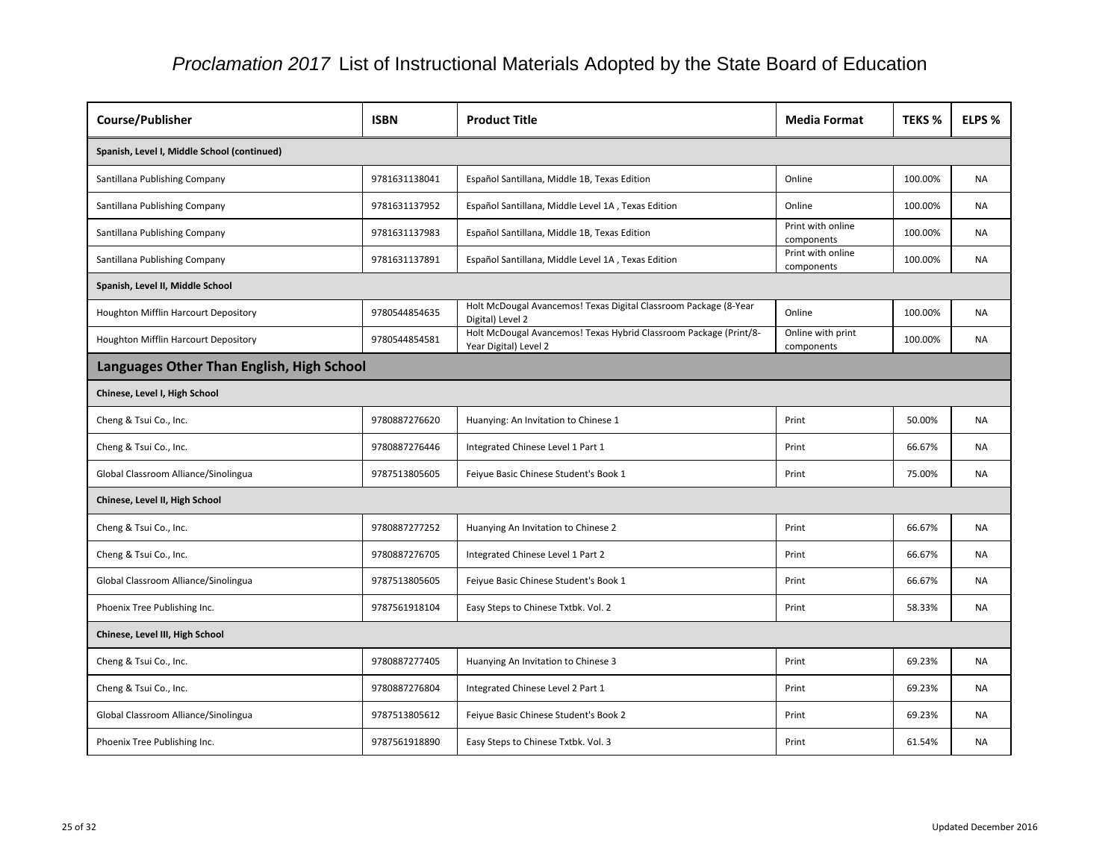| Course/Publisher                            | <b>ISBN</b>   | <b>Product Title</b>                                                                       | <b>Media Format</b>             | <b>TEKS %</b> | ELPS %    |
|---------------------------------------------|---------------|--------------------------------------------------------------------------------------------|---------------------------------|---------------|-----------|
| Spanish, Level I, Middle School (continued) |               |                                                                                            |                                 |               |           |
| Santillana Publishing Company               | 9781631138041 | Español Santillana, Middle 1B, Texas Edition                                               | Online                          | 100.00%       | <b>NA</b> |
| Santillana Publishing Company               | 9781631137952 | Español Santillana, Middle Level 1A, Texas Edition                                         | Online                          | 100.00%       | <b>NA</b> |
| Santillana Publishing Company               | 9781631137983 | Español Santillana, Middle 1B, Texas Edition                                               | Print with online<br>components | 100.00%       | <b>NA</b> |
| Santillana Publishing Company               | 9781631137891 | Español Santillana, Middle Level 1A, Texas Edition                                         | Print with online<br>components | 100.00%       | <b>NA</b> |
| Spanish, Level II, Middle School            |               |                                                                                            |                                 |               |           |
| Houghton Mifflin Harcourt Depository        | 9780544854635 | Holt McDougal Avancemos! Texas Digital Classroom Package (8-Year<br>Digital) Level 2       | Online                          | 100.00%       | <b>NA</b> |
| Houghton Mifflin Harcourt Depository        | 9780544854581 | Holt McDougal Avancemos! Texas Hybrid Classroom Package (Print/8-<br>Year Digital) Level 2 | Online with print<br>components | 100.00%       | <b>NA</b> |
| Languages Other Than English, High School   |               |                                                                                            |                                 |               |           |
| Chinese, Level I, High School               |               |                                                                                            |                                 |               |           |
| Cheng & Tsui Co., Inc.                      | 9780887276620 | Huanying: An Invitation to Chinese 1                                                       | Print                           | 50.00%        | <b>NA</b> |
| Cheng & Tsui Co., Inc.                      | 9780887276446 | Integrated Chinese Level 1 Part 1                                                          | Print                           | 66.67%        | <b>NA</b> |
| Global Classroom Alliance/Sinolingua        | 9787513805605 | Feiyue Basic Chinese Student's Book 1                                                      | Print                           | 75.00%        | <b>NA</b> |
| Chinese, Level II, High School              |               |                                                                                            |                                 |               |           |
| Cheng & Tsui Co., Inc.                      | 9780887277252 | Huanying An Invitation to Chinese 2                                                        | Print                           | 66.67%        | <b>NA</b> |
| Cheng & Tsui Co., Inc.                      | 9780887276705 | Integrated Chinese Level 1 Part 2                                                          | Print                           | 66.67%        | <b>NA</b> |
| Global Classroom Alliance/Sinolingua        | 9787513805605 | Feiyue Basic Chinese Student's Book 1                                                      | Print                           | 66.67%        | NA        |
| Phoenix Tree Publishing Inc.                | 9787561918104 | Easy Steps to Chinese Txtbk. Vol. 2                                                        | Print                           | 58.33%        | <b>NA</b> |
| Chinese, Level III, High School             |               |                                                                                            |                                 |               |           |
| Cheng & Tsui Co., Inc.                      | 9780887277405 | Huanying An Invitation to Chinese 3                                                        | Print                           | 69.23%        | <b>NA</b> |
| Cheng & Tsui Co., Inc.                      | 9780887276804 | Integrated Chinese Level 2 Part 1                                                          | Print                           | 69.23%        | NA        |
| Global Classroom Alliance/Sinolingua        | 9787513805612 | Feiyue Basic Chinese Student's Book 2                                                      | Print                           | 69.23%        | <b>NA</b> |
| Phoenix Tree Publishing Inc.                | 9787561918890 | Easy Steps to Chinese Txtbk. Vol. 3                                                        | Print                           | 61.54%        | <b>NA</b> |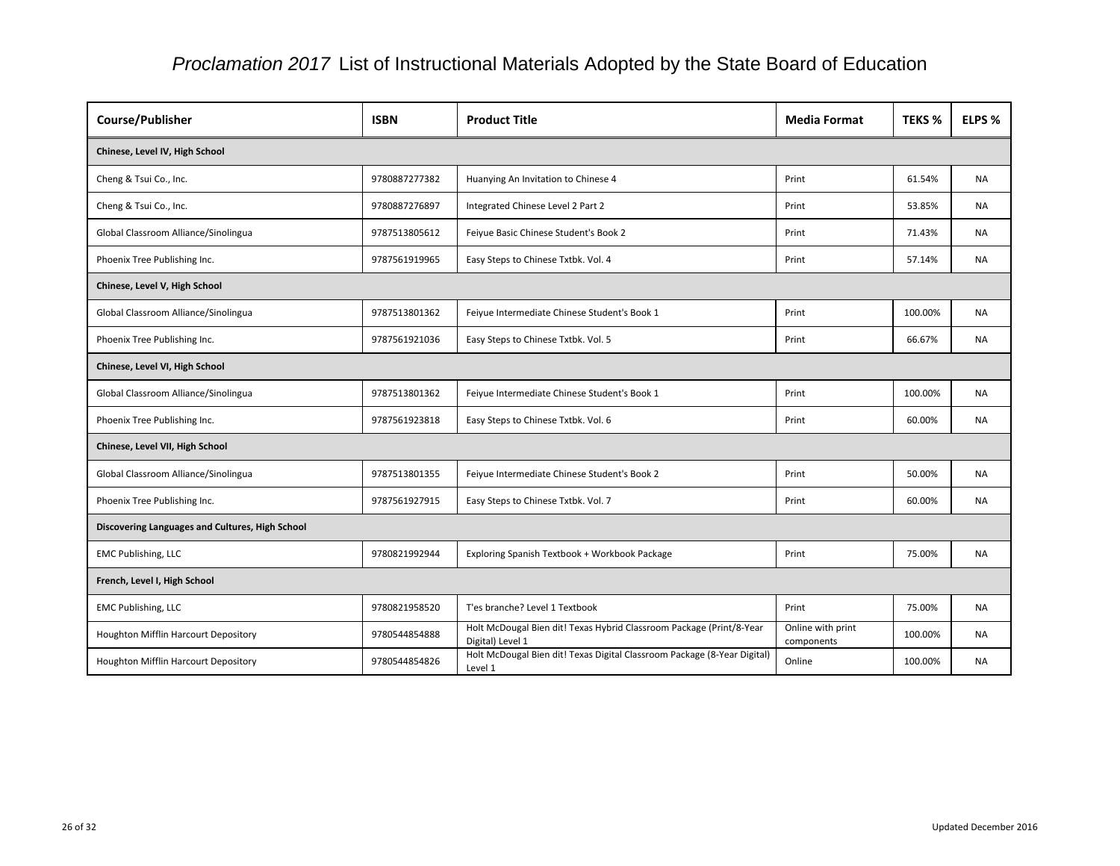| Course/Publisher                                | <b>ISBN</b>   | <b>Product Title</b>                                                                     | <b>Media Format</b>             | <b>TEKS %</b> | <b>ELPS %</b> |
|-------------------------------------------------|---------------|------------------------------------------------------------------------------------------|---------------------------------|---------------|---------------|
| Chinese, Level IV, High School                  |               |                                                                                          |                                 |               |               |
| Cheng & Tsui Co., Inc.                          | 9780887277382 | Huanying An Invitation to Chinese 4                                                      | Print                           | 61.54%        | <b>NA</b>     |
| Cheng & Tsui Co., Inc.                          | 9780887276897 | Integrated Chinese Level 2 Part 2                                                        | Print                           | 53.85%        | <b>NA</b>     |
| Global Classroom Alliance/Sinolingua            | 9787513805612 | Feiyue Basic Chinese Student's Book 2                                                    | Print                           | 71.43%        | <b>NA</b>     |
| Phoenix Tree Publishing Inc.                    | 9787561919965 | Easy Steps to Chinese Txtbk. Vol. 4                                                      | Print                           | 57.14%        | <b>NA</b>     |
| Chinese, Level V, High School                   |               |                                                                                          |                                 |               |               |
| Global Classroom Alliance/Sinolingua            | 9787513801362 | Feiyue Intermediate Chinese Student's Book 1                                             | Print                           | 100.00%       | <b>NA</b>     |
| Phoenix Tree Publishing Inc.                    | 9787561921036 | Easy Steps to Chinese Txtbk. Vol. 5                                                      | Print                           | 66.67%        | <b>NA</b>     |
| Chinese, Level VI, High School                  |               |                                                                                          |                                 |               |               |
| Global Classroom Alliance/Sinolingua            | 9787513801362 | Feiyue Intermediate Chinese Student's Book 1                                             | Print                           | 100.00%       | NA.           |
| Phoenix Tree Publishing Inc.                    | 9787561923818 | Easy Steps to Chinese Txtbk. Vol. 6                                                      | Print                           | 60.00%        | <b>NA</b>     |
| Chinese, Level VII, High School                 |               |                                                                                          |                                 |               |               |
| Global Classroom Alliance/Sinolingua            | 9787513801355 | Feiyue Intermediate Chinese Student's Book 2                                             | Print                           | 50.00%        | <b>NA</b>     |
| Phoenix Tree Publishing Inc.                    | 9787561927915 | Easy Steps to Chinese Txtbk. Vol. 7                                                      | Print                           | 60.00%        | NA            |
| Discovering Languages and Cultures, High School |               |                                                                                          |                                 |               |               |
| <b>EMC Publishing, LLC</b>                      | 9780821992944 | Exploring Spanish Textbook + Workbook Package                                            | Print                           | 75.00%        | <b>NA</b>     |
| French, Level I, High School                    |               |                                                                                          |                                 |               |               |
| <b>EMC Publishing, LLC</b>                      | 9780821958520 | T'es branche? Level 1 Textbook                                                           | Print                           | 75.00%        | <b>NA</b>     |
| Houghton Mifflin Harcourt Depository            | 9780544854888 | Holt McDougal Bien dit! Texas Hybrid Classroom Package (Print/8-Year<br>Digital) Level 1 | Online with print<br>components | 100.00%       | <b>NA</b>     |
| Houghton Mifflin Harcourt Depository            | 9780544854826 | Holt McDougal Bien dit! Texas Digital Classroom Package (8-Year Digital)<br>Level 1      | Online                          | 100.00%       | <b>NA</b>     |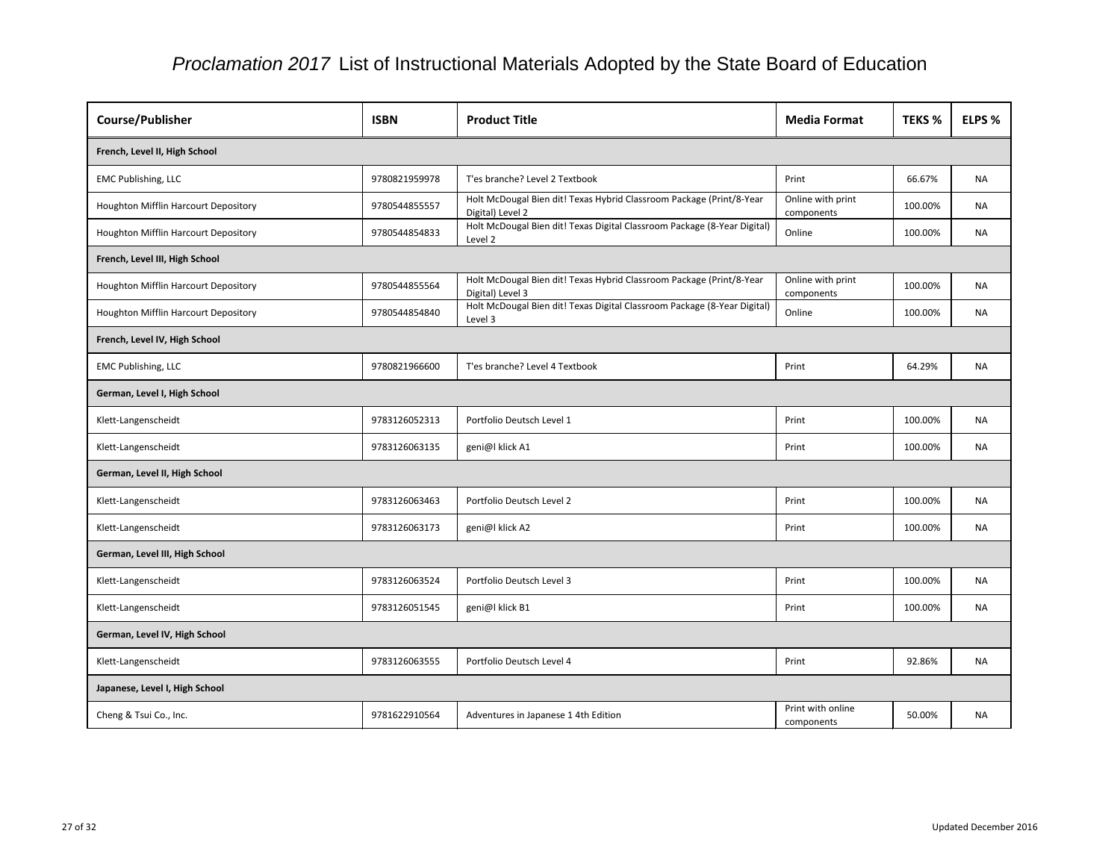| Course/Publisher                     | <b>ISBN</b>   | <b>Product Title</b>                                                                     | <b>Media Format</b>             | <b>TEKS %</b> | <b>ELPS %</b> |
|--------------------------------------|---------------|------------------------------------------------------------------------------------------|---------------------------------|---------------|---------------|
| French, Level II, High School        |               |                                                                                          |                                 |               |               |
| <b>EMC Publishing, LLC</b>           | 9780821959978 | T'es branche? Level 2 Textbook                                                           | Print                           | 66.67%        | <b>NA</b>     |
| Houghton Mifflin Harcourt Depository | 9780544855557 | Holt McDougal Bien dit! Texas Hybrid Classroom Package (Print/8-Year<br>Digital) Level 2 | Online with print<br>components | 100.00%       | <b>NA</b>     |
| Houghton Mifflin Harcourt Depository | 9780544854833 | Holt McDougal Bien dit! Texas Digital Classroom Package (8-Year Digital)<br>Level 2      | Online                          | 100.00%       | <b>NA</b>     |
| French, Level III, High School       |               |                                                                                          |                                 |               |               |
| Houghton Mifflin Harcourt Depository | 9780544855564 | Holt McDougal Bien dit! Texas Hybrid Classroom Package (Print/8-Year<br>Digital) Level 3 | Online with print<br>components | 100.00%       | <b>NA</b>     |
| Houghton Mifflin Harcourt Depository | 9780544854840 | Holt McDougal Bien dit! Texas Digital Classroom Package (8-Year Digital)<br>Level 3      | Online                          | 100.00%       | <b>NA</b>     |
| French, Level IV, High School        |               |                                                                                          |                                 |               |               |
| <b>EMC Publishing, LLC</b>           | 9780821966600 | T'es branche? Level 4 Textbook                                                           | Print                           | 64.29%        | <b>NA</b>     |
| German, Level I, High School         |               |                                                                                          |                                 |               |               |
| Klett-Langenscheidt                  | 9783126052313 | Portfolio Deutsch Level 1                                                                | Print                           | 100.00%       | <b>NA</b>     |
| Klett-Langenscheidt                  | 9783126063135 | geni@l klick A1                                                                          | Print                           | 100.00%       | <b>NA</b>     |
| German, Level II, High School        |               |                                                                                          |                                 |               |               |
| Klett-Langenscheidt                  | 9783126063463 | Portfolio Deutsch Level 2                                                                | Print                           | 100.00%       | <b>NA</b>     |
| Klett-Langenscheidt                  | 9783126063173 | geni@l klick A2                                                                          | Print                           | 100.00%       | <b>NA</b>     |
| German, Level III, High School       |               |                                                                                          |                                 |               |               |
| Klett-Langenscheidt                  | 9783126063524 | Portfolio Deutsch Level 3                                                                | Print                           | 100.00%       | <b>NA</b>     |
| Klett-Langenscheidt                  | 9783126051545 | geni@l klick B1                                                                          | Print                           | 100.00%       | <b>NA</b>     |
| German, Level IV, High School        |               |                                                                                          |                                 |               |               |
| Klett-Langenscheidt                  | 9783126063555 | Portfolio Deutsch Level 4                                                                | Print                           | 92.86%        | <b>NA</b>     |
| Japanese, Level I, High School       |               |                                                                                          |                                 |               |               |
| Cheng & Tsui Co., Inc.               | 9781622910564 | Adventures in Japanese 1 4th Edition                                                     | Print with online<br>components | 50.00%        | <b>NA</b>     |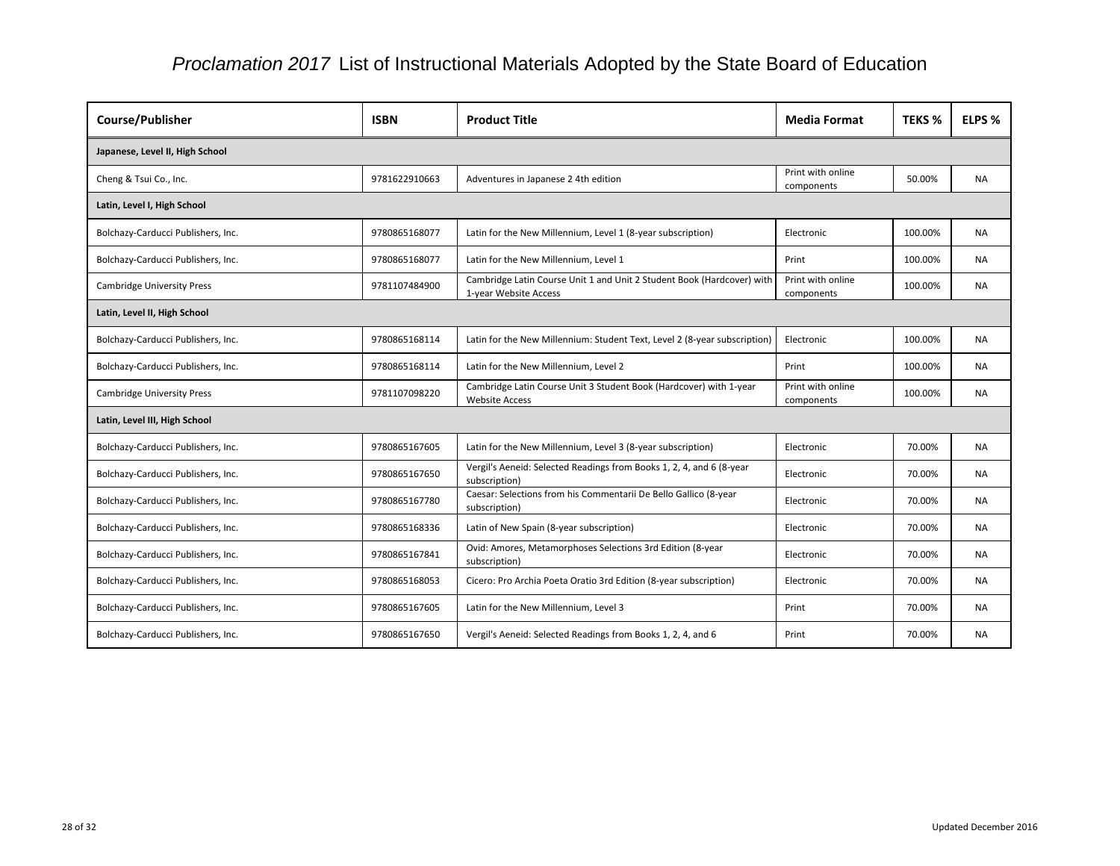| <b>Course/Publisher</b>            | <b>ISBN</b>   | <b>Product Title</b>                                                                            | <b>Media Format</b>             | <b>TEKS %</b> | ELPS %    |  |  |
|------------------------------------|---------------|-------------------------------------------------------------------------------------------------|---------------------------------|---------------|-----------|--|--|
| Japanese, Level II, High School    |               |                                                                                                 |                                 |               |           |  |  |
| Cheng & Tsui Co., Inc.             | 9781622910663 | Adventures in Japanese 2 4th edition                                                            | Print with online<br>components | 50.00%        | <b>NA</b> |  |  |
| Latin, Level I, High School        |               |                                                                                                 |                                 |               |           |  |  |
| Bolchazy-Carducci Publishers, Inc. | 9780865168077 | Latin for the New Millennium, Level 1 (8-year subscription)                                     | Electronic                      | 100.00%       | <b>NA</b> |  |  |
| Bolchazy-Carducci Publishers, Inc. | 9780865168077 | Latin for the New Millennium, Level 1                                                           | Print                           | 100.00%       | <b>NA</b> |  |  |
| <b>Cambridge University Press</b>  | 9781107484900 | Cambridge Latin Course Unit 1 and Unit 2 Student Book (Hardcover) with<br>1-year Website Access | Print with online<br>components | 100.00%       | <b>NA</b> |  |  |
| Latin, Level II, High School       |               |                                                                                                 |                                 |               |           |  |  |
| Bolchazy-Carducci Publishers, Inc. | 9780865168114 | Latin for the New Millennium: Student Text, Level 2 (8-year subscription)                       | Electronic                      | 100.00%       | <b>NA</b> |  |  |
| Bolchazy-Carducci Publishers, Inc. | 9780865168114 | Latin for the New Millennium, Level 2                                                           | Print                           | 100.00%       | <b>NA</b> |  |  |
| <b>Cambridge University Press</b>  | 9781107098220 | Cambridge Latin Course Unit 3 Student Book (Hardcover) with 1-year<br><b>Website Access</b>     | Print with online<br>components | 100.00%       | <b>NA</b> |  |  |
| Latin, Level III, High School      |               |                                                                                                 |                                 |               |           |  |  |
| Bolchazy-Carducci Publishers, Inc. | 9780865167605 | Latin for the New Millennium, Level 3 (8-year subscription)                                     | Electronic                      | 70.00%        | <b>NA</b> |  |  |
| Bolchazy-Carducci Publishers, Inc. | 9780865167650 | Vergil's Aeneid: Selected Readings from Books 1, 2, 4, and 6 (8-year<br>subscription)           | Electronic                      | 70.00%        | <b>NA</b> |  |  |
| Bolchazy-Carducci Publishers, Inc. | 9780865167780 | Caesar: Selections from his Commentarii De Bello Gallico (8-year<br>subscription)               | Electronic                      | 70.00%        | <b>NA</b> |  |  |
| Bolchazy-Carducci Publishers, Inc. | 9780865168336 | Latin of New Spain (8-year subscription)                                                        | Electronic                      | 70.00%        | <b>NA</b> |  |  |
| Bolchazy-Carducci Publishers, Inc. | 9780865167841 | Ovid: Amores, Metamorphoses Selections 3rd Edition (8-year<br>subscription)                     | Electronic                      | 70.00%        | <b>NA</b> |  |  |
| Bolchazy-Carducci Publishers, Inc. | 9780865168053 | Cicero: Pro Archia Poeta Oratio 3rd Edition (8-year subscription)                               | Electronic                      | 70.00%        | NA.       |  |  |
| Bolchazy-Carducci Publishers, Inc. | 9780865167605 | Latin for the New Millennium, Level 3                                                           | Print                           | 70.00%        | <b>NA</b> |  |  |
| Bolchazy-Carducci Publishers, Inc. | 9780865167650 | Vergil's Aeneid: Selected Readings from Books 1, 2, 4, and 6                                    | Print                           | 70.00%        | NA        |  |  |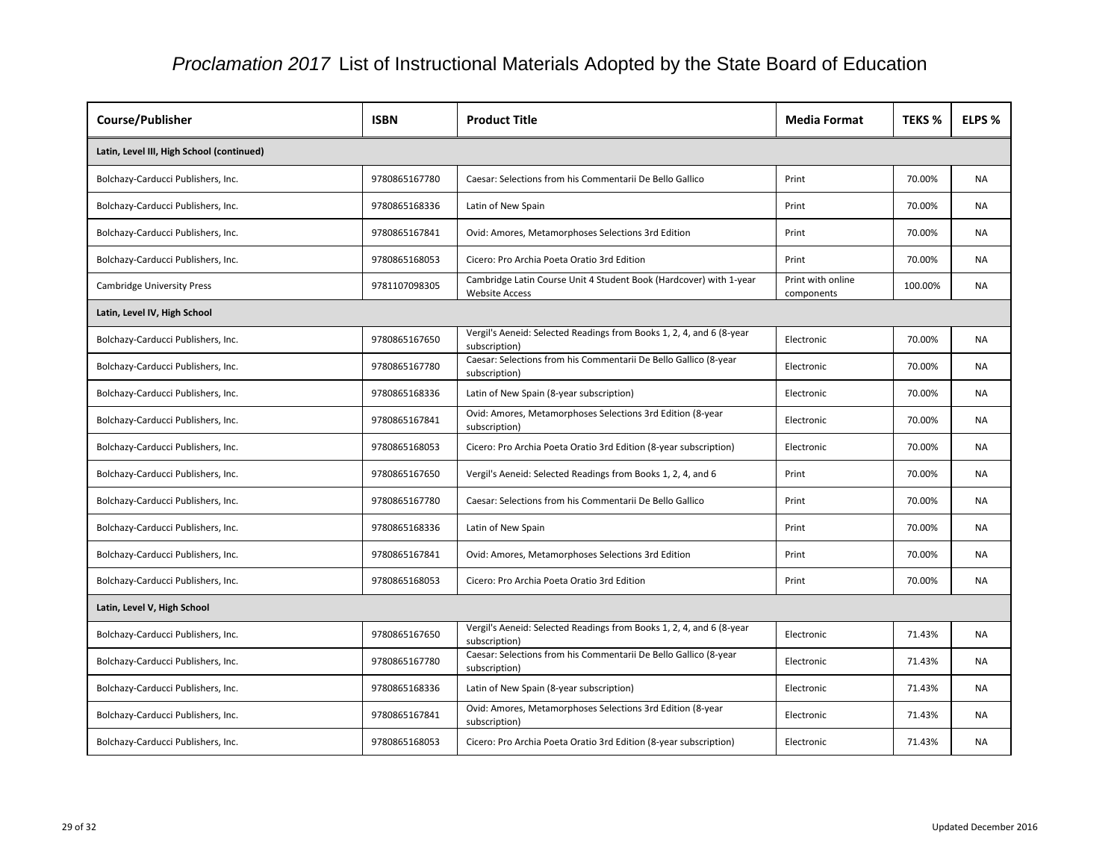| <b>Course/Publisher</b>                   | <b>ISBN</b>   | <b>Product Title</b>                                                                        | <b>Media Format</b>             | <b>TEKS %</b> | ELPS %    |  |  |
|-------------------------------------------|---------------|---------------------------------------------------------------------------------------------|---------------------------------|---------------|-----------|--|--|
| Latin, Level III, High School (continued) |               |                                                                                             |                                 |               |           |  |  |
| Bolchazy-Carducci Publishers, Inc.        | 9780865167780 | Caesar: Selections from his Commentarii De Bello Gallico                                    | Print                           | 70.00%        | <b>NA</b> |  |  |
| Bolchazy-Carducci Publishers, Inc.        | 9780865168336 | Latin of New Spain                                                                          | Print                           | 70.00%        | <b>NA</b> |  |  |
| Bolchazy-Carducci Publishers, Inc.        | 9780865167841 | Ovid: Amores, Metamorphoses Selections 3rd Edition                                          | Print                           | 70.00%        | <b>NA</b> |  |  |
| Bolchazy-Carducci Publishers, Inc.        | 9780865168053 | Cicero: Pro Archia Poeta Oratio 3rd Edition                                                 | Print                           | 70.00%        | <b>NA</b> |  |  |
| <b>Cambridge University Press</b>         | 9781107098305 | Cambridge Latin Course Unit 4 Student Book (Hardcover) with 1-year<br><b>Website Access</b> | Print with online<br>components | 100.00%       | <b>NA</b> |  |  |
| Latin, Level IV, High School              |               |                                                                                             |                                 |               |           |  |  |
| Bolchazy-Carducci Publishers, Inc.        | 9780865167650 | Vergil's Aeneid: Selected Readings from Books 1, 2, 4, and 6 (8-year<br>subscription)       | Electronic                      | 70.00%        | <b>NA</b> |  |  |
| Bolchazy-Carducci Publishers, Inc.        | 9780865167780 | Caesar: Selections from his Commentarii De Bello Gallico (8-year<br>subscription)           | Electronic                      | 70.00%        | <b>NA</b> |  |  |
| Bolchazy-Carducci Publishers, Inc.        | 9780865168336 | Latin of New Spain (8-year subscription)                                                    | Electronic                      | 70.00%        | <b>NA</b> |  |  |
| Bolchazy-Carducci Publishers, Inc.        | 9780865167841 | Ovid: Amores, Metamorphoses Selections 3rd Edition (8-year<br>subscription)                 | Electronic                      | 70.00%        | NA        |  |  |
| Bolchazy-Carducci Publishers, Inc.        | 9780865168053 | Cicero: Pro Archia Poeta Oratio 3rd Edition (8-year subscription)                           | Electronic                      | 70.00%        | <b>NA</b> |  |  |
| Bolchazy-Carducci Publishers, Inc.        | 9780865167650 | Vergil's Aeneid: Selected Readings from Books 1, 2, 4, and 6                                | Print                           | 70.00%        | <b>NA</b> |  |  |
| Bolchazy-Carducci Publishers, Inc.        | 9780865167780 | Caesar: Selections from his Commentarii De Bello Gallico                                    | Print                           | 70.00%        | NA.       |  |  |
| Bolchazy-Carducci Publishers, Inc.        | 9780865168336 | Latin of New Spain                                                                          | Print                           | 70.00%        | <b>NA</b> |  |  |
| Bolchazy-Carducci Publishers, Inc.        | 9780865167841 | Ovid: Amores, Metamorphoses Selections 3rd Edition                                          | Print                           | 70.00%        | <b>NA</b> |  |  |
| Bolchazy-Carducci Publishers, Inc.        | 9780865168053 | Cicero: Pro Archia Poeta Oratio 3rd Edition                                                 | Print                           | 70.00%        | <b>NA</b> |  |  |
| Latin, Level V, High School               |               |                                                                                             |                                 |               |           |  |  |
| Bolchazy-Carducci Publishers, Inc.        | 9780865167650 | Vergil's Aeneid: Selected Readings from Books 1, 2, 4, and 6 (8-year<br>subscription)       | Electronic                      | 71.43%        | <b>NA</b> |  |  |
| Bolchazy-Carducci Publishers, Inc.        | 9780865167780 | Caesar: Selections from his Commentarii De Bello Gallico (8-year<br>subscription)           | Electronic                      | 71.43%        | <b>NA</b> |  |  |
| Bolchazy-Carducci Publishers, Inc.        | 9780865168336 | Latin of New Spain (8-year subscription)                                                    | Electronic                      | 71.43%        | <b>NA</b> |  |  |
| Bolchazy-Carducci Publishers, Inc.        | 9780865167841 | Ovid: Amores, Metamorphoses Selections 3rd Edition (8-year<br>subscription)                 | Electronic                      | 71.43%        | <b>NA</b> |  |  |
| Bolchazy-Carducci Publishers, Inc.        | 9780865168053 | Cicero: Pro Archia Poeta Oratio 3rd Edition (8-year subscription)                           | Electronic                      | 71.43%        | <b>NA</b> |  |  |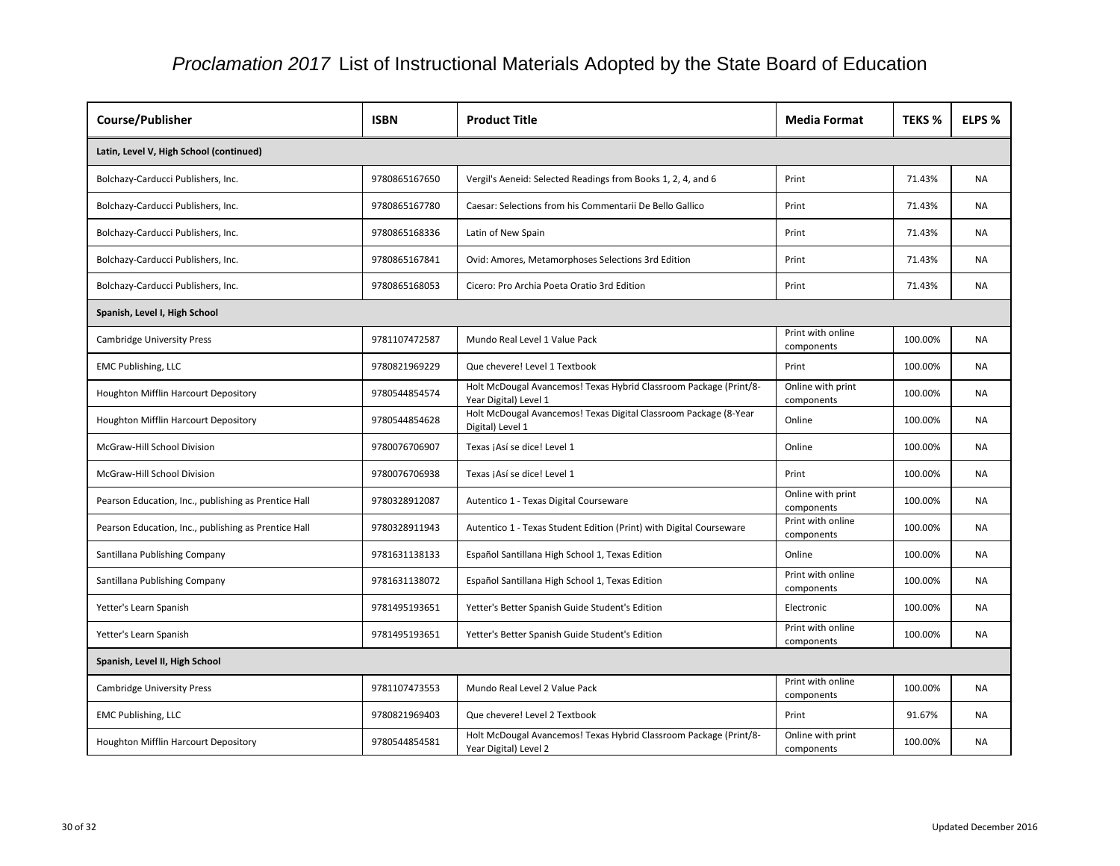| <b>Course/Publisher</b>                              | <b>ISBN</b>   | <b>Product Title</b>                                                                       | <b>Media Format</b>             | <b>TEKS %</b> | ELPS %    |  |  |
|------------------------------------------------------|---------------|--------------------------------------------------------------------------------------------|---------------------------------|---------------|-----------|--|--|
| Latin, Level V, High School (continued)              |               |                                                                                            |                                 |               |           |  |  |
| Bolchazy-Carducci Publishers, Inc.                   | 9780865167650 | Vergil's Aeneid: Selected Readings from Books 1, 2, 4, and 6                               | Print                           | 71.43%        | <b>NA</b> |  |  |
| Bolchazy-Carducci Publishers, Inc.                   | 9780865167780 | Caesar: Selections from his Commentarii De Bello Gallico                                   | Print                           | 71.43%        | <b>NA</b> |  |  |
| Bolchazy-Carducci Publishers, Inc.                   | 9780865168336 | Latin of New Spain                                                                         | Print                           | 71.43%        | <b>NA</b> |  |  |
| Bolchazy-Carducci Publishers, Inc.                   | 9780865167841 | Ovid: Amores, Metamorphoses Selections 3rd Edition                                         | Print                           | 71.43%        | <b>NA</b> |  |  |
| Bolchazy-Carducci Publishers, Inc.                   | 9780865168053 | Cicero: Pro Archia Poeta Oratio 3rd Edition                                                | Print                           | 71.43%        | <b>NA</b> |  |  |
| Spanish, Level I, High School                        |               |                                                                                            |                                 |               |           |  |  |
| <b>Cambridge University Press</b>                    | 9781107472587 | Mundo Real Level 1 Value Pack                                                              | Print with online<br>components | 100.00%       | <b>NA</b> |  |  |
| <b>EMC Publishing, LLC</b>                           | 9780821969229 | Que chevere! Level 1 Textbook                                                              | Print                           | 100.00%       | <b>NA</b> |  |  |
| Houghton Mifflin Harcourt Depository                 | 9780544854574 | Holt McDougal Avancemos! Texas Hybrid Classroom Package (Print/8-<br>Year Digital) Level 1 | Online with print<br>components | 100.00%       | <b>NA</b> |  |  |
| Houghton Mifflin Harcourt Depository                 | 9780544854628 | Holt McDougal Avancemos! Texas Digital Classroom Package (8-Year<br>Digital) Level 1       | Online                          | 100.00%       | <b>NA</b> |  |  |
| McGraw-Hill School Division                          | 9780076706907 | Texas ¡Así se dice! Level 1                                                                | Online                          | 100.00%       | <b>NA</b> |  |  |
| McGraw-Hill School Division                          | 9780076706938 | Texas ¡Así se dice! Level 1                                                                | Print                           | 100.00%       | <b>NA</b> |  |  |
| Pearson Education, Inc., publishing as Prentice Hall | 9780328912087 | Autentico 1 - Texas Digital Courseware                                                     | Online with print<br>components | 100.00%       | NA.       |  |  |
| Pearson Education, Inc., publishing as Prentice Hall | 9780328911943 | Autentico 1 - Texas Student Edition (Print) with Digital Courseware                        | Print with online<br>components | 100.00%       | <b>NA</b> |  |  |
| Santillana Publishing Company                        | 9781631138133 | Español Santillana High School 1, Texas Edition                                            | Online                          | 100.00%       | <b>NA</b> |  |  |
| Santillana Publishing Company                        | 9781631138072 | Español Santillana High School 1, Texas Edition                                            | Print with online<br>components | 100.00%       | <b>NA</b> |  |  |
| Yetter's Learn Spanish                               | 9781495193651 | Yetter's Better Spanish Guide Student's Edition                                            | Electronic                      | 100.00%       | NA.       |  |  |
| Yetter's Learn Spanish                               | 9781495193651 | Yetter's Better Spanish Guide Student's Edition                                            | Print with online<br>components | 100.00%       | <b>NA</b> |  |  |
| Spanish, Level II, High School                       |               |                                                                                            |                                 |               |           |  |  |
| <b>Cambridge University Press</b>                    | 9781107473553 | Mundo Real Level 2 Value Pack                                                              | Print with online<br>components | 100.00%       | NA.       |  |  |
| <b>EMC Publishing, LLC</b>                           | 9780821969403 | Que chevere! Level 2 Textbook                                                              | Print                           | 91.67%        | <b>NA</b> |  |  |
| Houghton Mifflin Harcourt Depository                 | 9780544854581 | Holt McDougal Avancemos! Texas Hybrid Classroom Package (Print/8-<br>Year Digital) Level 2 | Online with print<br>components | 100.00%       | <b>NA</b> |  |  |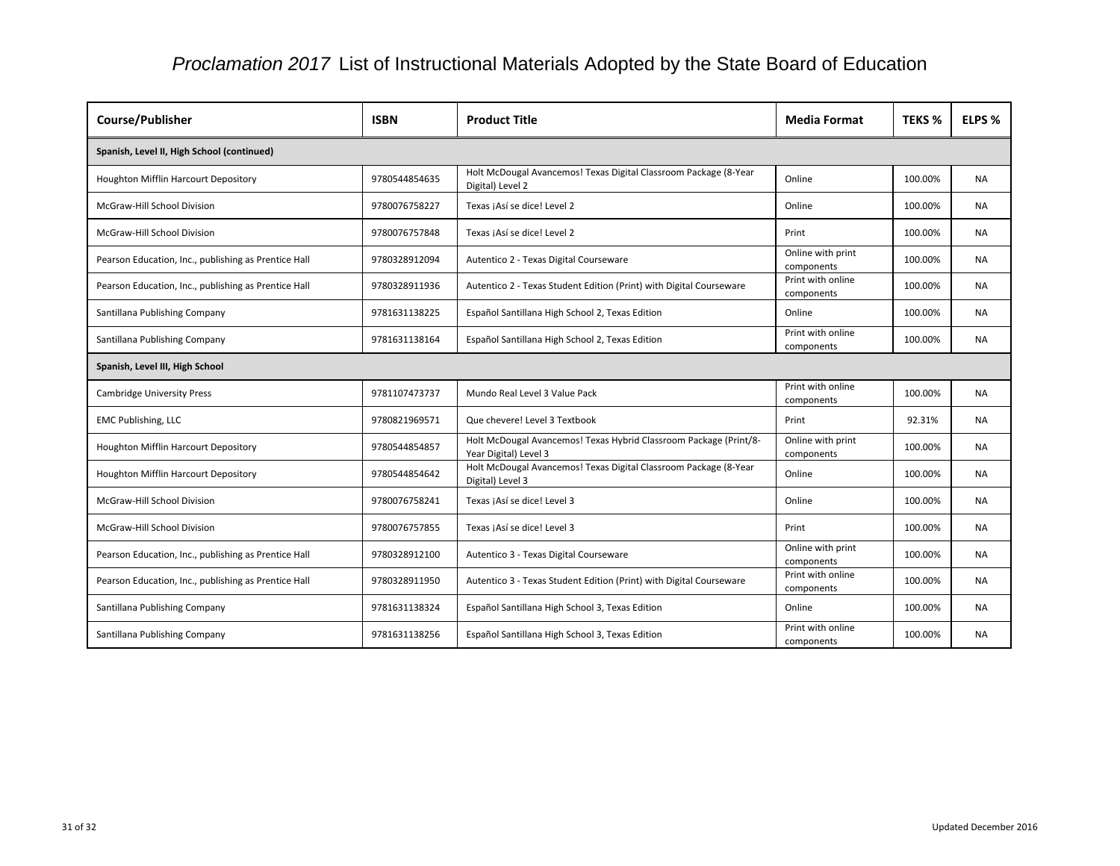| <b>Course/Publisher</b>                              | <b>ISBN</b>   | <b>Product Title</b>                                                                       | <b>Media Format</b>             | <b>TEKS %</b> | ELPS %    |  |  |
|------------------------------------------------------|---------------|--------------------------------------------------------------------------------------------|---------------------------------|---------------|-----------|--|--|
| Spanish, Level II, High School (continued)           |               |                                                                                            |                                 |               |           |  |  |
| Houghton Mifflin Harcourt Depository                 | 9780544854635 | Holt McDougal Avancemos! Texas Digital Classroom Package (8-Year<br>Digital) Level 2       | Online                          | 100.00%       | <b>NA</b> |  |  |
| McGraw-Hill School Division                          | 9780076758227 | Texas jAsí se dice! Level 2                                                                | Online                          | 100.00%       | NA        |  |  |
| McGraw-Hill School Division                          | 9780076757848 | Texas jAsí se dice! Level 2                                                                | Print                           | 100.00%       | <b>NA</b> |  |  |
| Pearson Education, Inc., publishing as Prentice Hall | 9780328912094 | Autentico 2 - Texas Digital Courseware                                                     | Online with print<br>components | 100.00%       | <b>NA</b> |  |  |
| Pearson Education, Inc., publishing as Prentice Hall | 9780328911936 | Autentico 2 - Texas Student Edition (Print) with Digital Courseware                        | Print with online<br>components | 100.00%       | <b>NA</b> |  |  |
| Santillana Publishing Company                        | 9781631138225 | Español Santillana High School 2, Texas Edition                                            | Online                          | 100.00%       | <b>NA</b> |  |  |
| Santillana Publishing Company                        | 9781631138164 | Español Santillana High School 2, Texas Edition                                            | Print with online<br>components | 100.00%       | <b>NA</b> |  |  |
| Spanish, Level III, High School                      |               |                                                                                            |                                 |               |           |  |  |
| <b>Cambridge University Press</b>                    | 9781107473737 | Mundo Real Level 3 Value Pack                                                              | Print with online<br>components | 100.00%       | <b>NA</b> |  |  |
| <b>EMC Publishing, LLC</b>                           | 9780821969571 | Que chevere! Level 3 Textbook                                                              | Print                           | 92.31%        | NA        |  |  |
| Houghton Mifflin Harcourt Depository                 | 9780544854857 | Holt McDougal Avancemos! Texas Hybrid Classroom Package (Print/8-<br>Year Digital) Level 3 | Online with print<br>components | 100.00%       | <b>NA</b> |  |  |
| Houghton Mifflin Harcourt Depository                 | 9780544854642 | Holt McDougal Avancemos! Texas Digital Classroom Package (8-Year<br>Digital) Level 3       | Online                          | 100.00%       | <b>NA</b> |  |  |
| McGraw-Hill School Division                          | 9780076758241 | Texas jAsí se dice! Level 3                                                                | Online                          | 100.00%       | <b>NA</b> |  |  |
| McGraw-Hill School Division                          | 9780076757855 | Texas ¡Así se dice! Level 3                                                                | Print                           | 100.00%       | <b>NA</b> |  |  |
| Pearson Education, Inc., publishing as Prentice Hall | 9780328912100 | Autentico 3 - Texas Digital Courseware                                                     | Online with print<br>components | 100.00%       | <b>NA</b> |  |  |
| Pearson Education, Inc., publishing as Prentice Hall | 9780328911950 | Autentico 3 - Texas Student Edition (Print) with Digital Courseware                        | Print with online<br>components | 100.00%       | <b>NA</b> |  |  |
| Santillana Publishing Company                        | 9781631138324 | Español Santillana High School 3, Texas Edition                                            | Online                          | 100.00%       | <b>NA</b> |  |  |
| Santillana Publishing Company                        | 9781631138256 | Español Santillana High School 3, Texas Edition                                            | Print with online<br>components | 100.00%       | <b>NA</b> |  |  |